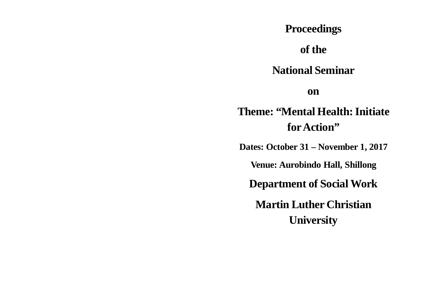# **Proceedings**

**of the**

**National Seminar**

**on**

**Theme: "Mental Health: Initiate for Action"**

**Dates: October 31 – November 1, 2017**

**Venue: Aurobindo Hall, Shillong**

**Department of Social Work**

**Martin Luther Christian University**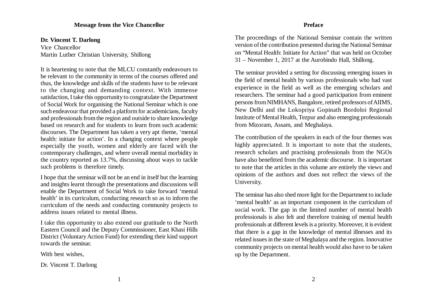#### **Message from the Vice Chancellor**

#### **Dr. Vincent T. Darlong**

Vice Chancellor Martin Luther Christian University, Shillong

It is heartening to note that the MLCU constantly endeavours to be relevant to the community in terms of the courses offered and thus, the knowledge and skills of the students have to be relevant to the changing and demanding context. With immense satisfaction, I take this opportunity to congratulate the Department of Social Work for organising the National Seminar which is one such endeavour that provided a platform for academicians, faculty and professionals from the region and outside to share knowledge based on research and for students to learn from such academic discourses. The Department has taken a very apt theme, 'mental health: initiate for action'. In a changing context where people especially the youth, women and elderly are faced with the contemporary challenges, and where overall mental morbidity in the country reported as 13.7%, discussing about ways to tackle such problems is therefore timely.

I hope that the seminar will not be an end in itself but the learning and insights learnt through the presentations and discussions will enable the Department of Social Work to take forward 'mental health' in its curriculum, conducting research so as to inform the curriculum of the needs and conducting community projects to address issues related to mental illness.

I take this opportunity to also extend our gratitude to the North Eastern Council and the Deputy Commissioner, East Khasi Hills District (Voluntary Action Fund) for extending their kind support towards the seminar.

With best wishes,

Dr. Vincent T. Darlong

### **Preface**

The proceedings of the National Seminar contain the written version of the contribution presented during the National Seminar on "Mental Health: Initiate for Action" that was held on October 31 – November 1, 2017 at the Aurobindo Hall, Shillong.

The seminar provided a setting for discussing emerging issues in the field of mental health by various professionals who had vast experience in the field as well as the emerging scholars and researchers. The seminar had a good participation from eminent persons from NIMHANS, Bangalore, retired professors of AIIMS, New Delhi and the Lokopriya Gopinath Bordoloi Regional Institute of Mental Health, Tezpur and also emerging professionals from Mizoram, Assam, and Meghalaya.

The contribution of the speakers in each of the four themes was highly appreciated. It is important to note that the students, research scholars and practising professionals from the NGOs have also benefitted from the academic discourse. It is important to note that the articles in this volume are entirely the views and opinions of the authors and does not reflect the views of the University.

The seminar has also shed more light for the Department to include 'mental health' as an important component in the curriculum of social work. The gap in the limited number of mental health professionals is also felt and therefore training of mental health professionals at different levels is a priority. Moreover, it is evident that there is a gap in the knowledge of mental illnesses and its related issues in the state of Meghalaya and the region. Innovative community projects on mental health would also have to be taken up by the Department.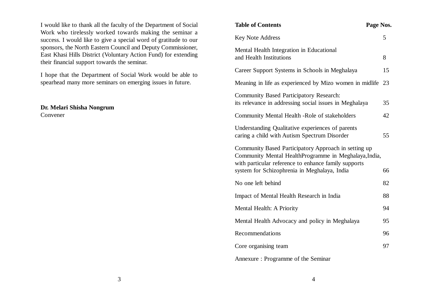I would like to thank all the faculty of the Department of Social Work who tirelessly worked towards making the seminar a success. I would like to give a special word of gratitude to our sponsors, the North Eastern Council and Deputy Commissioner, East Khasi Hills District (Voluntary Action Fund) for extending their financial support towards the seminar.

I hope that the Department of Social Work would be able to spearhead many more seminars on emerging issues in future.

**Dr. Melari Shisha Nongrum** Convener

| <b>Table of Contents</b>                                                                                                                                              | Page Nos. |  |
|-----------------------------------------------------------------------------------------------------------------------------------------------------------------------|-----------|--|
| <b>Key Note Address</b>                                                                                                                                               | 5         |  |
| Mental Health Integration in Educational<br>and Health Institutions                                                                                                   | 8         |  |
| Career Support Systems in Schools in Meghalaya                                                                                                                        | 15        |  |
| Meaning in life as experienced by Mizo women in midlife                                                                                                               | 23        |  |
| <b>Community Based Participatory Research:</b><br>its relevance in addressing social issues in Meghalaya                                                              | 35        |  |
| Community Mental Health - Role of stakeholders                                                                                                                        | 42        |  |
| Understanding Qualitative experiences of parents<br>caring a child with Autism Spectrum Disorder                                                                      | 55        |  |
| Community Based Participatory Approach in setting up<br>Community Mental HealthProgramme in Meghalaya, India,<br>with particular reference to enhance family supports |           |  |
| system for Schizophrenia in Meghalaya, India                                                                                                                          | 66        |  |
| No one left behind                                                                                                                                                    | 82        |  |
| Impact of Mental Health Research in India                                                                                                                             | 88        |  |
| Mental Health: A Priority                                                                                                                                             | 94        |  |
| Mental Health Advocacy and policy in Meghalaya                                                                                                                        | 95        |  |
| Recommendations                                                                                                                                                       | 96        |  |
| Core organising team                                                                                                                                                  | 97        |  |
| Annexure : Programme of the Seminar                                                                                                                                   |           |  |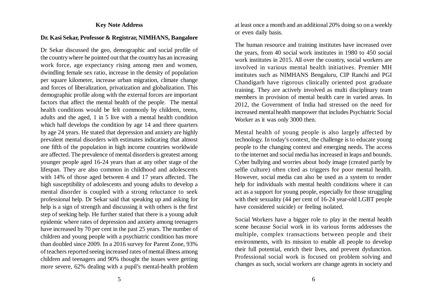#### **Key Note Address**

### **Dr. Kasi Sekar, Professor & Registrar, NIMHANS, Bangalore**

Dr Sekar discussed the geo, demographic and social profile of the country where he pointed out that the country has an increasing work force, age expectancy rising among men and women, dwindling female sex ratio, increase in the density of population per square kilometer, increase urban migration, climate change and forces of liberalization, privatization and globalization. This demographic profile along with the external forces are important factors that affect the mental health of the people. The mental health conditions would be felt commonly by children, teens, adults and the aged, 1 in 5 live with a mental health condition which half develops the condition by age 14 and three quarters by age 24 years. He stated that depression and anxiety are highly prevalent mental disorders with estimates indicating that almost one fifth of the population in high income countries worldwide are affected. The prevalence of mental disorders is greatest among younger people aged 16-24 years than at any other stage of the lifespan. They are also common in childhood and adolescents with 14% of those aged between 4 and 17 years affected. The high susceptibility of adolescents and young adults to develop a mental disorder is coupled with a strong reluctance to seek professional help. Dr Sekar said that speaking up and asking for help is a sign of strength and discussing it with others is the first step of seeking help. He further stated that there is a young adult epidemic where rates of depression and anxiety among teenagers have increased by 70 per cent in the past 25 years. The number of children and young people with a psychiatric condition has more than doubled since 2009. In a 2016 survey for Parent Zone, 93% of teachers reported seeing increased rates of mental illness among children and teenagers and 90% thought the issues were getting more severe, 62% dealing with a pupil's mental-health problem

at least once a month and an additional 20% doing so on a weekly or even daily basis.

The human resource and training institutes have increased over the years, from 40 social work institutes in 1980 to 450 social work institutes in 2015. All over the country, social workers are involved in various mental health initiatives. Premier MH institutes such as NIMHANS Bengaluru, CIP Ranchi and PGI Chandigarh have rigorous clinically oriented post graduate training. They are actively involved as multi disciplinary team members in provision of mental health care in varied areas. In 2012, the Government of India had stressed on the need for increased mental health manpower that includes Psychiatric Social Worker as it was only 3000 then.

Mental health of young people is also largely affected by technology. In today's context, the challenge is to educate young people to the changing context and emerging needs. The access to the internet and social media has increased in leaps and bounds. Cyber bullying and worries about body image (created partly by selfie culture) often cited as triggers for poor mental health. However, social media can also be used as a system to render help for individuals with mental health conditions where it can act as a support for young people, especially for those struggling with their sexuality (44 per cent of 16-24 year-old LGBT people have considered suicide) or feeling isolated.

Social Workers have a bigger role to play in the mental health scene because Social work in its various forms addresses the multiple, complex transactions between people and their environments, with its mission to enable all people to develop their full potential, enrich their lives, and prevent dysfunction. Professional social work is focused on problem solving and changes as such, social workers are change agents in society and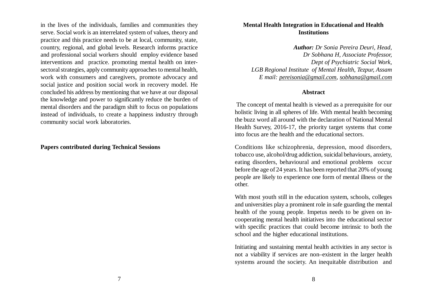in the lives of the individuals, families and communities they serve. Social work is an interrelated system of values, theory and practice and this practice needs to be at local, community, state, country, regional, and global levels. Research informs practice and professional social workers should employ evidence based interventions and practice. promoting mental health on intersectoral strategies, apply community approaches to mental health, work with consumers and caregivers, promote advocacy and social justice and position social work in recovery model. He concluded his address by mentioning that we have at our disposal the knowledge and power to significantly reduce the burden of mental disorders and the paradigm shift to focus on populations instead of individuals, to create a happiness industry through community social work laboratories.

**Papers contributed during Technical Sessions**

### **Mental Health Integration in Educational and Health Institutions**

*Author: Dr Sonia Pereira Deuri, Head, Dr Sobhana H, Associate Professor, Dept of Psychiatric Social Work, LGB Regional Institute of Mental Health, Tezpur, Assam E mail: pereisonia@gmail.com, sobhana@gmail.com*

### **Abstract**

The concept of mental health is viewed as a prerequisite for our holistic living in all spheres of life. With mental health becoming the buzz word all around with the declaration of National Mental Health Survey, 2016-17, the priority target systems that come into focus are the health and the educational sectors.

Conditions like schizophrenia, depression, mood disorders, tobacco use, alcohol/drug addiction, suicidal behaviours, anxiety, eating disorders, behavioural and emotional problems occur before the age of 24 years. It has been reported that 20% of young people are likely to experience one form of mental illness or the other.

With most youth still in the education system, schools, colleges and universities play a prominent role in safe guarding the mental health of the young people. Impetus needs to be given on incooperating mental health initiatives into the educational sector with specific practices that could become intrinsic to both the school and the higher educational institutions.

Initiating and sustaining mental health activities in any sector is not a viability if services are non–existent in the larger health systems around the society. An inequitable distribution and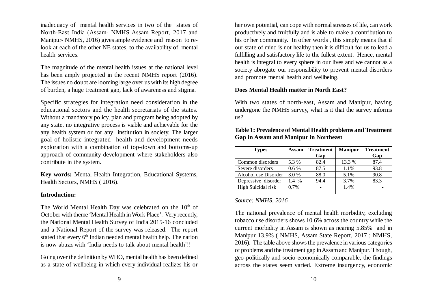inadequacy of mental health services in two of the states of North-East India (Assam- NMHS Assam Report, 2017 and Manipur- NMHS, 2016) gives ample evidence and reason to relook at each of the other NE states, to the availability of mental health services.

The magnitude of the mental health issues at the national level has been amply projected in the recent NMHS report (2016). The issues no doubt are looming large over us with its high degree of burden, a huge treatment gap, lack of awareness and stigma.

Specific strategies for integration need consideration in the educational sectors and the health secretariats of the states. Without a mandatory policy, plan and program being adopted by any state, no integrative process is viable and achievable for the any health system or for any institution in society. The larger goal of holistic integrated health and development needs exploration with a combination of top-down and bottoms-up approach of community development where stakeholders also contribute in the system.

**Key words:** Mental Health Integration, Educational Systems, Health Sectors, NMHS ( 2016).

#### **Introduction:**

The World Mental Health Day was celebrated on the  $10<sup>th</sup>$  of October with theme 'Mental Health in Work Place'. Very recently, the National Mental Health Survey of India 2015-16 concluded and a National Report of the survey was released. The report stated that every  $6<sup>th</sup>$  Indian needed mental health help. The nation is now abuzz with 'India needs to talk about mental health'!!

Going over the definition by WHO, mental health has been defined as a state of wellbeing in which every individual realizes his or her own potential, can cope with normal stresses of life, can work productively and fruitfully and is able to make a contribution to his or her community. In other words , this simply means that if our state of mind is not healthy then it is difficult for us to lead a fulfilling and satisfactory life to the fullest extent. Hence, mental health is integral to every sphere in our lives and we cannot as a society abrogate our responsibility to prevent mental disorders and promote mental health and wellbeing.

#### **Does Mental Health matter in North East?**

With two states of north-east, Assam and Manipur, having undergone the NMHS survey, what is it that the survey informs us?

| <b>Types</b>         | Assam   | <b>Treatment</b> | <b>Manipur</b> | <b>Treatment</b> |
|----------------------|---------|------------------|----------------|------------------|
|                      |         | Gap              |                | Gap              |
| Common disorders     | 5.3 %   | 82.4             | 13.3 %         | 87.4             |
| Severe disorders     | $0.6\%$ | 87.5             | 1.1%           | 93.8             |
| Alcohol use Disorder | 3.0 %   | 88.0             | 5.1%           | 90.8             |
| Depressive disorder  | 1.4 %   | 94.4             | 3.7%           | 83.3             |
| High Suicidal risk   | 0.7%    |                  | 1.4%           |                  |

| Table 1: Prevalence of Mental Health problems and Treatment |  |
|-------------------------------------------------------------|--|
| <b>Gap in Assam and Manipur in Northeast</b>                |  |

### *Source: NMHS, 2016*

The national prevalence of mental health morbidity, excluding tobacco use disorders shows 10.6% across the country while the current morbidity in Assam is shown as nearing 5.85% and in Manipur 13.9% ( NMHS, Assam State Report, 2017 ; NMHS, 2016). The table above shows the prevalence in various categories of problems and the treatment gap in Assam and Manipur. Though, geo-politically and socio-economically comparable, the findings across the states seem varied. Extreme insurgency, economic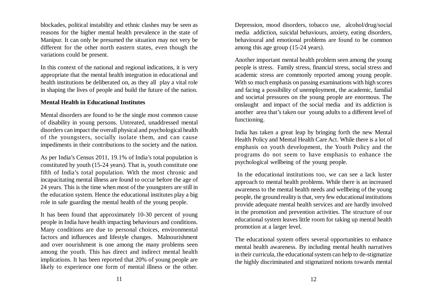blockades, political instability and ethnic clashes may be seen as reasons for the higher mental health prevalence in the state of Manipur. It can only be presumed the situation may not very be different for the other north eastern states, even though the variations could be present.

In this context of the national and regional indications, it is very appropriate that the mental health integration in educational and health institutions be deliberated on, as they all play a vital role in shaping the lives of people and build the future of the nation.

### **Mental Health in Educational Institutes**

Mental disorders are found to be the single most common cause of disability in young persons. Untreated, unaddressed mental disorders can impact the overall physical and psychological health of the youngsters, socially isolate them, and can cause impediments in their contributions to the society and the nation.

As per India's Census 2011, 19.1% of India's total population is constituted by youth (15-24 years). That is, youth constitute one fifth of India's total population. With the most chronic and incapacitating mental illness are found to occur before the age of 24 years. This is the time when most of the youngsters are still in the education system. Hence the educational institutes play a big role in safe guarding the mental health of the young people.

It has been found that approximately 10-30 percent of young people in India have health impacting behaviours and conditions. Many conditions are due to personal choices, environmental factors and influences and lifestyle changes. Malnourishment and over nourishment is one among the many problems seen among the youth. This has direct and indirect mental health implications. It has been reported that 20% of young people are likely to experience one form of mental illness or the other.

Depression, mood disorders, tobacco use, alcohol/drug/social media addiction, suicidal behaviours, anxiety, eating disorders, behavioural and emotional problems are found to be common among this age group (15-24 years).

Another important mental health problem seen among the young people is stress. Family stress, financial stress, social stress and academic stress are commonly reported among young people. With so much emphasis on passing examinations with high scores and facing a possibility of unemployment, the academic, familial and societal pressures on the young people are enormous. The onslaught and impact of the social media and its addiction is another area that's taken our young adults to a different level of functioning.

India has taken a great leap by bringing forth the new Mental Health Policy and Mental Health Care Act. While there is a lot of emphasis on youth development, the Youth Policy and the programs do not seem to have emphasis to enhance the psychological wellbeing of the young people.

 In the educational institutions too, we can see a lack luster approach to mental health problems. While there is an increased awareness to the mental health needs and wellbeing of the young people, the ground reality is that, very few educational institutions provide adequate mental health services and are hardly involved in the promotion and prevention activities. The structure of our educational system leaves little room for taking up mental health promotion at a larger level.

The educational system offers several opportunities to enhance mental health awareness. By including mental health narratives in their curricula, the educational system can help to de-stigmatize the highly discriminated and stigmatized notions towards mental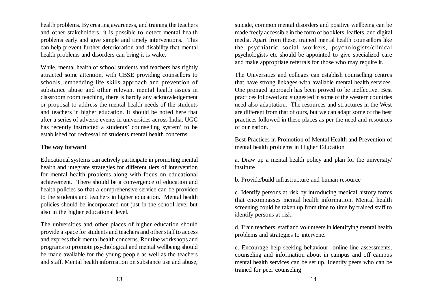health problems. By creating awareness, and training the teachers and other stakeholders, it is possible to detect mental health problems early and give simple and timely interventions. This can help prevent further deterioration and disability that mental health problems and disorders can bring it is wake.

While, mental health of school students and teachers has rightly attracted some attention, with CBSE providing counsellors to schools, embedding life skills approach and prevention of substance abuse and other relevant mental health issues in classroom room teaching, there is hardly any acknowledgement or proposal to address the mental health needs of the students and teachers in higher education. It should be noted here that after a series of adverse events in universities across India, UGC has recently instructed a students' counselling system' to be established for redressal of students mental health concerns.

### **The way forward**

Educational systems can actively participate in promoting mental health and integrate strategies for different tiers of intervention for mental health problems along with focus on educational achievement. There should be a convergence of education and health policies so that a comprehensive service can be provided to the students and teachers in higher education. Mental health policies should be incorporated not just in the school level but also in the higher educational level.

The universities and other places of higher education should provide a space for students and teachers and other staff to access and express their mental health concerns. Routine workshops and programs to promote psychological and mental wellbeing should be made available for the young people as well as the teachers and staff. Mental health information on substance use and abuse,

suicide, common mental disorders and positive wellbeing can be made freely accessible in the form of booklets, leaflets, and digital media. Apart from these, trained mental health counsellors like the psychiatric social workers, psychologists/clinical psychologists etc should be appointed to give specialized care and make appropriate referrals for those who may require it.

The Universities and colleges can establish counselling centres that have strong linkages with available mental health services. One pronged approach has been proved to be ineffective. Best practices followed and suggested in some of the western countries need also adaptation. The resources and structures in the West are different from that of ours, but we can adapt some of the best practices followed in these places as per the need and resources of our nation.

Best Practices in Promotion of Mental Health and Prevention of mental health problems in Higher Education

a. Draw up a mental health policy and plan for the university/ institute

b. Provide/build infrastructure and human resource

c. Identify persons at risk by introducing medical history forms that encompasses mental health information. Mental health screening could be taken up from time to time by trained staff to identify persons at risk.

d. Train teachers, staff and volunteers in identifying mental health problems and strategies to intervene.

e. Encourage help seeking behaviour- online line assessments, counseling and information about in campus and off campus mental health services can be set up. Identify peers who can be trained for peer counseling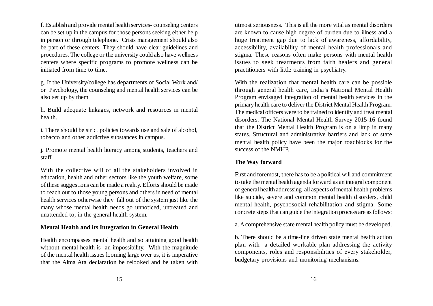f. Establish and provide mental health services- counseling centers can be set up in the campus for those persons seeking either help in person or through telephone. Crisis management should also be part of these centers. They should have clear guidelines and procedures. The college or the university could also have wellness centers where specific programs to promote wellness can be initiated from time to time.

g. If the University/college has departments of Social Work and/ or Psychology, the counseling and mental health services can be also set up by them

h. Build adequate linkages, network and resources in mental health.

i. There should be strict policies towards use and sale of alcohol, tobacco and other addictive substances in campus.

j. Promote mental health literacy among students, teachers and staff.

With the collective will of all the stakeholders involved in education, health and other sectors like the youth welfare, some of these suggestions can be made a reality. Efforts should be made to reach out to those young persons and others in need of mental health services otherwise they fall out of the system just like the many whose mental health needs go unnoticed, untreated and unattended to, in the general health system.

### **Mental Health and its Integration in General Health**

Health encompasses mental health and so attaining good health without mental health is an impossibility. With the magnitude of the mental health issues looming large over us, it is imperative that the Alma Ata declaration be relooked and be taken with

utmost seriousness. This is all the more vital as mental disorders are known to cause high degree of burden due to illness and a huge treatment gap due to lack of awareness, affordability, accessibility, availability of mental health professionals and stigma. These reasons often make persons with mental health issues to seek treatments from faith healers and general practitioners with little training in psychiatry.

With the realization that mental health care can be possible through general health care, India's National Mental Health Program envisaged integration of mental health services in the primary health care to deliver the District Mental Health Program. The medical officers were to be trained to identify and treat mental disorders. The National Mental Health Survey 2015-16 found that the District Mental Health Program is on a limp in many states. Structural and administrative barriers and lack of state mental health policy have been the major roadblocks for the success of the NMHP.

#### **The Way forward**

First and foremost, there has to be a political will and commitment to take the mental health agenda forward as an integral component of general health addressing all aspects of mental health problems like suicide, severe and common mental health disorders, child mental health, psychosocial rehabilitation and stigma. Some concrete steps that can guide the integration process are as follows:

a. A comprehensive state mental health policy must be developed.

b. There should be a time-line driven state mental health action plan with a detailed workable plan addressing the activity components, roles and responsibilities of every stakeholder, budgetary provisions and monitoring mechanisms.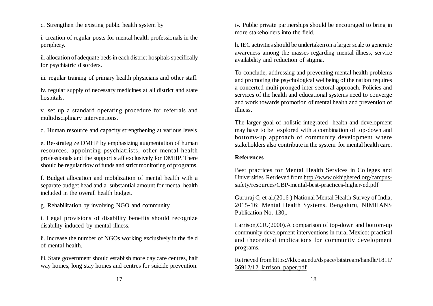c. Strengthen the existing public health system by

i. creation of regular posts for mental health professionals in the periphery.

ii. allocation of adequate beds in each district hospitals specifically for psychiatric disorders.

iii. regular training of primary health physicians and other staff.

iv. regular supply of necessary medicines at all district and state hospitals.

v. set up a standard operating procedure for referrals and multidisciplinary interventions.

d. Human resource and capacity strengthening at various levels

e. Re-strategize DMHP by emphasizing augmentation of human resources, appointing psychiatrists, other mental health professionals and the support staff exclusively for DMHP. There should be regular flow of funds and strict monitoring of programs.

f. Budget allocation and mobilization of mental health with a separate budget head and a substantial amount for mental health included in the overall health budget.

g. Rehabilitation by involving NGO and community

i. Legal provisions of disability benefits should recognize disability induced by mental illness.

ii. Increase the number of NGOs working exclusively in the field of mental health.

iii. State government should establish more day care centres, half way homes, long stay homes and centres for suicide prevention.

iv. Public private partnerships should be encouraged to bring in more stakeholders into the field.

h. IEC activities should be undertaken on a larger scale to generate awareness among the masses regarding mental illness, service availability and reduction of stigma.

To conclude, addressing and preventing mental health problems and promoting the psychological wellbeing of the nation requires a concerted multi pronged inter-sectoral approach. Policies and services of the health and educational systems need to converge and work towards promotion of mental health and prevention of illness.

The larger goal of holistic integrated health and development may have to be explored with a combination of top-down and bottoms-up approach of community development where stakeholders also contribute in the system for mental health care.

### **References**

Best practices for Mental Health Services in Colleges and Universities Retrieved from http://www.okhighered.org/campussafety/resources/CBP-mental-best-practices-higher-ed.pdf

Gururaj G, et al.(2016 ) National Mental Health Survey of India, 2015-16: Mental Health Systems. Bengaluru, NIMHANS Publication No. 130,.

Larrison,C.R.(2000).A comparison of top-down and bottom-up community development interventions in rural Mexico: practical and theoretical implications for community development programs.

Retrieved from https://kb.osu.edu/dspace/bitstream/handle/1811/ 36912/12\_larrison\_paper.pdf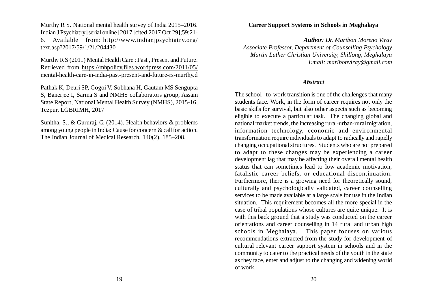Murthy R S. National mental health survey of India 2015–2016. Indian J Psychiatry [serial online] 2017 [cited 2017 Oct 29];59:21- 6. Available from: http://www.indianjpsychiatry.org/ text.asp?2017/59/1/21/204430

Murthy R S (2011) Mental Health Care : Past , Present and Future. Retrieved from https://mhpolicy.files.wordpress.com/2011/05/ mental-health-care-in-india-past-present-and-future-rs-murthy.d

Pathak K, Deuri SP, Gogoi V, Sobhana H, Gautam MS Sengupta S, Banerjee I, Sarma S and NMHS collaborators group; Assam State Report, National Mental Health Survey (NMHS), 2015-16, Tezpur, LGBRIMH, 2017

Sunitha, S., & Gururaj, G. (2014). Health behaviors & problems among young people in India: Cause for concern & call for action. The Indian Journal of Medical Research, 140(2), 185–208.

### **Career Support Systems in Schools in Meghalaya**

*Author: Dr. Maribon Moreno Viray Associate Professor, Department of Counselling Psychology Martin Luther Christian University, Shillong, Meghalaya Email: maribonviray@gmail.com*

#### *Abstract*

The school –to-work transition is one of the challenges that many students face. Work, in the form of career requires not only the basic skills for survival, but also other aspects such as becoming eligible to execute a particular task. The changing global and national market trends, the increasing rural-urban-rural migration, information technology, economic and environmental transformation require individuals to adapt to radically and rapidly changing occupational structures. Students who are not prepared to adapt to these changes may be experiencing a career development lag that may be affecting their overall mental health status that can sometimes lead to low academic motivation, fatalistic career beliefs, or educational discontinuation. Furthermore, there is a growing need for theoretically sound, culturally and psychologically validated, career counselling services to be made available at a large scale for use in the Indian situation. This requirement becomes all the more special in the case of tribal populations whose cultures are quite unique. It is with this back ground that a study was conducted on the career orientations and career counselling in 14 rural and urban high schools in Meghalaya. This paper focuses on various recommendations extracted from the study for development of cultural relevant career support system in schools and in the community to cater to the practical needs of the youth in the state as they face, enter and adjust to the changing and widening world of work.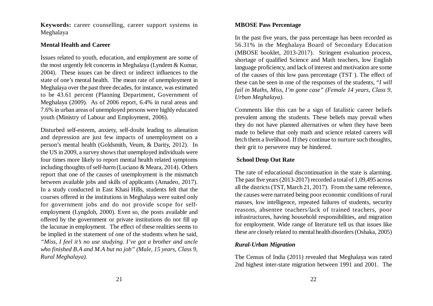**Keywords:** career counselling, career support systems in Meghalaya

### **Mental Health and Career**

Issues related to youth, education, and employment are some of the most urgently felt concerns in Meghalaya (Lyndem & Kumar, 2004). These issues can be direct or indirect influences to the state of one's mental health. The mean rate of unemployment in Meghalaya over the past three decades, for instance, was estimated to be 43.61 percent (Planning Department, Government of Meghalaya (2009). As of 2006 report, 6.4% in rural areas and 7.6% in urban areas of unemployed persons were highly educated youth (Ministry of Labour and Employment, 2006).

Disturbed self-esteem, anxiety, self-doubt leading to alienation and depression are just few impacts of unemployment on a person's mental health (Goldsmith, Veum, & Darity, 2012). In the US in 2009, a survey shows that unemployed individuals were four times more likely to report mental health related symptoms including thoughts of self-harm (Luciano & Meara, 2014). Others report that one of the causes of unemployment is the mismatch between available jobs and skills of applicants (Amadeo, 2017). In a study conducted in East Khasi Hills, students felt that the courses offered in the institutions in Meghalaya were suited only for government jobs and do not provide scope for selfemployment (Lyngdoh, 2000). Even so, the posts available and offered by the government or private institutions do not fill up the lacunae in employment. The effect of these realities seems to be implied in the statement of one of the students when he said, *"Miss, I feel it's no use studying. I've got a brother and uncle who finished B.A and M.A but no job" (Male, 15 years, Class 9, Rural Meghalaya).*

### **MBOSE Pass Percentage**

In the past five years, the pass percentage has been recorded as 56.31% in the Meghalaya Board of Secondary Education (MBOSE booklet, 2013-2017). Stringent evaluation process, shortage of qualified Science and Math teachers, low English language proficiency, and lack of interest and motivation are some of the causes of this low pass percentage (TST ). The effect of these can be seen in one of the responses of the students, "*I will fail in Maths, Miss, I'm gone case" (Female 14 years, Class 9, Urban Meghalaya).*

Comments like this can be a sign of fatalistic career beliefs prevalent among the students. These beliefs may prevail when they do not have planned alternatives or when they have been made to believe that only math and science related careers will fetch them a livelihood. If they continue to nurture such thoughts, their grit to persevere may be hindered.

## **School Drop Out Rate**

The rate of educational discontinuation in the state is alarming. The past five years (2013-2017) recorded a total of 1,09,495 across all the districts (TST, March 21, 2017). From the same reference, the causes were narrated being poor economic conditions of rural masses, low intelligence, repeated failures of students, security reasons, absentee teachers/lack of trained teachers, poor infrastructures, having household responsibilities, and migration for employment. Wide range of literature tell us that issues like these are closely related to mental health disorders (Oshaka, 2005)

### *Rural-Urban Migration*

The Census of India (2011) revealed that Meghalaya was rated 2nd highest inter-state migration between 1991 and 2001. The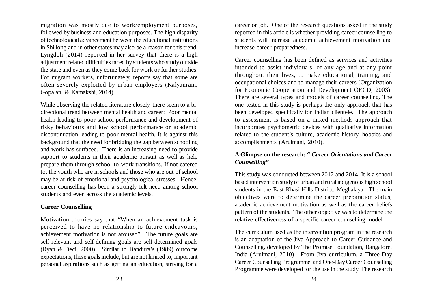migration was mostly due to work/employment purposes, followed by business and education purposes. The high disparity of technological advancement between the educational institutions in Shillong and in other states may also be a reason for this trend. Lyngdoh (2014) reported in her survey that there is a high adjustment related difficulties faced by students who study outside the state and even as they come back for work or further studies. For migrant workers, unfortunately, reports say that some are often severely exploited by urban employers (Kalyanram, Gopalan, & Kamakshi, 2014).

While observing the related literature closely, there seem to a bidirectional trend between mental health and career: Poor mental health leading to poor school performance and development of risky behaviours and low school performance or academic discontinuation leading to poor mental health. It is against this background that the need for bridging the gap between schooling and work has surfaced. There is an increasing need to provide support to students in their academic pursuit as well as help prepare them through school-to-work transitions. If not catered to, the youth who are in schools and those who are out of school may be at risk of emotional and psychological stresses. Hence, career counselling has been a strongly felt need among school students and even across the academic levels.

### **Career Counselling**

Motivation theories say that "When an achievement task is perceived to have no relationship to future endeavours, achievement motivation is not aroused". The future goals are self-relevant and self-defining goals are self-determined goals (Ryan & Deci, 2000). Similar to Bandura's (1989) outcome expectations, these goals include, but are not limited to, important personal aspirations such as getting an education, striving for a career or job. One of the research questions asked in the study reported in this article is whether providing career counselling to students will increase academic achievement motivation and increase career preparedness.

Career counselling has been defined as services and activities intended to assist individuals, of any age and at any point throughout their lives, to make educational, training, and occupational choices and to manage their careers (Organization for Economic Cooperation and Development OECD, 2003). There are several types and models of career counselling. The one tested in this study is perhaps the only approach that has been developed specifically for Indian clientele. The approach to assessment is based on a mixed methods approach that incorporates psychometric devices with qualitative information related to the student's culture, academic history, hobbies and accomplishments (Arulmani, 2010).

## **A Glimpse on the research: "** *Career Orientations and Career Counselling"*

This study was conducted between 2012 and 2014. It is a school based intervention study of urban and rural indigenous high school students in the East Khasi Hills District, Meghalaya. The main objectives were to determine the career preparation status, academic achievement motivation as well as the career beliefs pattern of the students. The other objective was to determine the relative effectiveness of a specific career counselling model.

The curriculum used as the intervention program in the research is an adaptation of the Jiva Approach to Career Guidance and Counselling, developed by The Promise Foundation, Bangalore, India (Arulmani, 2010). From Jiva curriculum, a Three-Day Career Counselling Programme and One-Day Career Counselling Programme were developed for the use in the study. The research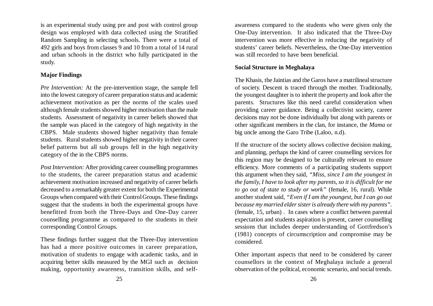is an experimental study using pre and post with control group design was employed with data collected using the Stratified Random Sampling in selecting schools. There were a total of 492 girls and boys from classes 9 and 10 from a total of 14 rural and urban schools in the district who fully participated in the study.

### **Major Findings**

*Pre Intervention:* At the pre-intervention stage, the sample fell into the lowest category of career preparation status and academic achievement motivation as per the norms of the scales used although female students showed higher motivation than the male students. Assessment of negativity in career beliefs showed that the sample was placed in the category of high negativity in the CBPS. Male students showed higher negativity than female students. Rural students showed higher negativity in their career belief patterns but all sub groups fell in the high negativity category of the in the CBPS norms.

*Post Intervention:* After providing career counselling programmes to the students, the career preparation status and academic achievement motivation increased and negativity of career beliefs decreased to a remarkably greater extent for both the Experimental Groups when compared with their Control Groups. These findings suggest that the students in both the experimental groups have benefitted from both the Three-Days and One-Day career counselling programme as compared to the students in their corresponding Control Groups.

These findings further suggest that the Three-Day intervention has had a more positive outcomes in career preparation, motivation of students to engage with academic tasks, and in acquiring better skills measured by the MGI such as decision making, opportunity awareness, transition skills, and self-

awareness compared to the students who were given only the One-Day intervention. It also indicated that the Three-Day intervention was more effective in reducing the negativity of students' career beliefs. Nevertheless, the One-Day intervention was still recorded to have been beneficial.

### **Social Structure in Meghalaya**

The Khasis, the Jaintias and the Garos have a matrilineal structure of society. Descent is traced through the mother. Traditionally, the youngest daughter is to inherit the property and look after the parents. Structures like this need careful consideration when providing career guidance. Being a collectivist society, career decisions may not be done individually but along with parents or other significant members in the clan, for instance, the *Mama* or big uncle among the Garo Tribe (Laloo, n.d).

If the structure of the society allows collective decision making, and planning, perhaps the kind of career counselling services for this region may be designed to be culturally relevant to ensure efficiency. More comments of a participating students support this argument when they said, *"Miss, since I am the youngest in the family, I have to look after my parents, so it is difficult for me to go out of state to study or work"* (female, 16, rural). While another student said, *"Even if I am the youngest, but I can go out because my married elder sister is already there with my parents".* (female, 15, urban) . In cases where a conflict between parental expectation and students aspiration is present, career counselling sessions that includes deeper understanding of Gottfredson's (1981) concepts of circumscription and compromise may be considered.

Other important aspects that need to be considered by career counsellors in the context of Meghalaya include a general observation of the political, economic scenario, and social trends.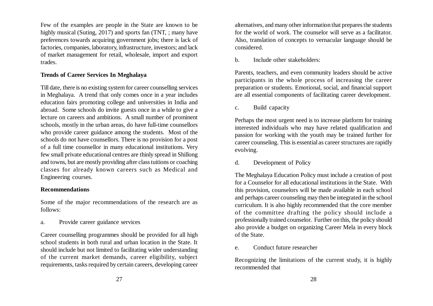Few of the examples are people in the State are known to be highly musical (Suting, 2017) and sports fan (TNT, ; many have preferences towards acquiring government jobs; there is lack of factories, companies, laboratory, infrastructure, investors; and lack of market management for retail, wholesale, import and export trades.

### **Trends of Career Services In Meghalaya**

Till date, there is no existing system for career counselling services in Meghalaya. A trend that only comes once in a year includes education fairs promoting college and universities in India and abroad. Some schools do invite guests once in a while to give a lecture on careers and ambitions. A small number of prominent schools, mostly in the urban areas, do have full-time counsellors who provide career guidance among the students. Most of the schools do not have counsellors. There is no provision for a post of a full time counsellor in many educational institutions. Very few small private educational centres are thinly spread in Shillong and towns, but are mostly providing after class tuitions or coaching classes for already known careers such as Medical and Engineering courses.

### **Recommendations**

Some of the major recommendations of the research are as follows:

a. Provide career guidance services

Career counselling programmes should be provided for all high school students in both rural and urban location in the State. It should include but not limited to facilitating wider understanding of the current market demands, career eligibility, subject requirements, tasks required by certain careers, developing career

alternatives, and many other information that prepares the students for the world of work. The counselor will serve as a facilitator. Also, translation of concepts to vernacular language should be considered.

b. Include other stakeholders:

Parents, teachers, and even community leaders should be active participants in the whole process of increasing the career preparation or students. Emotional, social, and financial support are all essential components of facilitating career development.

c. Build capacity

Perhaps the most urgent need is to increase platform for training interested individuals who may have related qualification and passion for working with the youth may be trained further for career counseling. This is essential as career structures are rapidly evolving.

d. Development of Policy

The Meghalaya Education Policy must include a creation of post for a Counselor for all educational institutions in the State. With this provision, counselors will be made available in each school and perhaps career counseling may then be integrated in the school curriculum. It is also highly recommended that the core member of the committee drafting the policy should include a professionally trained counselor. Further on this, the policy should also provide a budget on organizing Career Mela in every block of the State.

e. Conduct future researcher

Recognizing the limitations of the current study, it is highly recommended that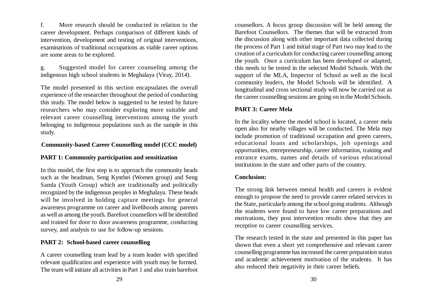f. More research should be conducted in relation to the career development. Perhaps comparison of different kinds of intervention, development and testing of original interventions, examinations of traditional occupations as viable career options are some areas to be explored.

g. Suggested model for career counseling among the indigenous high school students in Meghalaya (Viray, 2014).

The model presented in this section encapsulates the overall experience of the researcher throughout the period of conducting this study. The model below is suggested to be tested by future researchers who may consider exploring more suitable and relevant career counselling interventions among the youth belonging to indigenous populations such as the sample in this study.

### **Community-based Career Counselling model (CCC model)**

### **PART 1: Community participation and sensitization**

In this model, the first step is to approach the community heads such as the headman, Seng Kynthei (Women group) and Seng Samla (Youth Group) which are traditionally and politically recognized by the indigenous peoples in Meghalaya. These heads will be involved in holding capture meetings for general awareness programme on career and livelihoods among parents as well as among the youth. Barefoot counsellors will be identified and trained for door to door awareness programme, conducting survey, and analysis to use for follow-up sessions.

### **PART 2: School-based career counselling**

A career counselling team lead by a team leader with specified relevant qualification and experience with youth may be formed. The team will initiate all activities in Part 1 and also train barefoot counsellors. A focus group discussion will be held among the Barefoot Counsellors. The themes that will be extracted from the discussion along with other important data collected during the process of Part 1 and initial stage of Part two may lead to the creation of a curriculum for conducting career counselling among the youth. Once a curriculum has been developed or adapted, this needs to be tested in the selected Model Schools. With the support of the MLA, Inspector of School as well as the local community leaders, the Model Schools will be identified. A longitudinal and cross sectional study will now be carried out as the career counselling sessions are going on in the Model Schools.

### **PART 3: Career Mela**

In the locality where the model school is located, a career mela open also for nearby villages will be conducted. The Mela may include promotion of traditional occupation and green careers, educational loans and scholarships, job openings and opportunities, entrepreneurship, career information, training and entrance exams, names and details of various educational institutions in the state and other parts of the country.

### **Conclusion:**

The strong link between mental health and careers is evident enough to propose the need to provide career related services in the State, particularly among the school going students. Although the students were found to have low career preparations and motivations, they post intervention results show that they are receptive to career counselling services.

The research tested in the state and presented in this paper has shown that even a short yet comprehensive and relevant career counselling programme has increased the career preparation status and academic achievement motivation of the students. It has also reduced their negativity in their career beliefs.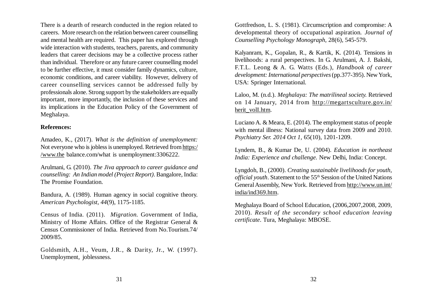There is a dearth of research conducted in the region related to careers. More research on the relation between career counselling and mental health are required. This paper has explored through wide interaction with students, teachers, parents, and community leaders that career decisions may be a collective process rather than individual. Therefore or any future career counselling model to be further effective, it must consider family dynamics, culture, economic conditions, and career viability. However, delivery of career counselling services cannot be addressed fully by professionals alone. Strong support by the stakeholders are equally important, more importantly, the inclusion of these services and its implications in the Education Policy of the Government of Meghalaya.

### **References:**

Amadeo, K., (2017). *What is the definition of unemployment:* Not everyone who is jobless is unemployed. Retrieved from https:/ /www.the balance.com/what is unemployment:3306222.

Arulmani, G. (2010). *The Jiva approach to career guidance and counselling: An Indian model (Project Report)*. Bangalore, India: The Promise Foundation.

Bandura, A. (1989). Human agency in social cognitive theory. *American Psychologist, 44*(9), 1175-1185.

Census of India. (2011). *Migration.* Government of India, Ministry of Home Affairs. Office of the Registrar General & Census Commissioner of India. Retrieved from No.Tourism.74/ 2009/85.

Goldsmith, A.H., Veum, J.R., & Darity, Jr., W. (1997). Unemployment, joblessness.

Gottfredson, L. S. (1981). Circumscription and compromise: A developmental theory of occupational aspiration. *Journal of Counselling Psychology Monograph,* 28(6), 545-579.

Kalyanram, K., Gopalan, R., & Kartik, K. (2014). Tensions in livelihoods: a rural perspectives. In G. Arulmani, A. J. Bakshi, F.T.L. Leong & A. G. Watts (Eds.), *Handbook of career development: International perspectives* (pp.377-395). New York, USA: Springer International.

Laloo, M. (n.d.). *Meghalaya: The matrilineal society.* Retrieved on 14 January, 2014 from http://megartsculture.gov.in/ herit\_volI.htm.

Luciano A. & Meara, E. (2014). The employment status of people with mental illness: National survey data from 2009 and 2010. *Psychiatry Ser. 2014 Oct 1,* 65(10), 1201-1209.

Lyndem, B., & Kumar De, U. (2004). *Education in northeast India: Experience and challenge.* New Delhi, India: Concept.

Lyngdoh, B., (2000). *Creating sustainable livelihoods for youth, official youth.* Statement to the 55<sup>th</sup> Session of the United Nations General Assembly, New York. Retrieved from http://www.un.int/ india/ind369.htm.

Meghalaya Board of School Education, (2006,2007,2008, 2009, 2010). *Result of the secondary school education leaving certificate*. Tura, Meghalaya: MBOSE.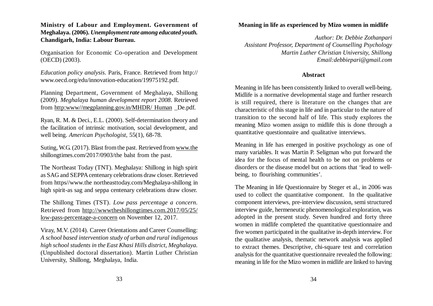**Ministry of Labour and Employment. Government of Meghalaya. (2006).** *Unemployment rate among educated youth.* **Chandigarh, India: Labour Bureau.**

Organisation for Economic Co-operation and Development (OECD) (2003).

*Education policy analysis*. Paris, France. Retrieved from http:// www.oecd.org/edu/innovation-education/19975192.pdf.

Planning Department, Government of Meghalaya, Shillong (2009). *Meghalaya human development report 2008*. Retrieved from http:www//megplanning.gov.in/MHDR/ Human De.pdf.

Ryan, R. M. & Deci., E.L. (2000). Self-determination theory and the facilitation of intrinsic motivation, social development, and well being. *American Psychologist,* 55(1), 68-78.

Suting, W.G. (2017). Blast from the past. Retrieved from www.the shillongtimes.com/2017/0903/the balst from the past.

The Northeast Today (TNT). Meghalaya: Shillong in high spirit as SAG and SEPPA centenary celebrations draw closer. Retrieved from https//www.the northeasttoday.com/Meghalaya-shillong in high spirit-as sag and seppa centenary celebrations draw closer.

The Shillong Times (TST). *Low pass percentage a concern.* Retrieved from http://wwwtheshillongtimes.com.2017/05/25/ low-pass-percentage-a-concern on November 12, 2017.

Viray, M.V. (2014). Career Orientations and Career Counselling: *A school based intervention study of urban and rural indigenous high school students in the East Khasi Hills district, Meghalaya.* (Unpublished doctoral dissertation). Martin Luther Christian University, Shillong, Meghalaya, India.

### **Meaning in life as experienced by Mizo women in midlife**

*Author: Dr. Debbie Zothanpari Assistant Professor, Department of Counselling Psychology Martin Luther Christian University, Shillong Email:debbiepari@gmail.com*

### **Abstract**

Meaning in life has been consistently linked to overall well-being. Midlife is a normative developmental stage and further research is still required, there is literature on the changes that are characteristic of this stage in life and in particular to the nature of transition to the second half of life. This study explores the meaning Mizo women assign to midlife this is done through a quantitative questionnaire and qualitative interviews.

Meaning in life has emerged in positive psychology as one of many variables. It was Martin P. Seligman who put forward the idea for the focus of mental health to be not on problems or disorders or the disease model but on actions that 'lead to wellbeing, to flourishing communities'.

The Meaning in life Questionnaire by Steger et al., in 2006 was used to collect the quantitative component. In the qualitative component interviews, pre-interview discussion, semi structured interview guide, hermeneutic phenomenological exploration, was adopted in the present study. Seven hundred and forty three women in midlife completed the quantitative questionnaire and five women participated in the qualitative in-depth interview. For the qualitative analysis, thematic network analysis was applied to extract themes. Descriptive, chi-square test and correlation analysis for the quantitative questionnaire revealed the following: meaning in life for the Mizo women in midlife are linked to having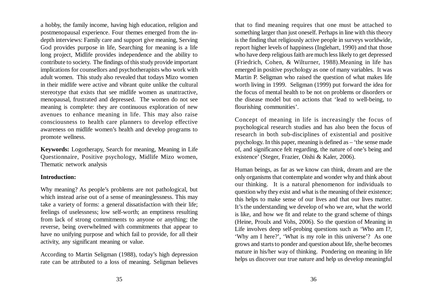a hobby, the family income, having high education, religion and postmenopausal experience. Four themes emerged from the indepth interviews: Family care and support give meaning, Serving God provides purpose in life, Searching for meaning is a life long project, Midlife provides independence and the ability to contribute to society. The findings of this study provide important implications for counsellors and psychotherapists who work with adult women. This study also revealed that todays Mizo women in their midlife were active and vibrant quite unlike the cultural stereotype that exists that see midlife women as unattractive, menopausal, frustrated and depressed. The women do not see meaning is complete: they are continuous exploration of new avenues to enhance meaning in life. This may also raise consciousness to health care planners to develop effective awareness on midlife women's health and develop programs to promote wellness.

**Keywords:** Logotherapy, Search for meaning, Meaning in Life Questionnaire, Positive psychology, Midlife Mizo women, Thematic network analysis

### **Introduction:**

Why meaning? As people's problems are not pathological, but which instead arise out of a sense of meaninglessness. This may take a variety of forms: a general dissatisfaction with their life; feelings of uselessness; low self-worth; an emptiness resulting from lack of strong commitments to anyone or anything; the reverse, being overwhelmed with commitments that appear to have no unifying purpose and which fail to provide, for all their activity, any significant meaning or value.

According to Martin Seligman (1988), today's high depression rate can be attributed to a loss of meaning. Seligman believes

that to find meaning requires that one must be attached to something larger than just oneself. Perhaps in line with this theory is the finding that religiously active people in surveys worldwide, report higher levels of happiness (Inglehart, 1990) and that those who have deep religious faith are much less likely to get depressed (Friedrich, Cohen, & Wilturner, 1988).Meaning in life has emerged in positive psychology as one of many variables. It was Martin P. Seligman who raised the question of what makes life worth living in 1999. Seligman (1999) put forward the idea for the focus of mental health to be not on problems or disorders or the disease model but on actions that 'lead to well-being, to flourishing communities'.

Concept of meaning in life is increasingly the focus of psychological research studies and has also been the focus of research in both sub-disciplines of existential and positive psychology. In this paper, meaning is defined as – 'the sense made of, and significance felt regarding, the nature of one's being and existence' (Steger, Frazier, Oishi & Kaler, 2006).

Human beings, as far as we know can think, dream and are the only organisms that contemplate and wonder why and think about our thinking. It is a natural phenomenon for individuals to question why they exist and what is the meaning of their existence; this helps to make sense of our lives and that our lives matter. It's the understanding we develop of who we are, what the world is like, and how we fit and relate to the grand scheme of things (Heine, Proulx and Vohs, 2006). So the question of Meaning in Life involves deep self-probing questions such as 'Who am I?, 'Why am I here?', 'What is my role in this universe'? As one grows and starts to ponder and question about life, she/he becomes mature in his/her way of thinking. Pondering on meaning in life helps us discover our true nature and help us develop meaningful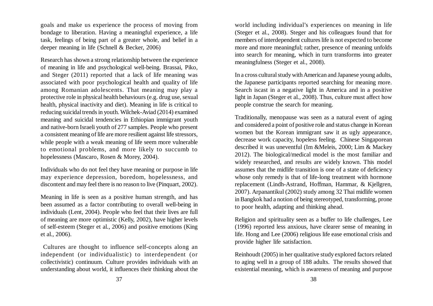goals and make us experience the process of moving from bondage to liberation. Having a meaningful experience, a life task, feelings of being part of a greater whole, and belief in a deeper meaning in life (Schnell & Becker, 2006)

Research has shown a strong relationship between the experience of meaning in life and psychological well-being. Brassai, Piko, and Steger (2011) reported that a lack of life meaning was associated with poor psychological health and quality of life among Romanian adolescents. That meaning may play a protective role in physical health behaviours (e.g. drug use, sexual health, physical inactivity and diet). Meaning in life is critical to reducing suicidal trends in youth. Wilchek-Aviad (2014) examined meaning and suicidal tendencies in Ethiopian immigrant youth and native-born Israeli youth of 277 samples. People who present a consistent meaning of life are more resilient against life stressors, while people with a weak meaning of life seem more vulnerable to emotional problems, and more likely to succumb to hopelessness (Mascaro, Rosen & Morey, 2004).

Individuals who do not feel they have meaning or purpose in life may experience depression, boredom, hopelessness, and discontent and may feel there is no reason to live (Pinquart, 2002).

Meaning in life is seen as a positive human strength, and has been assumed as a factor contributing to overall well-being in individuals (Lent, 2004). People who feel that their lives are full of meaning are more optimistic (Kelly, 2002), have higher levels of self-esteem (Steger et al., 2006) and positive emotions (King et al., 2006).

 Cultures are thought to influence self-concepts along an independent (or individualistic) to interdependent (or collectivistic) continuum. Culture provides individuals with an understanding about world, it influences their thinking about the

world including individual's experiences on meaning in life (Steger et al., 2008). Steger and his colleagues found that for members of interdependent cultures life is not expected to become more and more meaningful; rather, presence of meaning unfolds into search for meaning, which in turn transforms into greater meaningfulness (Steger et al., 2008).

In a cross cultural study with American and Japanese young adults, the Japanese participants reported searching for meaning more. Search iscast in a negative light in America and in a positive light in Japan (Steger et al., 2008). Thus, culture must affect how people construe the search for meaning.

Traditionally, menopause was seen as a natural event of aging and considered a point of positive role and status change in Korean women but the Korean immigrant saw it as ugly appearance, decrease work capacity, hopeless feeling. Chinese Singaporean described it was uneventful (Im &Meleis, 2000; Lim & Mackey 2012). The biological/medical model is the most familiar and widely researched, and results are widely known. This model assumes that the midlife transition is one of a state of deficiency whose only remedy is that of life-long treatment with hormone replacement (Lindh-Astrand, Hoffman, Hammar, & Kjellgren, 2007). Arpanantikul (2002) study among 32 Thai midlife women in Bangkok had a notion of being stereotyped, transforming, prone to poor health, adapting and thinking ahead.

Religion and spirituality seen as a buffer to life challenges, Lee (1996) reported less anxious, have clearer sense of meaning in life. Hong and Lee (2006) religious life ease emotional crisis and provide higher life satisfaction.

Reinhoudt (2005) in her qualitative study explored factors related to aging well in a group of 188 adults. The results showed that existential meaning, which is awareness of meaning and purpose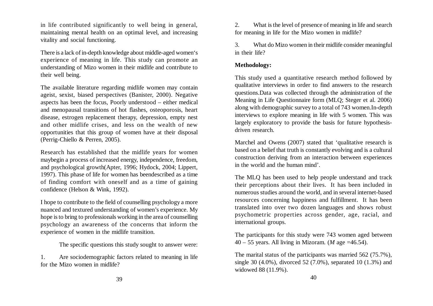in life contributed significantly to well being in general, maintaining mental health on an optimal level, and increasing vitality and social functioning.

There is a lack of in-depth knowledge about middle-aged women's experience of meaning in life. This study can promote an understanding of Mizo women in their midlife and contribute to their well being.

The available literature regarding midlife women may contain ageist, sexist, biased perspectives (Banister, 2000). Negative aspects has been the focus, Poorly understood – either medical and menopausal transitions of hot flashes, osteoporosis, heart disease, estrogen replacement therapy, depression, empty nest and other midlife crises, and less on the wealth of new opportunities that this group of women have at their disposal (Perrig-Chiello & Perren, 2005).

Research has established that the midlife years for women maybegin a process of increased energy, independence, freedom, and psychological growth(Apter, 1996; Hydock, 2004; Lippert, 1997). This phase of life for women has beendescribed as a time of finding comfort with oneself and as a time of gaining confidence (Helson & Wink, 1992).

I hope to contribute to the field of counselling psychology a more nuanced and textured understanding of women's experience. My hope is to bring to professionals working in the area of counselling psychology an awareness of the concerns that inform the experience of women in the midlife transition.

The specific questions this study sought to answer were:

1. Are sociodemographic factors related to meaning in life for the Mizo women in midlife?

2. What is the level of presence of meaning in life and search for meaning in life for the Mizo women in midlife?

3. What do Mizo women in their midlife consider meaningful in their life?

### **Methodology:**

This study used a quantitative research method followed by qualitative interviews in order to find answers to the research questions.Data was collected through the administration of the Meaning in Life Questionnaire form (MLQ; Steger et al. 2006) along with demographic survey to a total of 743 women.In-depth interviews to explore meaning in life with 5 women. This was largely exploratory to provide the basis for future hypothesisdriven research.

Marchel and Owens (2007) stated that 'qualitative research is based on a belief that truth is constantly evolving and is a cultural construction deriving from an interaction between experiences in the world and the human mind'.

The MLQ has been used to help people understand and track their perceptions about their lives. It has been included in numerous studies around the world, and in several internet-based resources concerning happiness and fulfillment. It has been translated into over two dozen languages and shows robust psychometric properties across gender, age, racial, and international groups.

The participants for this study were 743 women aged between 40 – 55 years. All living in Mizoram. (*M* age =46.54).

The marital status of the participants was married 562 (75.7%), single 30 (4.0%), divorced 52 (7.0%), separated 10 (1.3%) and widowed 88 (11.9%).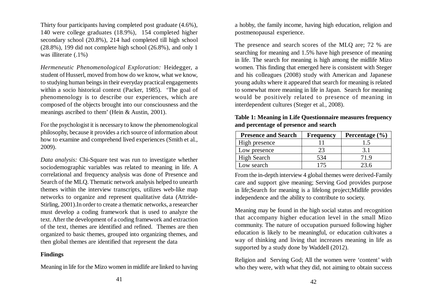Thirty four participants having completed post graduate (4.6%), 140 were college graduates (18.9%), 154 completed higher secondary school (20.8%), 214 had completed till high school (28.8%), 199 did not complete high school (26.8%), and only 1 was illiterate (.1%)

*Hermeneutic Phenomenological Exploration:* Heidegger, a student of Husserl, moved from how do we know, what we know, to studying human beings in their everyday practical engagements within a socio historical context (Packer, 1985). 'The goal of phenomenology is to describe our experiences, which are composed of the objects brought into our consciousness and the meanings ascribed to them' (Hein & Austin, 2001).

For the psychologist it is necessary to know the phenomenological philosophy, because it provides a rich source of information about how to examine and comprehend lived experiences (Smith et al., 2009).

*Data analysis:* Chi-Square test was run to investigate whether sociodemographic variables was related to meaning in life. A correlational and frequency analysis was done of Presence and Search of the MLQ. Thematic network analysis helped to unearth themes within the interview transcripts, utilizes web-like map networks to organize and represent qualitative data (Attride-Stirling, 2001).In order to create a thematic networks, a researcher must develop a coding framework that is used to analyze the text. After the development of a coding framework and extraction of the text, themes are identified and refined. Themes are then organized to basic themes, grouped into organizing themes, and then global themes are identified that represent the data

#### **Findings**

Meaning in life for the Mizo women in midlife are linked to having

a hobby, the family income, having high education, religion and postmenopausal experience.

The presence and search scores of the MLQ are; 72 % are searching for meaning and 1.5% have high presence of meaning in life. The search for meaning is high among the midlife Mizo women. This finding that emerged here is consistent with Steger and his colleagues (2008) study with American and Japanese young adults where it appeared that search for meaning is related to somewhat more meaning in life in Japan. Search for meaning would be positively related to presence of meaning in interdependent cultures (Steger et al., 2008).

**Table 1: Meaning in Life Questionnaire measures frequency and percentage of presence and search**

| <b>Presence and Search</b> | <b>Frequency</b> | Percentage $(\% )$ |
|----------------------------|------------------|--------------------|
| High presence              |                  | 1.5                |
| Low presence               | 23               | 31                 |
| <b>High Search</b>         | 534              | 71.9               |
| Low search                 | 175              | 23.6               |

From the in-depth interview 4 global themes were derived-Family care and support give meaning; Serving God provides purpose in life;Search for meaning is a lifelong project;Midlife provides independence and the ability to contribute to society.

Meaning may be found in the high social status and recognition that accompany higher education level in the small Mizo community. The nature of occupation pursued following higher education is likely to be meaningful, or education cultivates a way of thinking and living that increases meaning in life as supported by a study done by Waddell (2012).

Religion and Serving God; All the women were 'content' with who they were, with what they did, not aiming to obtain success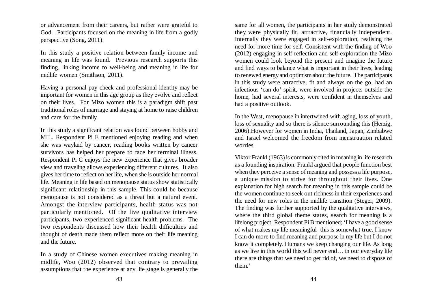or advancement from their careers, but rather were grateful to God. Participants focused on the meaning in life from a godly perspective (Song, 2011).

In this study a positive relation between family income and meaning in life was found. Previous research supports this finding, linking income to well-being and meaning in life for midlife women (Smithson, 2011).

Having a personal pay check and professional identity may be important for women in this age group as they evolve and reflect on their lives. For Mizo women this is a paradigm shift past traditional roles of marriage and staying at home to raise children and care for the family.

In this study a significant relation was found between hobby and MIL. Respondent Pi E mentioned enjoying reading and when she was waylaid by cancer, reading books written by cancer survivors has helped her prepare to face her terminal illness. Respondent Pi C enjoys the new experience that gives broader view and traveling allows experiencing different cultures. It also gives her time to reflect on her life, when she is outside her normal life. Meaning in life based on menopause status show statistically significant relationship in this sample. This could be because menopause is not considered as a threat but a natural event. Amongst the interview participants, health status was not particularly mentioned. Of the five qualitative interview participants, two experienced significant health problems. The two respondents discussed how their health difficulties and thought of death made them reflect more on their life meaning and the future.

In a study of Chinese women executives making meaning in midlife, Woo (2012) observed that contrary to prevailing assumptions that the experience at any life stage is generally the

same for all women, the participants in her study demonstrated they were physically fit, attractive, financially independent. Internally they were engaged in self-exploration, realising the need for more time for self. Consistent with the finding of Woo (2012) engaging in self-reflection and self-exploration the Mizo women could look beyond the present and imagine the future and find ways to balance what is important in their lives, leading to renewed energy and optimism about the future. The participants in this study were attractive, fit and always on the go, had an infectious 'can do' spirit, were involved in projects outside the home, had several interests, were confident in themselves and had a positive outlook.

In the West, menopause in intertwined with aging, loss of youth, loss of sexuality and so there is silence surrounding this (Herzig, 2006).However for women in India, Thailand, Japan, Zimbabwe and Israel welcomed the freedom from menstruation related worries.

Viktor Frankl (1963) is commonly cited in meaning in life research as a founding inspiration. Frankl argued that people function best when they perceive a sense of meaning and possess a life purpose, a unique mission to strive for throughout their lives. One explanation for high search for meaning in this sample could be the women continue to seek out richness in their experiences and the need for new roles in the midlife transition (Steger, 2009). The finding was further supported by the qualitative interviews, where the third global theme states, search for meaning is a lifelong project. Respondent Pi B mentioned; 'I have a good sense of what makes my life meaningful- this is somewhat true. I know I can do more to find meaning and purpose in my life but I do not know it completely. Humans we keep changing our life. As long as we live in this world this will never end… in our everyday life there are things that we need to get rid of, we need to dispose of them.'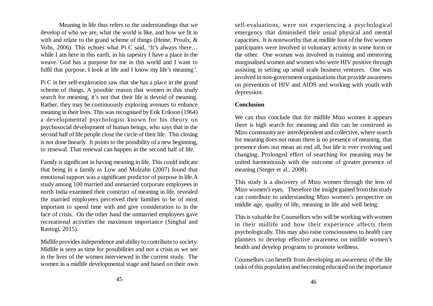Meaning in life thus refers to the understandings that we develop of who we are, what the world is like, and how we fit in with and relate to the grand scheme of things (Heine, Proulx, & Vohs, 2006). This echoes what Pi C said, 'It's always there… while I am here in this earth, in his tapestry I have a place in the weave. God has a purpose for me in this world and I want to fulfil that purpose. I look at life and I know my life's meaning*'*.

Pi C in her self-exploration saw that she has a place in the grand scheme of things. A possible reason that women in this study search for meaning, it's not that their life is devoid of meaning. Rather, they may be continuously exploring avenues to enhance meaning in their lives. This was recognised by Erik Erikson (1964) a developmental psychologist known for his theory on psychosocial development of human beings, who says that in the second half of life people close the circle of their life. This closing is not done linearly. It points to the possibility of a new beginning, to renewal. That renewal can happen in the second half of life.

Family is significant in having meaning in life. This could indicate that being in a family as Low and Molzahn (2007) found that emotional support was a significant predictor of purpose in life.A study among 100 married and unmarried corporate employees in north India examined their construct of meaning in life, revealed the married employees perceived their families to be of most important to spend time with and give consideration to in the face of crisis. On the other hand the unmarried employees gave recreational activities the maximum importance (Singhal and Rastogi, 2015).

Midlife provides independence and ability to contribute to society. Midlife is seen as time for possibilities and not a crisis as we see in the lives of the women interviewed in the current study. The women in a midlife developmental stage and based on their own

self-evaluations, were not experiencing a psychological emergency that diminished their usual physical and mental capacities. It is noteworthy that at midlife four of the five women participants were involved in voluntary activity in some form or the other. One woman was involved in training and mentoring marginalised women and women who were HIV positive through assisting in setting up small scale business ventures. One was involved in non-government organisations that provide awareness on prevention of HIV and AIDS and working with youth with depression.

### **Conclusion**

We can thus conclude that for midlife Mizo women it appears there is high search for meaning and this can be construed as Mizo community are interdependent and collective, where search for meaning does not mean there is no presence of meaning, that presence does not mean an end all, but life is ever evolving and changing. Prolonged effort of searching for meaning may be united harmoniously with the outcome of greater presence of meaning (Steger et al., 2008).

This study is a discovery of Mizo women through the lens of Mizo women's eyes. Therefore the insight gained from this study can contribute to understanding Mizo women's perspective on middle age, quality of life, meaning in life and well being.

This is valuable for Counsellors who will be working with women in their midlife and how their experience affects them psychologically. This may also raise consciousness to health care planners to develop effective awareness on midlife women's health and develop programs to promote wellness.

Counsellors can benefit from developing an awareness of the life tasks of this population and becoming educated on the importance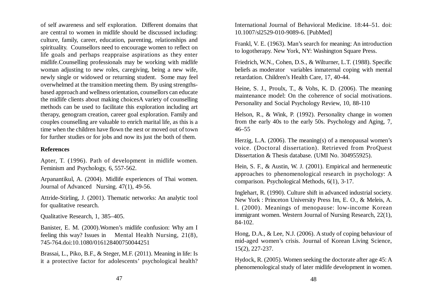of self awareness and self exploration. Different domains that are central to women in midlife should be discussed including: culture, family, career, education, parenting, relationships and spirituality. Counsellors need to encourage women to reflect on life goals and perhaps reappraise aspirations as they enter midlife.Counselling professionals may be working with midlife woman adjusting to new roles, caregiving, being a new wife, newly single or widowed or returning student. Some may feel overwhelmed at the transition meeting them. By using strengthsbased approach and wellness orientation, counsellors can educate the midlife clients about making choicesA variety of counselling methods can be used to facilitate this exploration including art therapy, genogram creation, career goal exploration. Family and couples counselling are valuable to enrich marital life, as this is a time when the children have flown the nest or moved out of town for further studies or for jobs and now its just the both of them.

#### **References**

Apter, T. (1996). Path of development in midlife women. Feminism and Psychology, 6, 557-562.

Arpanantikul, A. (2004). Midlife experiences of Thai women. Journal of Advanced Nursing. 47(1), 49-56.

Attride-Stirling, J. (2001). Thematic networks: An analytic tool for qualitative research.

Qualitative Research, 1, 385–405.

Banister, E. M. (2000).Women's midlife confusion: Why am I feeling this way? Issues in Mental Health Nursing, 21(8), 745-764.doi:10.1080/016128400750044251

Brassai, L., Piko, B.F., & Steger, M.F. (2011). Meaning in life: Is it a protective factor for adolescents' psychological health? International Journal of Behavioral Medicine. 18:44–51. doi: 10.1007/sl2529-010-9089-6. [PubMed]

Frankl, V. E. (1963). Man's search for meaning: An introduction to logotherapy. New York, NY: Washington Square Press.

Friedrich, W.N., Cohen, D.S., & Wilturner, L.T. (1988). Specific beliefs as moderator variables inmaternal coping with mental retardation. Children's Health Care, 17, 40-44.

Heine, S. J., Proulx, T., & Vohs, K. D. (2006). The meaning maintenance model: On the coherence of social motivations. Personality and Social Psychology Review, 10, 88-110

Helson, R., & Wink, P. (1992). Personality change in women from the early 40s to the early 50s. Psychology and Aging, 7, 46–55

Herzig, L.A. (2006). The meaning(s) of a menopausal women's voice. (Doctoral dissertation). Retrieved from ProQuest Dissertation & Thesis database. (UMI No. 304955925).

Hein, S. F., & Austin, W. J. (2001). Empirical and hermeneutic approaches to phenomenological research in psychology: A comparison. Psychological Methods, 6(1), 3-17.

Inglehart, R. (1990). Culture shift in advanced industrial society. New York : Princeton University Press Im, E. O., & Meleis, A. I. (2000). Meanings of menopause: low-income Korean immigrant women. Western Journal of Nursing Research, 22(1), 84-102.

Hong, D.A., & Lee, N.J. (2006). A study of coping behaviour of mid-aged women's crisis. Journal of Korean Living Science, 15(2), 227-237.

Hydock, R. (2005). Women seeking the doctorate after age 45: A phenomenological study of later midlife development in women.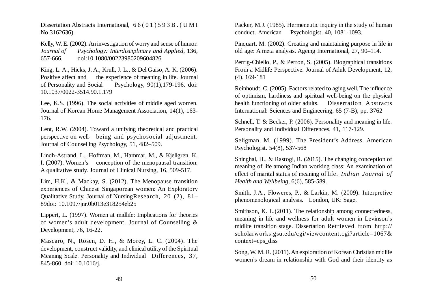Dissertation Abstracts International, 6 6 ( 0 1 ) 5 9 3 B . ( U M I No.3162636).

Kelly, W. E. (2002). An investigation of worry and sense of humor. *Journal of Psychology: Interdisciplinary and Applied*, 136, 657-666. doi:10.1080/00223980209604826

King, L. A., Hicks, J. A., Krull, J. L., & Del Gaiso, A. K. (2006). Positive affect and the experience of meaning in life. Journal of Personality and Social Psychology, 90(1),179-196. doi: 10.1037/0022-3514.90.1.179

Lee, K.S. (1996). The social activities of middle aged women. Journal of Korean Home Management Association, 14(1), 163- 176.

Lent, R.W. (2004). Toward a unifying theoretical and practical perspective on well- being and psychosocial adjustment. Journal of Counselling Psychology, 51, 482–509.

Lindh-Astrand, L., Hoffman, M., Hammar, M., & Kjellgren, K. I. (2007). Women's conception of the menopausal transition: A qualitative study. Journal of Clinical Nursing, 16, 509-517.

Lim, H.K., & Mackay, S. (2012). The Menopause transition experiences of Chinese Singaporean women: An Exploratory Qualitative Study. Journal of NursingResearch, 20 (2), 81– 89doi: 10.1097/jnr.0b013e318254eb25

Lippert, L. (1997). Women at midlife: Implications for theories of women's adult development. Journal of Counselling & Development, 76, 16-22.

Mascaro, N., Rosen, D. H., & Morey, L. C. (2004). The development, construct validity, and clinical utility of the Spiritual Meaning Scale. Personality and Individual Differences, 37, 845-860. doi: 10.1016/j.

Packer, M.J. (1985). Hermeneutic inquiry in the study of human conduct. American Psychologist. 40, 1081-1093.

Pinquart, M. (2002). Creating and maintaining purpose in life in old age: A meta analysis. Ageing International, 27, 90–114.

Perrig-Chiello, P., & Perron, S. (2005). Biographical transitions From a Midlife Perspective. Journal of Adult Development, 12, (4), 169-181

Reinhoudt, C. (2005). Factors related to aging well. The influence of optimism, hardiness and spiritual well-being on the physical health functioning of older adults. Dissertation Abstracts International: Sciences and Engineering, 65 (7-B), pp. 3762

Schnell, T. & Becker, P. (2006). Personality and meaning in life. Personality and Individual Differences, 41, 117-129.

Seligman, M. (1999). The President's Address. American Psychologist. 54(8), 537-568

Shinghal, H., & Rastogi, R. (2015). The changing conception of meaning of life among Indian working class: An examination of effect of marital status of meaning of life. *Indian Journal of Health and Wellbeing,* 6(6), 585-589.

Smith, J.A., Floweres, P., & Larkin, M. (2009). Interpretive phenomenological analysis. London, UK: Sage.

Smithson, K. L.(2011). The relationship among connectedness, meaning in life and wellness for adult women in Levinson's midlife transition stage. Dissertation Retrieved from http:// scholarworks.gsu.edu/cgi/viewcontent.cgi?article=1067& context=cps\_diss

Song, W. M. R. (2011). An exploration of Korean Christian midlife women's dream in relationship with God and their identity as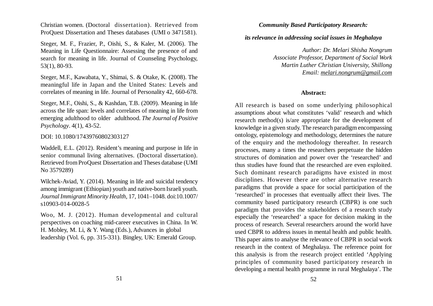Christian women. (Doctoral dissertation). Retrieved from ProQuest Dissertation and Theses databases (UMI o 3471581).

Steger, M. F., Frazier, P., Oishi, S., & Kaler, M. (2006). The Meaning in Life Questionnaire: Assessing the presence of and search for meaning in life. Journal of Counseling Psychology, 53(1), 80-93.

Steger, M.F., Kawabata, Y., Shimai, S. & Otake, K. (2008). The meaningful life in Japan and the United States: Levels and correlates of meaning in life. Journal of Personality 42, 660-678.

Steger, M.F., Oishi, S., & Kashdan, T.B. (2009). Meaning in life across the life span: levels and correlates of meaning in life from emerging adulthood to older adulthood. *The Journal of Positive Psychology*. 4(1), 43-52.

### DOI: 10.1080/17439760802303127

Waddell, E.L. (2012). Resident's meaning and purpose in life in senior communal living alternatives. (Doctoral dissertation). Retrieved from ProQuest Dissertation and Theses database (UMI No 3579289)

Wilchek-Aviad, Y. (2014). Meaning in life and suicidal tendency among immigrant (Ethiopian) youth and native-born Israeli youth. *Journal Immigrant Minority Health*, 17, 1041–1048. doi:10.1007/ s10903-014-0028-5

Woo, M. J. (2012). Human developmental and cultural perspectives on coaching mid-career executives in China. In W. H. Mobley, M. Li, & Y. Wang (Eds.), Advances in global leadership (Vol. 6, pp. 315-331). Bingley, UK: Emerald Group.

*Community Based Participatory Research:*

*its relevance in addressing social issues in Meghalaya*

*Author: Dr. Melari Shisha Nongrum Associate Professor, Department of Social Work Martin Luther Christian University, Shillong Email: melari.nongrum@gmail.com*

### **Abstract:**

All research is based on some underlying philosophical assumptions about what constitutes 'valid' research and which research method(s) is/are appropriate for the development of knowledge in a given study. The research paradigm encompassing ontology, epistemology and methodology, determines the nature of the enquiry and the methodology thereafter. In research processes, many a times the researchers perpetuate the hidden structures of domination and power over the 'researched' and thus studies have found that the researched are even exploited. Such dominant research paradigms have existed in most disciplines. However there are other alternative research paradigms that provide a space for social participation of the 'researched' in processes that eventually affect their lives. The community based participatory research (CBPR) is one such paradigm that provides the stakeholders of a research study especially the 'researched' a space for decision making in the process of research. Several researchers around the world have used CBPR to address issues in mental health and public health. This paper aims to analyse the relevance of CBPR in social work research in the context of Meghalaya. The reference point for this analysis is from the research project entitled 'Applying principles of community based participatory research in developing a mental health programme in rural Meghalaya'. The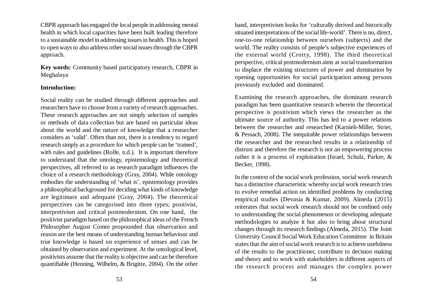CBPR approach has engaged the local people in addressing mental health in which local capacities have been built leading therefore to a sustainable model in addressing issues in health. This is hoped to open ways to also address other social issues through the CBPR approach.

**Key words:** Community based participatory research, CBPR in Meghalaya

#### **Introduction:**

Social reality can be studied through different approaches and researchers have to choose from a variety of research approaches. These research approaches are not simply selection of samples or methods of data collection but are based on particular ideas about the world and the nature of knowledge that a researcher considers as 'valid'. Often than not, there is a tendency to regard research simply as a procedure for which people can be 'trained', with rules and guidelines (Rolfe, n.d.). It is important therefore to understand that the ontology, epistemology and theoretical perspectives, all referred to as research paradigm influences the choice of a research methodology (Gray, 2004). While ontology embodies the understanding of 'what is', epistemology provides a philosophical background for deciding what kinds of knowledge are legitimate and adequate (Gray, 2004). The theoretical perspectives can be categorised into three types; positivist, interpretivism and critical postmodernism. On one hand, the positivist paradigm based on the philosophical ideas of the French Philosopher August Comte propounded that observation and reason are the best means of understanding human behaviour and true knowledge is based on experience of senses and can be obtained by observation and experiment. At the ontological level, positivists assume that the reality is objective and can be therefore quantifiable (Henning, Wilhelm, & Brigitte, 2004). On the other

hand, interpretivism looks for 'culturally derived and historically situated interpretations of the social life-world'. There is no, direct, one-to-one relationship between ourselves (subjects) and the world. The reality consists of people's subjective experiences of the external world (Crotty, 1998). The third theoretical perspective, critical postmodernism aims at social transformation to displace the existing structures of power and domination by opening opportunities for social participation among persons previously excluded and dominated.

Examining the research approaches, the dominant research paradigm has been quantitative research wherein the theoretical perspective is positivism which views the researcher as the ultimate source of authority. This has led to a power relations between the researcher and researched (Karnieli-Miller, Strier, & Pessach, 2008). The inequitable power relationships between the researcher and the researched results in a relationship of distrust and therefore the research is not an empowering process rather it is a process of exploitation (Israel, Schulz, Parker, & Becker, 1998).

In the context of the social work profession, social work research has a distinctive characteristic whereby social work research tries to evolve remedial action on identified problems by conducting empirical studies (Devasia & Kumar, 2009). Almeda (2015) reiterates that social work research should not be confined only to understanding the social phenomenon or developing adequate methodologies to analyze it but also to bring about structural changes through its research findings (Almeda, 2015). The Joint University Council Social Work Education Committee in Britain states that the aim of social work research is to achieve usefulness of the results to the practitioner, contribute to decision making and theory and to work with stakeholders in different aspects of the research process and manages the complex power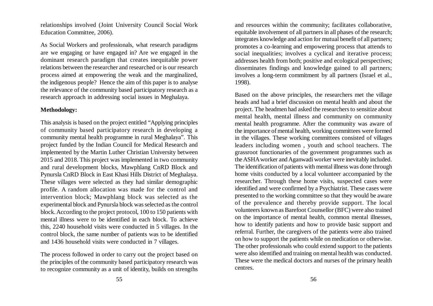relationships involved (Joint University Council Social Work Education Committee, 2006).

As Social Workers and professionals, what research paradigms are we engaging or have engaged in? Are we engaged in the dominant research paradigm that creates inequitable power relations between the researcher and researched or is our research process aimed at empowering the weak and the marginalized, the indigenous people? Hence the aim of this paper is to analyse the relevance of the community based participatory research as a research approach in addressing social issues in Meghalaya.

### **Methodology:**

This analysis is based on the project entitled "Applying principles of community based participatory research in developing a community mental health programme in rural Meghalaya". This project funded by the Indian Council for Medical Research and implemented by the Martin Luther Christian University between 2015 and 2018. This project was implemented in two community and rural development blocks, Mawphlang CnRD Block and Pynursla CnRD Block in East Khasi Hills District of Meghalaya. These villages were selected as they had similar demographic profile. A random allocation was made for the control and intervention block; Mawphlang block was selected as the experimental block and Pynursla block was selected as the control block. According to the project protocol, 100 to 150 patients with mental illness were to be identified in each block. To achieve this, 2240 household visits were conducted in 5 villages. In the control block, the same number of patients was to be identified and 1436 household visits were conducted in 7 villages.

The process followed in order to carry out the project based on the principles of the community based participatory research was to recognize community as a unit of identity, builds on strengths

and resources within the community; facilitates collaborative, equitable involvement of all partners in all phases of the research; integrates knowledge and action for mutual benefit of all partners; promotes a co-learning and empowering process that attends to social inequalities; involves a cyclical and iterative process; addresses health from both; positive and ecological perspectives; disseminates findings and knowledge gained to all partners; involves a long-term commitment by all partners (Israel et al., 1998).

Based on the above principles, the researchers met the village heads and had a brief discussion on mental health and about the project. The headmen had asked the researchers to sensitize about mental health, mental illness and community on community mental health programme. After the community was aware of the importance of mental health, working committees were formed in the villages. These working committees consisted of villages leaders including women , youth and school teachers. The grassroot functionaries of the government programmes such as the ASHA worker and Aganwadi worker were inevitably included. The identification of patients with mental illness was done through home visits conducted by a local volunteer accompanied by the researcher. Through these home visits, suspected cases were identified and were confirmed by a Psychiatrist. These cases were presented to the working committee so that they would be aware of the prevalence and thereby provide support. The local volunteers known as Barefoot Counsellor (BFC) were also trained on the importance of mental health, common mental illnesses, how to identify patients and how to provide basic support and referral. Further, the caregivers of the patients were also trained on how to support the patients while on medication or otherwise. The other professionals who could extend support to the patients were also identified and training on mental health was conducted. These were the medical doctors and nurses of the primary health centres.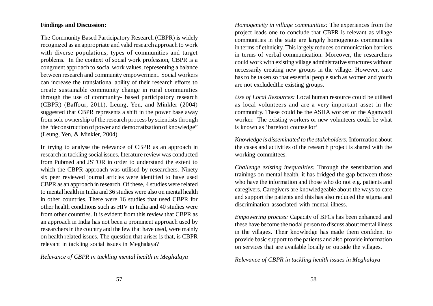### **Findings and Discussion:**

The Community Based Participatory Research (CBPR) is widely recognized as an appropriate and valid research approach to work with diverse populations, types of communities and target problems. In the context of social work profession, CBPR is a congruent approach to social work values, representing a balance between research and community empowerment. Social workers can increase the translational ability of their research efforts to create sustainable community change in rural communities through the use of community- based participatory research (CBPR) (Baffour, 2011). Leung, Yen, and Minkler (2004) suggested that CBPR represents a shift in the power base away from sole ownership of the research process by scientists through the "deconstruction of power and democratization of knowledge" (Leung, Yen, & Minkler, 2004).

In trying to analyse the relevance of CBPR as an approach in research in tackling social issues, literature review was conducted from Pubmed and JSTOR in order to understand the extent to which the CBPR approach was utilised by researchers. Ninety six peer reviewed journal articles were identified to have used CBPR as an approach in research. Of these, 4 studies were related to mental health in India and 36 studies were also on mental health in other countries. There were 16 studies that used CBPR for other health conditions such as HIV in India and 40 studies were from other countries. It is evident from this review that CBPR as an approach in India has not been a prominent approach used by researchers in the country and the few that have used, were mainly on health related issues. The question that arises is that, is CBPR relevant in tackling social issues in Meghalaya?

*Relevance of CBPR in tackling mental health in Meghalaya*

*Homogeneity in village communities:* The experiences from the project leads one to conclude that CBPR is relevant as village communities in the state are largely homogenous communities in terms of ethnicity. This largely reduces communication barriers in terms of verbal communication. Moreover, the researchers could work with existing village administrative structures without necessarily creating new groups in the village. However, care has to be taken so that essential people such as women and youth are not excludedthe existing groups.

*Use of Local Resources:* Local human resource could be utilised as local volunteers and are a very important asset in the community. These could be the ASHA worker or the Aganwadi worker. The existing workers or new volunteers could be what is known as 'barefoot counsellor'

*Knowledge is disseminated to the stakeholders:* Information about the cases and activities of the research project is shared with the working committees.

*Challenge existing inequalities:* Through the sensitization and trainings on mental health, it has bridged the gap between those who have the information and those who do not e.g. patients and caregivers. Caregivers are knowledgeable about the ways to care and support the patients and this has also reduced the stigma and discrimination associated with mental illness.

*Empowering process:* Capacity of BFCs has been enhanced and these have become the nodal person to discuss about mental illness in the villages. Their knowledge has made them confident to provide basic support to the patients and also provide information on services that are available locally or outside the villages.

*Relevance of CBPR in tackling health issues in Meghalaya*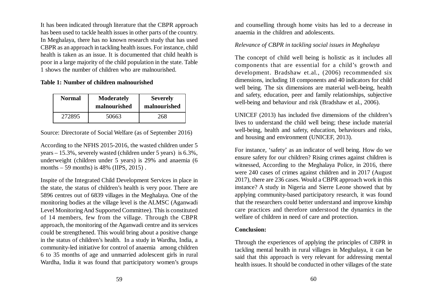It has been indicated through literature that the CBPR approach has been used to tackle health issues in other parts of the country. In Meghalaya, there has no known research study that has used CBPR as an approach in tackling health issues. For instance, child health is taken as an issue. It is documented that child health is poor in a large majority of the child population in the state. Table 1 shows the number of children who are malnourished.

### **Table 1: Number of children malnourished**

| <b>Normal</b> | <b>Moderately</b><br>malnourished | <b>Severely</b><br>malnourished |
|---------------|-----------------------------------|---------------------------------|
| 272895        | 50663                             | 268                             |

Source: Directorate of Social Welfare (as of September 2016)

According to the NFHS 2015-2016, the wasted children under 5 years – 15.3%, severely wasted (children under 5 years) is 6.3%, underweight (children under 5 years) is 29% and anaemia (6 months  $-59$  months) is 48% (IIPS, 2015).

Inspite of the Integrated Child Development Services in place in the state, the status of children's health is very poor. There are 5896 centres out of 6839 villages in the Meghalaya. One of the monitoring bodies at the village level is the ALMSC (Aganwadi Level Monitoring And Supported Committee). This is constituted of 14 members, few from the village. Through the CBPR approach, the monitoring of the Aganwadi centre and its services could be strengthened. This would bring about a positive change in the status of children's health. In a study in Wardha, India, a community-led initiative for control of anaemia among children 6 to 35 months of age and unmarried adolescent girls in rural Wardha, India it was found that participatory women's groups

and counselling through home visits has led to a decrease in anaemia in the children and adolescents.

### *Relevance of CBPR in tackling social issues in Meghalaya*

The concept of child well being is holistic as it includes all components that are essential for a child's growth and development. Bradshaw et.al., (2006) recommended six dimensions, including 18 components and 40 indicators for child well being. The six dimensions are material well-being, health and safety, education, peer and family relationships, subjective well-being and behaviour and risk (Bradshaw et al., 2006).

UNICEF (2013) has included five dimensions of the children's lives to understand the child well being; these include material well-being, health and safety, education, behaviours and risks, and housing and environment (UNICEF, 2013).

For instance, 'safety' as an indicator of well being. How do we ensure safety for our children? Rising crimes against children is witnessed, According to the Meghalaya Police, in 2016, there were 240 cases of crimes against children and in 2017 (August 2017), there are 236 cases. Would a CBPR approach work in this instance? A study in Nigeria and Sierre Leone showed that by applying community-based participatory research, it was found that the researchers could better understand and improve kinship care practices and therefore understood the dynamics in the welfare of children in need of care and protection.

### **Conclusion:**

Through the experiences of applying the principles of CBPR in tackling mental health in rural villages in Meghalaya, it can be said that this approach is very relevant for addressing mental health issues. It should be conducted in other villages of the state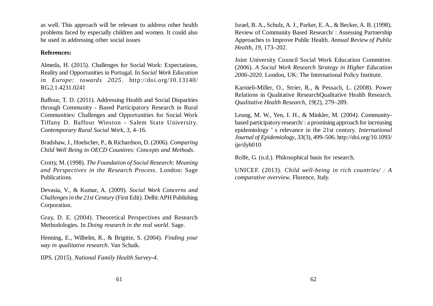as well. This approach will be relevant to address other health problems faced by especially children and women. It could also be used in addressing other social issues

### **References:**

Almeda, H. (2015). Challenges for Social Work: Expectations, Reality and Opportunities in Portugal. In *Social Work Education in Europe: towards 2025*. http://doi.org/10.13140/ RG.2.1.4231.0241

Baffour, T. D. (2011). Addressing Health and Social Disparities through Community - Based Participatory Research in Rural Communities: Challenges and Opportunities for Social Work Tiffany D. Baffour Winston - Salem State University. *Contemporary Rural Social Work*, *3*, 4–16.

Bradshaw, J., Hoelscher, P., & Richardson, D. (2006). *Comparing Child Well Being in OECD Countires: Concepts and Methods*.

Crotty, M. (1998). *The Foundation of Social Research: Meaning and Perspectives in the Research Process*. London: Sage Publications.

Devasia, V., & Kumar, A. (2009). *Social Work Concerns and Challenges in the 21st Century* (First Edit). Delhi: APH Publishing Corporation.

Gray, D. E. (2004). Theoretical Perspectives and Research Methodologies. In *Doing research in the real world*. Sage.

Henning, E., Wilhelm, R., & Brigitte, S. (2004). *Finding your way in qualitative research*. Van Schaik.

IIPS. (2015). *National Family Health Survey-4*.

Israel, B. A., Schulz, A. J., Parker, E. A., & Becker, A. B. (1998). Review of Community Based Research/ : Assessing Partnership Approaches to Improve Public Health. *Annual Review of Public Health*, *19*, 173–202.

Joint University Council Social Work Education Committee. (2006). *A Social Work Research Strategy in Higher Education 2006-2020*. London, UK: The International Policy Institute.

Karnieli-Miller, O., Strier, R., & Pessach, L. (2008). Power Relations in Qualitative ResearchQualitative Health Research. *Qualitative Health Research*, *19*(2), 279–289.

Leung, M. W., Yen, I. H., & Minkler, M. (2004). Communitybased participatory research/ : a promising approach for increasing epidemiology ' s relevance in the 21st century. *International Journal of Epidemiology*, *33*(3), 499–506. http://doi.org/10.1093/ ije/dyh010

Rolfe, G. (n.d.). Philosophical basis for research.

UNICEF. (2013). *Child well-being in rich countries/ : A comparative overview*. Florence, Italy.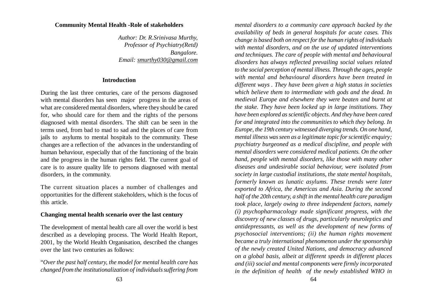#### **Community Mental Health -Role of stakeholders**

*Author: Dr. R.Srinivasa Murthy, Professor of Psychiatry(Retd) Bangalore. Email: smurthy030@gmail.com*

#### **Introduction**

During the last three centuries, care of the persons diagnosed with mental disorders has seen major progress in the areas of what are considered mental disorders, where they should be cared for, who should care for them and the rights of the persons diagnosed with mental disorders. The shift can be seen in the terms used, from bad to mad to sad and the places of care from jails to asylums to mental hospitals to the community. These changes are a reflection of the advances in the understanding of human behaviour, especially that of the functioning of the brain and the progress in the human rights field. The current goal of care is to assure quality life to persons diagnosed with mental disorders, in the community.

The current situation places a number of challenges and opportunities for the different stakeholders, which is the focus of this article.

### **Changing mental health scenario over the last century**

The development of mental health care all over the world is best described as a developing process. The World Health Report, 2001, by the World Health Organisation, described the changes over the last two centuries as follows:

"*Over the past half century, the model for mental health care has changed from the institutionalization of individuals suffering from*

*mental disorders to a community care approach backed by the availability of beds in general hospitals for acute cases. This change is based both on respect for the human rights of individuals with mental disorders, and on the use of updated interventions and techniques. The care of people with mental and behavioural disorders has always reflected prevailing social values related to the social perception of mental illness. Through the ages, people with mental and behavioural disorders have been treated in different ways . They have been given a high status in societies which believe them to intermediate with gods and the dead. In medieval Europe and elsewhere they were beaten and burnt at the stake. They have been locked up in large institutions. They have been explored as scientific objects. And they have been cared for and integrated into the communities to which they belong. In Europe, the 19th century witnessed diverging trends. On one hand, mental illness was seen as a legitimate topic for scientific enquiry; psychiatry burgeoned as a medical discipline, and people with mental disorders were considered medical patients. On the other hand, people with mental disorders, like those with many other diseases and undesirable social behaviour, were isolated from society in large custodial institutions, the state mental hospitals, formerly known as lunatic asylums. These trends were later exported to Africa, the Americas and Asia. During the second half of the 20th century, a shift in the mental health care paradigm took place, largely owing to three independent factors, namely (i) psychopharmacology made significant progress, with the discovery of new classes of drugs, particularly neuroleptics and antidepressants, as well as the development of new forms of psychosocial interventions; (ii) the human rights movement became a truly international phenomenon under the sponsorship of the newly created United Nations, and democracy advanced on a global basis, albeit at different speeds in different places and (iii) social and mental components were firmly incorporated in the definition of health of the newly established WHO in*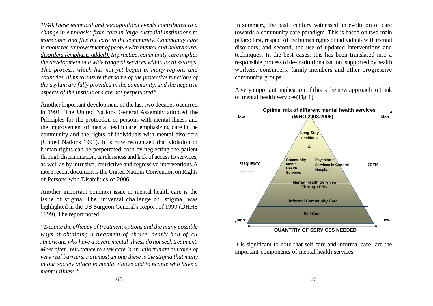*1948.These technical and sociopolitical events contributed to a change in emphasis: from care in large custodial institutions to more open and flexible care in the community. Community care is about the empowerment of people with mental and behavioural disorders.(emphasis added). In practice, community care implies the development of a wide range of services within local settings. This process, which has not yet begun in many regions and countries, aims to ensure that some of the protective functions of the asylum are fully provided in the community, and the negative aspects of the institutions are not perpetuated".*

Another important development of the last two decades occurred in 1991. The United Nations General Assembly adopted th**e** Principles for the protection of persons with mental illness and the improvement of mental health care, emphasizing care in the community and the rights of individuals with mental disorders (United Nations 1991). It is now recognized that violation of human rights can be perpetrated both by neglecting the patient through discrimination, carelessness and lack of access to services, as well as by intrusive, restrictive and regressive interventions.A more recent document is the United Nations Convention on Rights of Persons with Disabilities of 2006.

Another important common issue in mental health care is the issue of stigma. The universal challenge of stigma was highlighted in the US Surgeon General's Report of 1999 (DHHS 1999). The report noted

*"Despite the efficacy of treatment options and the many possible ways of obtaining a treatment of choice, nearly half of all Americans who have a severe mental illness do not seek treatment. Most often, reluctance to seek care is an unfortunate outcome of very real barriers. Foremost among these is the stigma that many in our society attach to mental illness and to people who have a mental illness."*

In summary, the past century witnessed an evolution of care towards a community care paradigm. This is based on two main pillars: first, respect of the human rights of individuals with mental disorders; and second, the use of updated interventions and techniques. In the best cases, this has been translated into a responsible process of de-institutionalization, supported by health workers, consumers, family members and other progressive community groups.

A very important implication of this is the new approach to think of mental health services(Fig 1)



It is significant to note that self-care and informal care are the important components of mental health services.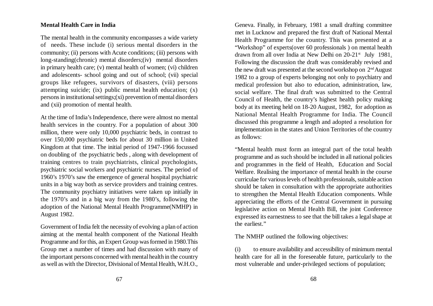### **Mental Health Care in India**

The mental health in the community encompasses a wide variety of needs. These include (i) serious mental disorders in the community; (ii) persons with Acute conditions; (iii) persons with long-standing(chronic) mental disorders;(iv) mental disorders in primary health care; (v) mental health of women; (vi) children and adolescents- school going and out of school; (vii) special groups like refugees, survivors of disasters, (viii) persons attempting suicide; (ix) public mental health education; (x) persons in institutional settings;(xi) prevention of mental disorders and (xii) promotion of mental health.

At the time of India's Independence, there were almost no mental health services in the country. For a population of about 300 million, there were only 10,000 psychiatric beds, in contrast to over 150,000 psychiatric beds for about 30 million in United Kingdom at that time. The initial period of 1947-1966 focussed on doubling of the psychiatric beds , along with development of training centres to train psychiatrists, clinical psychologists, psychiatric social workers and psychiatric nurses. The period of 1960's 1970's saw the emergence of general hospital psychiatric units in a big way both as service providers and training centres. The community psychiatry initiatives were taken up initially in the 1970's and in a big way from the 1980's, following the adoption of the National Mental Health Programme(NMHP) in August 1982.

Government of India felt the necessity of evolving a plan of action aiming at the mental health component of the National Health Programme and for this, an Expert Group was formed in 1980.This Group met a number of times and had discussion with many of the important persons concerned with mental health in the country as well as with the Director, Divisional of Mental Health, W.H.O.,

Geneva. Finally, in February, 1981 a small drafting committee met in Lucknow and prepared the first draft of National Mental Health Programme for the country. This was presented at a "Workshop" of experts(over 60 professionals ) on mental health drawn from all over India at New Delhi on  $20-21$ <sup>st</sup> July 1981. Following the discussion the draft was considerably revised and the new draft was presented at the second workshop on  $2<sup>nd</sup>$  August 1982 to a group of experts belonging not only to psychiatry and medical profession but also to education, administration, law, social welfare. The final draft was submitted to the Central Council of Health, the country's highest health policy making body at its meeting held on 18-20 August, 1982, for adoption as National Mental Health Programme for India. The Council discussed this programme a length and adopted a resolution for implementation in the states and Union Territories of the country as follows:

"Mental health must form an integral part of the total health programme and as such should be included in all national policies and programmes in the field of Health, Education and Social Welfare. Realising the importance of mental health in the course curriculae for various levels of health professionals, suitable action should be taken in consultation with the appropriate authorities to strengthen the Mental Health Education components. While appreciating the efforts of the Central Government in pursuing legislative action on Mental Health Bill, the joint Conference expressed its earnestness to see that the bill takes a legal shape at the earliest."

The NMHP outlined the following objectives:

(i) to ensure availability and accessibility of minimum mental health care for all in the foreseeable future, particularly to the most vulnerable and under-privileged sections of population;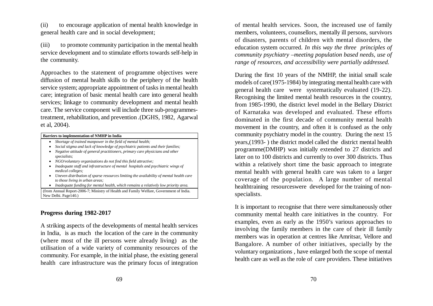(ii) to encourage application of mental health knowledge in general health care and in social development;

(iii) to promote community participation in the mental health service development and to stimulate efforts towards self-help in the community.

Approaches to the statement of programme objectives were diffusion of mental health skills to the periphery of the health service system; appropriate appointment of tasks in mental health care; integration of basic mental health care into general health services; linkage to community development and mental health care. The service component will include three sub-programmestreatment, rehabilitation, and prevention .(DGHS, 1982, Agarwal et al, 2004).

#### **Barriers to implementation of NMHP in India**

- *Shortage of trained manpower in the field of mental health;*
- *Social stigma and lack of knowledge of psychiatric patients and their families;*
- *Negative attitude of general practitioners, primary care physicians and other specialists;*
- *NGO/voluntary organizations do not find this field attractive;*
- *Inadequate staff and infrastructure of mental hospitals and psychiatric wings of medical colleges;*
- *Uneven distribution of sparse resources limiting the availability of mental health care to those living in urban areas;*
- *Inadequate funding for mental health, which remains a relatively low priority area.*

(from Annual Report-2006-7; Ministry of Health and Family Welfare, Government of India. New Delhi. Page140.)

#### **Progress during 1982-2017**

A striking aspects of the developments of mental health services in India, is as much the location of the care in the community (where most of the ill persons were already living) as the utilisation of a wide variety of community resources of the community. For example, in the initial phase, the existing general health care infrastructure was the primary focus of integration of mental health services. Soon, the increased use of family members, volunteers, counsellors, mentally ill persons, survivors of disasters, parents of children with mental disorders, the education system occurred. *In this way the three principles of community psychiatry –meeting population based needs, use of range of resources, and accessibility were partially addressed.*

During the first 10 years of the NMHP, the initial small scale models of care(1975-1984) by integrating mental health care with general health care were systematically evaluated (19-22). Recognising the limited mental health resources in the country, from 1985-1990, the district level model in the Bellary District of Karnataka was developed and evaluated. These efforts dominated in the first decade of community mental health movement in the country, and often it is confused as the only community psychiatry model in the country. During the next 15 years,(1993- ) the district model called the district mental health programme(DMHP) was initially extended to 27 districts and later on to 100 districts and currently to over 300 districts. Thus within a relatively short time the basic approach to integrate mental health with general health care was taken to a larger coverage of the population. A large number of mental healthtraining resourceswere developed for the training of nonspecialists.

It is important to recognise that there were simultaneously other community mental health care initiatives in the country. For examples, even as early as the 1950's various approaches to involving the family members in the care of their ill family members was in operation at centres like Amritsar, Vellore and Bangalore. A number of other initiatives, specially by the voluntary organizations , have enlarged both the scope of mental health care as well as the role of care providers. These initiatives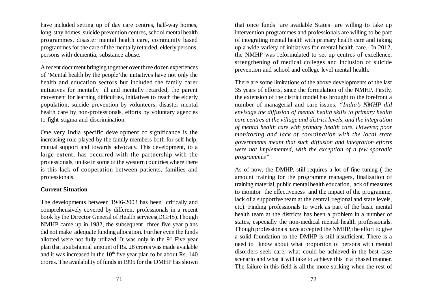have included setting up of day care centres, half-way homes, long-stay homes, suicide prevention centres, school mental health programmes, disaster mental health care, community based programmes for the care of the mentally retarded, elderly persons, persons with dementia, substance abuse.

A recent document bringing together over three dozen experiences of 'Mental health by the people'the initiatives have not only the health and education sectors but included the family carer initiatives for mentally ill and mentally retarded, the parent movement for learning difficulties, initiatives to reach the elderly population, suicide prevention by volunteers, disaster mental health care by non-professionals, efforts by voluntary agencies to fight stigma and discrimination.

One very India specific development of significance is the increasing role played by the family members both for self-help, mutual support and towards advocacy. This development, to a large extent, has occurred with the partnership with the professionals, unlike in some of the western countries where there is this lack of cooperation between patients, families and professionals.

### **Current Situation**

The developments between 1946-2003 has been critically and comprehensively covered by different professionals in a recent book by the Director General of Health services(DGHS).Though NMHP came up in 1982, the subsequent three five year plans did not make adequate funding allocation. Further even the funds allotted were not fully utilized. It was only in the  $9<sup>th</sup>$  Five year plan that a substantial amount of Rs. 28 crores was made available and it was increased in the  $10<sup>th</sup>$  five year plan to be about Rs. 140 crores. The availability of funds in 1995 for the DMHP has shown

that once funds are available States are willing to take up intervention programmes and professionals are willing to be part of integrating mental health with primary health care and taking up a wide variety of initiatives for mental health care. In 2012, the NMHP was reformulated to set up centres of excellence, strengthening of medical colleges and inclusion of suicide prevention and school and college level mental health.

There are some limitations of the above developments of the last 35 years of efforts, since the formulation of the NMHP. Firstly, the extension of the district model has brought to the forefront a number of managerial and care issues. *"India's NMHP did envisage the diffusion of mental health skills to primary health care centres at the village and district levels, and the integration of mental health care with primary health care. However, poor monitoring and lack of coordination with the local state governments meant that such diffusion and integration efforts were not implemented, with the exception of a few sporadic programmes"*

As of now, the DMHP, still requires a lot of fine tuning ( the amount training for the programme managers, finalization of training material, public mental health education, lack of measures to monitor the effectiveness and the impact of the programme, lack of a supportive team at the central, regional and state levels, etc). Finding professionals to work as part of the basic mental health team at the districts has been a problem in a number of states, especially the non-medical mental health professionals. Though professionals have accepted the NMHP, the effort to give a solid foundation to the DMHP is still insufficient. There is a need to know about what proportion of persons with mental disorders seek care, what could be achieved in the best case scenario and what it will take to achieve this in a phased manner. The failure in this field is all the more striking when the rest of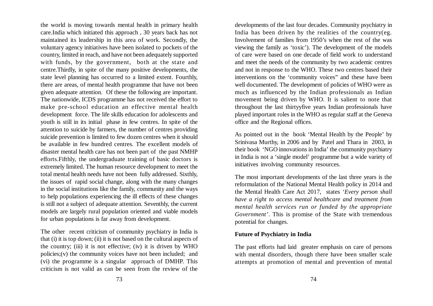the world is moving towards mental health in primary health care.India which initiated this approach , 30 years back has not maintained its leadership in this area of work. Secondly, the voluntary agency initiatives have been isolated to pockets of the country, limited in reach, and have not been adequately supported with funds, by the government, both at the state and centre.Thirdly, in spite of the many positive developments, the state level planning has occurred to a limited extent. Fourthly, there are areas, of mental health programme that have not been given adequate attention. Of these the following are important. The nationwide, ICDS programme has not received the effort to make pre-school education an effective mental health development force. The life skills education for adolescents and youth is still in its initial phase in few centres. In spite of the attention to suicide by farmers, the number of centres providing suicide prevention is limited to few dozen centres when it should be available in few hundred centres. The excellent models of disaster mental health care has not been part of the past NMHP efforts.Fifthly, the undergraduate training of basic doctors is extremely limited. The human resource development to meet the total mental health needs have not been fully addressed. Sixthly, the issues of rapid social change, along with the many changes in the social institutions like the family, community and the ways to help populations experiencing the ill effects of these changes is still not a subject of adequate attention. Seventhly, the current models are largely rural population oriented and viable models for urban populations is far away from development.

The other recent criticism of community psychiatry in India is that (i) it is top down; (ii) it is not based on the cultural aspects of the country; (iii) it is not effective; (iv) it is driven by  $WHO$ policies;(v) the community voices have not been included; and (vi) the programme is a singular approach of DMHP. This criticism is not valid as can be seen from the review of the

developments of the last four decades. Community psychiatry in India has been driven by the realities of the country(eg. Involvement of families from 1950's when the rest of the was viewing the family as 'toxic'). The development of the models of care were based on one decade of field work to understand and meet the needs of the community by two academic centres and not in response to the WHO. These two centres based their interventions on the 'community voices" and these have been well documented. The development of policies of WHO were as much as influenced by the Indian professionals as Indian movement being driven by WHO. It is salient to note that throughout the last thirtyyfive years Indian professionals have played important roles in the WHO as regular staff at the Geneva office and the Regional offices.

As pointed out in the book 'Mental Health by the People' by Srinivasa Murthy, in 2006 and by Patel and Thara in 2003, in their book 'NGO innovations in India' the community psychiatry in India is not a 'single model' programme but a wide variety of initiatives involving community resources.

The most important developments of the last three years is the reformulation of the National Mental Health policy in 2014 and the Mental Health Care Act 2017, states *'Every person shall have a right to access mental healthcare and treatment from mental health services run or funded by the appropriate Government'*. This is promise of the State with tremendous potential for changes.

## **Future of Psychiatry in India**

The past efforts had laid greater emphasis on care of persons with mental disorders, though there have been smaller scale attempts at promotion of mental and prevention of mental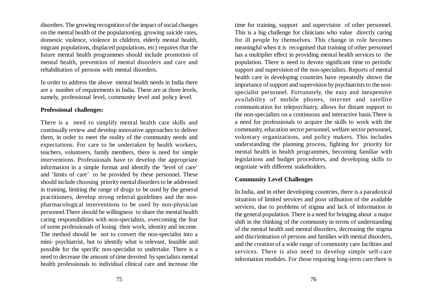disorders. The growing recognition of the impact of social changes on the mental health of the population(eg. growing suicide rates, domestic violence, violence in children, elderly mental health, migrant populations, displaced populations, etc) requires that the future mental health programmes should include promotion of mental health, prevention of mental disorders and care and rehabilitation of persons with mental disorders.

In order to address the above mental health needs in India there are a number of requirements in India. These are at three levels, namely, professional level, community level and policy level.

### **Professional challenges:**

There is a need to simplify mental health care skills and continually review and develop innovative approaches to deliver them, in order to meet the reality of the community needs and expectations. For care to be undertaken by health workers, teachers, volunteers, family members, there is need for simple interventions. Professionals have to develop the appropriate information in a simple format and identify the 'level of care' and 'limits of care' to be provided by these personnel. These should include choosing priority mental disorders to be addressed in training, limiting the range of drugs to be used by the general practitioners, develop strong referral guidelines and the nonpharmacological interventions to be used by non-physician personnel.There should be willingness to share the mental health caring responsibilities with non-specialists, overcoming the fear of some professionals of losing their work, identity and income. The method should be not to convert the non-specialist into a mini- psychiatrist, but to identify what is relevant, feasible and possible for the specific non-specialist to undertake. There is a need to decrease the amount of time devoted by specialists mental health professionals to individual clinical care and increase the

time for training, support and supervision of other personnel. This is a big challenge for clinicians who value directly caring for ill people by themselves. This change in role becomes meaningful when it is recognised that training of other personnel has a multiplier effect in providing mental health services to the population. There is need to devote significant time to periodic support and supervision of the non-specialists. Reports of mental health care in developing countries have repeatedly shown the importance of support and supervision by psychiatrists to the nonspecialist personnel. Fortunately, the easy and inexpensive availability of mobile phones, internet and satellite communication for telepsychiatry, allows for distant support to the non-specialists on a continuous and interactive basis.There is a need for professionals to acquire the skills to work with the community, education sector personnel, welfare sector personnel, voluntary organizations, and policy makers. This includes understanding the planning process, fighting for priority for mental health in health programmes, becoming familiar with legislations and budget procedures, and developing skills to negotiate with different stakeholders.

# **Community Level Challenges**

In India, and in other developing countries, there is a paradoxical situation of limited services and poor utilisation of the available services, due to problems of stigma and lack of information in the general population. There is a need for bringing about a major shift in the thinking of the community in terms of understanding of the mental health and mental disorders, decreasing the stigma and discrimination of persons and families with mental disorders, and the creation of a wide range of community care facilities and services. There is also need to develop simple self-care information modules. For those requiring long-term care there is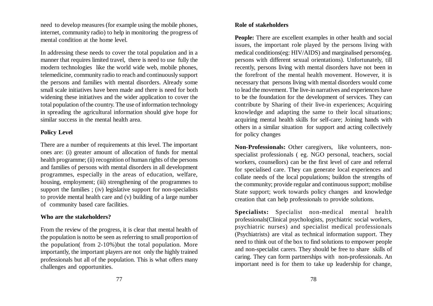need to develop measures (for example using the mobile phones, internet, community radio) to help in monitoring the progress of mental condition at the home level.

In addressing these needs to cover the total population and in a manner that requires limited travel, there is need to use fully the modern technologies like the world wide web, mobile phones, telemedicine, community radio to reach and continuously support the persons and families with mental disorders. Already some small scale initiatives have been made and there is need for both widening these initiatives and the wider application to cover the total population of the country. The use of information technology in spreading the agricultural information should give hope for similar success in the mental health area.

## **Policy Level**

There are a number of requirements at this level. The important ones are: (i) greater amount of allocation of funds for mental health programme; (ii) recognition of human rights of the persons and families of persons with mental disorders in all development programmes, especially in the areas of education, welfare, housing, employment; (iii) strengthening of the programmes to support the families ; (iv) legislative support for non-specialists to provide mental health care and (v) building of a large number of community based care facilities.

# **Who are the stakeholders?**

From the review of the progress, it is clear that mental health of the population is notto be seen as referring to small proportion of the population( from 2-10%)but the total population. More importantly, the important players are not only the highly trained professionals but all of the population. This is what offers many challenges and opportunities.

## **Role of stakeholders**

**People:** There are excellent examples in other health and social issues, the important role played by the persons living with medical conditions(eg: HIV/AIDS) and marginalised persons(eg. persons with different sexual orientations). Unfortunately, till recently, persons living with mental disorders have not been in the forefront of the mental health movement. However, it is necessary that persons living with mental disorders would come to lead the movement. The live-in narratives and experiences have to be the foundation for the development of services. They can contribute by Sharing of their live-in experiences; Acquiring knowledge and adapting the same to their local situations; acquiring mental health skills for self-care; Joining hands with others in a similar situation for support and acting collectively for policy changes

**Non-Professionals:** Other caregivers, like volunteers, nonspecialist professionals ( eg. NGO personal, teachers, social workers, counsellors) can be the first level of care and referral for specialised care. They can generate local experiences and collate needs of the local populations; buildon the strengths of the community; provide regular and continuous support; mobilise State support; work towards policy changes and knowledge creation that can help professionals to provide solutions.

**Specialists:** Specialist non-medical mental health professionals(Clinical psychologists, psychiatric social workers, psychiatric nurses) and specialist medical professionals (Psychiatrists) are vital as technical information support. They need to think out of the box to find solutions to empower people and non-specialist carers. They should be free to share skills of caring. They can form partnerships with non-professionals. An important need is for them to take up leadership for change,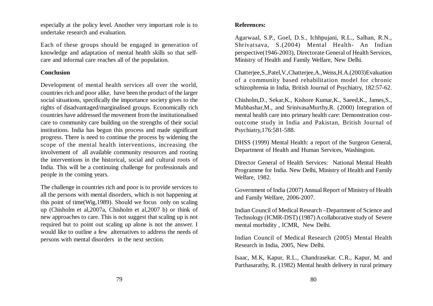especially at the policy level. Another very important role is to undertake research and evaluation.

Each of these groups should be engaged in generation of knowledge and adaptation of mental health skills so that selfcare and informal care reaches all of the population.

### **Conclusion**

Development of mental health services all over the world, countries rich and poor alike, have been the product of the larger social situations, specifically the importance society gives to the rights of disadvantaged/marginalised groups. Economically rich countries have addressed the movement from the institutionalised care to community care building on the strengths of their social institutions. India has begun this process and made significant progress. There is need to continue the process by widening the scope of the mental health interventions, increasing the involvement of all available community resources and rooting the interventions in the historical, social and cultural roots of India. This will be a continuing challenge for professionals and people in the coming years.

The challenge in countries rich and poor is to provide services to all the persons with mental disorders, which is not happening at this point of time(Wig,1989). Should we focus only on scaling up (Chisholm et al,2007a, Chisholm et al,2007 b) or think of new approaches to care. This is not suggest that scaling up is not required but to point out scaling up alone is not the answer. I would like to outline a few alternatives to address the needs of persons with mental disorders in the next section.

## **References:**

Agarwaal, S.P., Goel, D.S., Ichhpujani, R.L., Salhan, R.N., Shrivatsava, S.(2004) Mental Health- An Indian perspective(1946-2003), Directorate General of Health Services, Ministry of Health and Family Welfare, New Delhi.

Chatterjee,S.,Patel,V.,Chatterjee,A.,Weiss,H.A.(2003)Evaluation of a community based rehabilitation model for chronic schizophrenia in India, British Journal of Psychiatry, 182:57-62.

Chisholm,D., Sekar,K., Kishore Kumar,K., Saeed,K., James,S., Mubbashar,M., and SrinivasaMurthy,R. (2000) Integration of mental health care into primary health care: Demonstration costoutcome study in India and Pakistan, British Journal of Psychiatry,176:581-588.

DHSS (1999) Mental Health: a report of the Surgeon General, Department of Health and Human Services, Washington.

Director General of Health Services: National Mental Health Programme for India. New Delhi, Ministry of Health and Family Welfare, 1982.

Government of India (2007) Annual Report of Ministry of Health and Family Welfare, 2006-2007.

Indian Council of Medical Research –Department of Science and Technology (ICMR-DST) (1987) A collaborative study of Severe mental morbidity , ICMR, New Delhi.

Indian Council of Medical Research (2005) Mental Health Research in India, 2005, New Delhi.

Isaac, M.K, Kapur, R.L., Chandrasekar. C.R., Kapur, M. and Parthasarathy, R. (1982) Mental health delivery in rural primary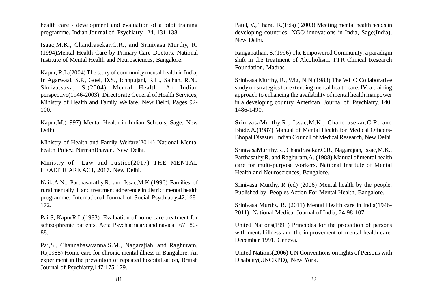health care - development and evaluation of a pilot training programme. Indian Journal of Psychiatry. 24, 131-138.

Isaac,M.K., Chandrasekar,C.R., and Srinivasa Murthy, R. (1994)Mental Health Care by Primary Care Doctors, National Institute of Mental Health and Neurosciences, Bangalore.

Kapur, R.L.(2004) The story of community mental health in India, In Agarwaal, S.P., Goel, D.S., Ichhpujani, R.L., Salhan, R.N., Shrivatsava, S.(2004) Mental Health- An Indian perspective(1946-2003), Directorate General of Health Services, Ministry of Health and Family Welfare, New Delhi. Pages 92- 100.

Kapur,M.(1997) Mental Health in Indian Schools, Sage, New Delhi.

Ministry of Health and Family Welfare(2014) National Mental health Policy. NirmanBhavan, New Delhi.

Ministry of Law and Justice(2017) THE MENTAL HEALTHCARE ACT, 2017. New Delhi.

Naik,A.N., Parthasarathy,R. and Issac,M.K.(1996) Families of rural mentally ill and treatment adherence in district mental health programme, International Journal of Social Psychiatry,42:168- 172.

Pai S, KapurR.L.(1983) Evaluation of home care treatment for schizophrenic patients. Acta PsychiatricaScandinavica 67: 80- 88.

Pai,S., Channabasavanna,S.M., Nagarajiah, and Raghuram, R.(1985) Home care for chronic mental illness in Bangalore: An experiment in the prevention of repeated hospitalisation, British Journal of Psychiatry,147:175-179.

Patel, V., Thara, R.(Eds) ( 2003) Meeting mental health needs in developing countries: NGO innovations in India, Sage(India), New Delhi.

Ranganathan, S.(1996) The Empowered Community: a paradigm shift in the treatment of Alcoholism. TTR Clinical Research Foundation, Madras.

Srinivasa Murthy, R., Wig, N.N.(1983) The WHO Collaborative study on strategies for extending mental health care, IV: a training approach to enhancing the availability of mental health manpower in a developing country, American Journal of Psychiatry, 140: 1486-1490.

SrinivasaMurthy,R., Issac,M.K., Chandrasekar,C.R. and Bhide,A.(1987) Manual of Mental Health for Medical Officers-Bhopal Disaster, Indian Council of Medical Research, New Delhi.

SrinivasaMurtthy,R., Chandrasekar,C.R., Nagarajiah, Issac,M.K., Parthasathy,R. and Raghuram,A. (1988) Manual of mental health care for multi-purpose workers, National Institute of Mental Health and Neurosciences, Bangalore.

Srinivasa Murthy, R (ed) (2006) Mental health by the people. Published by Peoples Action For Mental Health, Bangalore.

Srinivasa Murthy, R. (2011) Mental Health care in India(1946- 2011), National Medical Journal of India, 24:98-107.

United Nations(1991) Principles for the protection of persons with mental illness and the improvement of mental health care. December 1991. Geneva.

United Nations(2006) UN Conventions on rights of Persons with Disability(UNCRPD), New York.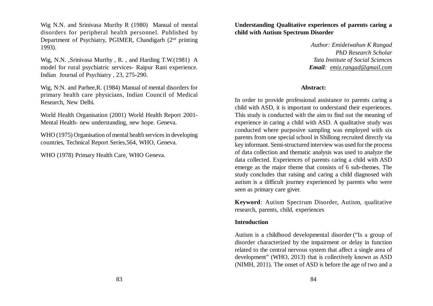Wig N.N. and Srinivasa Murthy R (1980) Manual of mental disorders for peripheral health personnel. Published by Department of Psychiatry, PGIMER, Chandigarh (2nd printing 1993).

Wig, N.N. ,Srinivasa Murthy , R. , and Harding T.W.(1981) A model for rural psychiatric services- Raipur Rani experience. Indian Journal of Psychiatry , 23, 275-290.

Wig, N:N. and Parhee,R. (1984) Manual of mental disorders for primary health care physicians, Indian Council of Medical Research, New Delhi.

World Health Organisation (2001) World Health Report 2001- Mental Health- new understanding, new hope. Geneva.

WHO (1975) Organisation of mental health services in developing countries, Technical Report Series,564, WHO, Geneva.

WHO (1978) Primary Health Care, WHO Geneva.

# **Understanding Qualitative experiences of parents caring a child with Autism Spectrum Disorder**

*Author: Emideiwahun K Rangad PhD Research Scholar Tata Institute of Social Sciences Email: emiz.rangad@gmail.com*

## **Abstract:**

In order to provide professional assistance to parents caring a child with ASD, it is important to understand their experiences. This study is conducted with the aim to find out the meaning of experience in caring a child with ASD. A qualitative study was conducted where purposive sampling was employed with six parents from one special school in Shillong recruited directly via key informant. Semi-structured interview was used for the process of data collection and thematic analysis was used to analyze the data collected. Experiences of parents caring a child with ASD emerge as the major theme that consists of 6 sub-themes. The study concludes that raising and caring a child diagnosed with autism is a difficult journey experienced by parents who were seen as primary care giver.

**Keyword***:* Autism Spectrum Disorder, Autism, qualitative research, parents, child, experiences

## **Introduction**

Autism is a childhood developmental disorder ("Is a group of disorder characterized by the impairment or delay in function related to the central nervous system that affect a single area of development" (WHO, 2013) that is collectively known as ASD (NIMH, 2011). The onset of ASD is before the age of two and a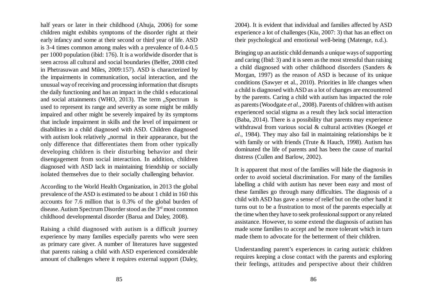half years or later in their childhood (Ahuja, 2006) for some children might exhibits symptoms of the disorder right at their early infancy and some at their second or third year of life. ASD is 3-4 times common among males with a prevalence of 0.4-0.5 per 1000 population (ibid: 176). It is a worldwide disorder that is seen across all cultural and social boundaries (Belfer, 2008 cited in Phetrasuwan and Miles, 2009:157). ASD is characterized by the impairments in communication, social interaction, and the unusual way of receiving and processing information that disrupts the daily functioning and has an impact in the child s educational and social attainments (WHO,  $2013$ ). The term  $\sqrt{S}$ , Spectrum is used to represent its range and severity as some might be mildly impaired and other might be severely impaired by its symptoms that include impairment in skills and the level of impairment or disabilities in a child diagnosed with ASD. Children diagnosed with autism look relatively , normal in their appearance, but the only difference that differentiates them from other typically developing children is their disturbing behavior and their disengagement from social interaction. In addition, children diagnosed with ASD lack in maintaining friendship or socially isolated themselves due to their socially challenging behavior.

According to the World Health Organization, in 2013 the global prevalence of the ASD is estimated to be about 1 child in 160 this accounts for 7.6 million that is 0.3% of the global burden of disease. Autism Spectrum Disorder stood as the 3rd most common childhood developmental disorder (Barua and Daley, 2008).

Raising a child diagnosed with autism is a difficult journey experience by many families especially parents who were seen as primary care giver. A number of literatures have suggested that parents raising a child with ASD experienced considerable amount of challenges where it requires external support (Daley,

2004). It is evident that individual and families affected by ASD experience a lot of challenges (Kiu, 2007: 3) that has an effect on their psychological and emotional well-being (Matenge, n.d.).

Bringing up an autistic child demands a unique ways of supporting and caring (Ibid: 3) and it is seen as the most stressful than raising a child diagnosed with other childhood disorders (Sanders & Morgan, 1997) as the reason of ASD is because of its unique conditions (Sawyer et al., 2010). Priorities in life changes when a child is diagnosed with ASD as a lot of changes are encountered by the parents. Caring a child with autism has impacted the role as parents (Woodgate *et al*., 2008). Parents of children with autism experienced social stigma as a result they lack social interaction (Baba, 2014). There is a possibility that parents may experience withdrawal from various social & cultural activities (Koegel *et al*., 1984). They may also fail in maintaining relationships be it with family or with friends (Trute & Hauch, 1998). Autism has dominated the life of parents and has been the cause of marital distress (Cullen and Barlow, 2002).

It is apparent that most of the families will hide the diagnosis in order to avoid societal discrimination. For many of the families labelling a child with autism has never been easy and most of these families go through many difficulties. The diagnosis of a child with ASD has gave a sense of relief but on the other hand it turns out to be a frustration to most of the parents especially at the time when they have to seek professional support or any related assistance. However, to some extend the diagnosis of autism has made some families to accept and be more tolerant which in turn made them to advocate for the betterment of their children.

Understanding parent's experiences in caring autistic children requires keeping a close contact with the parents and exploring their feelings, attitudes and perspective about their children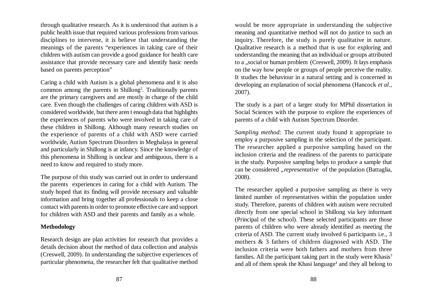through qualitative research. As it is understood that autism is a public health issue that required various professions from various disciplines to intervene, it is believe that understanding the meanings of the parents "experiences in taking care of their children with autism can provide a good guidance for health care assistance that provide necessary care and identify basic needs based on parents perception"

Caring a child with Autism is a global phenomena and it is also common among the parents in Shillong<sup>2</sup>. Traditionally parents are the primary caregivers and are mostly in charge of the child care. Even though the challenges of caring children with ASD is considered worldwide, but there aren t enough data that highlights the experiences of parents who were involved in taking care of these children in Shillong. Although many research studies on the experience of parents of a child with ASD were carried worldwide, Autism Spectrum Disorders in Meghalaya in general and particularly in Shillong is at infancy. Since the knowledge of this phenomena in Shillong is unclear and ambiguous, there is a need to know and required to study more.

The purpose of this study was carried out in order to understand the parents experiences in caring for a child with Autism. The study hoped that its finding will provide necessary and valuable information and bring together all professionals to keep a close contact with parents in order to promote effective care and support for children with ASD and their parents and family as a whole.

### **Methodology**

Research design are plan activities for research that provides a details decision about the method of data collection and analysis (Creswell, 2009). In understanding the subjective experiences of particular phenomena, the researcher felt that qualitative method

would be more appropriate in understanding the subjective meaning and quantitative method will not do justice to such an inquiry. Therefore, the study is purely qualitative in nature. Qualitative research is a method that is use for exploring and understanding the meaning that an individual or groups attributed to a "social or human problem (Creswell, 2009). It lays emphasis on the way how people or groups of people perceive the reality. It studies the behaviour in a natural setting and is concerned in developing an explanation of social phenomena (Hancock *et al.,* 2007).

The study is a part of a larger study for MPhil dissertation in Social Sciences with the purpose to explore the experiences of parents of a child with Autism Spectrum Disorder.

*Sampling method:* The current study found it appropriate to employ a purposive sampling in the selection of the participant. The researcher applied a purposive sampling based on the inclusion criteria and the readiness of the parents to participate in the study. Purposive sampling helps to produce a sample that can be considered *"representative* of the population (Battaglia, 2008).

The researcher applied a purposive sampling as there is very limited number of representatives within the population under study. Therefore, parents of children with autism were recruited directly from one special school in Shillong via key informant (Principal of the school). These selected participants are those parents of children who were already identified as meeting the criteria of ASD. The current study involved 6 participants i.e., 3 mothers & 3 fathers of children diagnosed with ASD. The inclusion criteria were both fathers and mothers from three families. All the participant taking part in the study were Khasis<sup>3</sup> and all of them speak the Khasi language<sup>4</sup> and they all belong to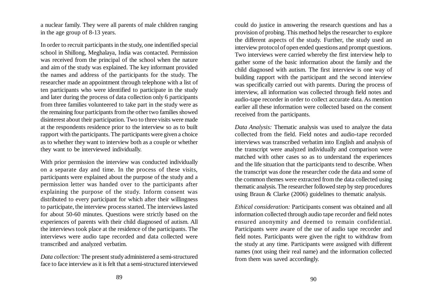a nuclear family. They were all parents of male children ranging in the age group of 8-13 years.

In order to recruit participants in the study, one indentified special school in Shillong, Meghalaya, India was contacted. Permission was received from the principal of the school when the nature and aim of the study was explained. The key informant provided the names and address of the participants for the study. The researcher made an appointment through telephone with a list of ten participants who were identified to participate in the study and later during the process of data collection only 6 participants from three families volunteered to take part in the study were as the remaining four participants from the other two families showed disinterest about their participation. Two to three visits were made at the respondents residence prior to the interview so as to built rapport with the participants. The participants were given a choice as to whether they want to interview both as a couple or whether they want to be interviewed individually.

With prior permission the interview was conducted individually on a separate day and time. In the process of these visits, participants were explained about the purpose of the study and a permission letter was handed over to the participants after explaining the purpose of the study. Inform consent was distributed to every participant for which after their willingness to participate, the interview process started. The interviews lasted for about 50-60 minutes. Questions were strictly based on the experiences of parents with their child diagnosed of autism. All the interviews took place at the residence of the participants. The interviews were audio tape recorded and data collected were transcribed and analyzed verbatim.

*Data collection:* The present study administered a semi-structured face to face interview as it is felt that a semi-structured interviewed could do justice in answering the research questions and has a provision of probing. This method helps the researcher to explore the different aspects of the study. Further, the study used an interview protocol of open ended questions and prompt questions. Two interviews were carried whereby the first interview help to gather some of the basic information about the family and the child diagnosed with autism. The first interview is one way of building rapport with the participant and the second interview was specifically carried out with parents. During the process of interview, all information was collected through field notes and audio-tape recorder in order to collect accurate data. As mention earlier all these information were collected based on the consent received from the participants.

*Data Analysis:* Thematic analysis was used to analyze the data collected from the field. Field notes and audio-tape recorded interviews was transcribed verbatim into English and analysis of the transcript were analyzed individually and comparison were matched with other cases so as to understand the experiences and the life situation that the participants tend to describe. When the transcript was done the researcher code the data and some of the common themes were extracted from the data collected using thematic analysis. The researcher followed step by step procedures using Braun & Clarke (2006) guidelines to thematic analysis.

*Ethical consideration:* Participants consent was obtained and all information collected through audio tape recorder and field notes ensured anonymity and deemed to remain confidential. Participants were aware of the use of audio tape recorder and field notes. Participants were given the right to withdraw from the study at any time. Participants were assigned with different names (not using their real name) and the information collected from them was saved accordingly.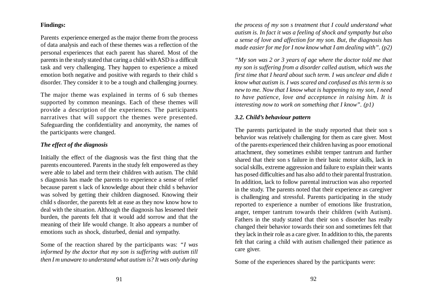## **Findings:**

Parents experience emerged as the major theme from the process of data analysis and each of these themes was a reflection of the personal experiences that each parent has shared. Most of the parents in the study stated that caring a child with ASD is a difficult task and very challenging. They happen to experience a mixed emotion both negative and positive with regards to their child s disorder. They consider it to be a tough and challenging journey.

The major theme was explained in terms of 6 sub themes supported by common meanings. Each of these themes will provide a description of the experiences. The participants narratives that will support the themes were presented. Safeguarding the confidentiality and anonymity, the names of the participants were changed.

# *The effect of the diagnosis*

Initially the effect of the diagnosis was the first thing that the parents encountered. Parents in the study felt empowered as they were able to label and term their children with autism. The child s diagnosis has made the parents to experience a sense of relief because parent s lack of knowledge about their child s behavior was solved by getting their children diagnosed. Knowing their child s disorder, the parents felt at ease as they now know how to deal with the situation. Although the diagnosis has lessened their burden, the parents felt that it would add sorrow and that the meaning of their life would change. It also appears a number of emotions such as shock, disturbed, denial and sympathy.

Some of the reaction shared by the participants was: *"I was informed by the doctor that my son is suffering with autism till then I m unaware to understand what autism is? It was only during*

*the process of my son s treatment that I could understand what autism is. In fact it was a feeling of shock and sympathy but also a sense of love and affection for my son. But, the diagnosis has made easier for me for I now know what I am dealing with". (p2)*

*"My son was 2 or 3 years of age where the doctor told me that my son is suffering from a disorder called autism, which was the first time that I heard about such term. I was unclear and didn t know what autism is. I was scared and confused as this term is so new to me. Now that I know what is happening to my son, I need to have patience, love and acceptance in raising him. It is interesting now to work on something that I know". (p1)*

## *3.2. Child's behaviour pattern*

The parents participated in the study reported that their son s behavior was relatively challenging for them as care giver. Most of the parents experienced their children having as poor emotional attachment, they sometimes exhibit temper tantrum and further shared that their son s failure in their basic motor skills, lack in social skills, extreme aggression and failure to explain their wants has posed difficulties and has also add to their parental frustration. In addition, lack to follow parental instruction was also reported in the study. The parents noted that their experience as caregiver is challenging and stressful. Parents participating in the study reported to experience a number of emotions like frustration, anger, temper tantrum towards their children (with Autism). Fathers in the study stated that their son s disorder has really changed their behavior towards their son and sometimes felt that they lack in their role as a care giver. In addition to this, the parents felt that caring a child with autism challenged their patience as care giver.

Some of the experiences shared by the participants were: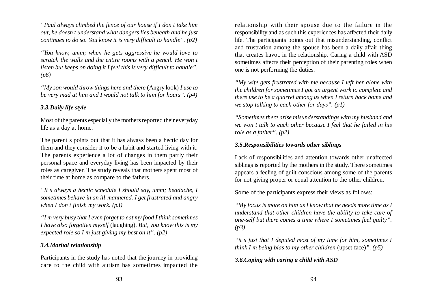*"Paul always climbed the fence of our house if I don t take him out, he doesn t understand what dangers lies beneath and he just continues to do so. You know it is very difficult to handle". (p2)*

*"You know, umm; when he gets aggressive he would love to scratch the walls and the entire rooms with a pencil. He won t listen but keeps on doing it I feel this is very difficult to handle". (p6)*

*"My son would throw things here and there* (Angry look) *I use to be very mad at him and I would not talk to him for hours". (p4)*

# *3.3.Daily life style*

Most of the parents especially the mothers reported their everyday life as a day at home.

The parent s points out that it has always been a hectic day for them and they consider it to be a habit and started living with it. The parents experience a lot of changes in them partly their personal space and everyday living has been impacted by their roles as caregiver. The study reveals that mothers spent most of their time at home as compare to the fathers.

*"It s always a hectic schedule I should say, umm; headache, I sometimes behave in an ill-mannered. I get frustrated and angry when I don t finish my work. (p3)*

*"I m very busy that I even forget to eat my food I think sometimes I have also forgotten myself* (laughing). *But, you know this is my expected role so I m just giving my best on it". (p2)*

## *3.4.Marital relationship*

Participants in the study has noted that the journey in providing care to the child with autism has sometimes impacted the relationship with their spouse due to the failure in the responsibility and as such this experiences has affected their daily life. The participants points out that misunderstanding, conflict and frustration among the spouse has been a daily affair thing that creates havoc in the relationship. Caring a child with ASD sometimes affects their perception of their parenting roles when one is not performing the duties.

*"My wife gets frustrated with me because I left her alone with the children for sometimes I got an urgent work to complete and there use to be a quarrel among us when I return back home and we stop talking to each other for days". (p1)*

*"Sometimes there arise misunderstandings with my husband and we won t talk to each other because I feel that he failed in his role as a father". (p2)*

## *3.5.Responsibilities towards other siblings*

Lack of responsibilities and attention towards other unaffected siblings is reported by the mothers in the study. There sometimes appears a feeling of guilt conscious among some of the parents for not giving proper or equal attention to the other children.

Some of the participants express their views as follows:

*"My focus is more on him as I know that he needs more time as I understand that other children have the ability to take care of one-self but there comes a time where I sometimes feel guilty". (p3)*

*"it s just that I deputed most of my time for him, sometimes I think I m being bias to my other children* (upset face)*". (p5)*

*3.6.Coping with caring a child with ASD*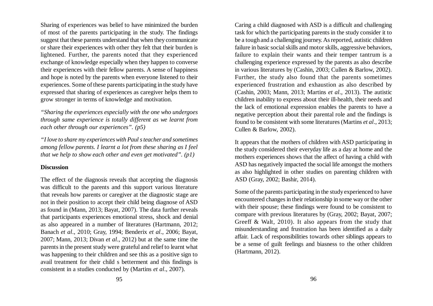Sharing of experiences was belief to have minimized the burden of most of the parents participating in the study. The findings suggest that these parents understand that when they communicate or share their experiences with other they felt that their burden is lightened. Further, the parents noted that they experienced exchange of knowledge especially when they happen to converse their experiences with their fellow parents. A sense of happiness and hope is noted by the parents when everyone listened to their experiences. Some of these parents participating in the study have expressed that sharing of experiences as caregiver helps them to grow stronger in terms of knowledge and motivation.

*"Sharing the experiences especially with the one who undergoes through same experience is totally different as we learnt from each other through our experiences". (p5)*

*"I love to share my experiences with Paul s teacher and sometimes among fellow parents. I learnt a lot from these sharing as I feel that we help to show each other and even get motivated". (p1)*

### **Discussion**

The effect of the diagnosis reveals that accepting the diagnosis was difficult to the parents and this support various literature that reveals how parents or caregiver at the diagnostic stage are not in their position to accept their child being diagnose of ASD as found in (Mann, 2013; Bayat, 2007). The data further reveals that participants experiences emotional stress, shock and denial as also appeared in a number of literatures (Hartmann, 2012; Banach *et al*., 2010; Gray, 1994; Benderix *et al*., 2006; Bayat, 2007; Mann, 2013; Divan *et al*., 2012) but at the same time the parents in the present study were grateful and relief to learnt what was happening to their children and see this as a positive sign to avail treatment for their child s betterment and this findings is consistent in a studies conducted by (Martins *et al*., 2007).

Caring a child diagnosed with ASD is a difficult and challenging task for which the participating parents in the study consider it to be a tough and a challenging journey. As reported, autistic children failure in basic social skills and motor skills, aggressive behaviors, failure to explain their wants and their temper tantrum is a challenging experience expressed by the parents as also describe in various literatures by (Cashin, 2003; Cullen & Barlow, 2002). Further, the study also found that the parents sometimes experienced frustration and exhaustion as also described by (Cashin, 2003; Mann, 2013; Martins *et al*., 2013). The autistic children inability to express about their ill-health, their needs and the lack of emotional expression enables the parents to have a negative perception about their parental role and the findings is found to be consistent with some literatures (Martins *et al*., 2013; Cullen & Barlow, 2002).

It appears that the mothers of children with ASD participating in the study considered their everyday life as a day at home and the mothers experiences shows that the affect of having a child with ASD has negatively impacted the social life amongst the mothers as also highlighted in other studies on parenting children with ASD (Gray, 2002; Bashir, 2014).

Some of the parents participating in the study experienced to have encountered changes in their relationship in some way or the other with their spouse; these findings were found to be consistent to compare with previous literatures by (Gray, 2002; Bayat, 2007; Greeff & Walt, 2010). It also appears from the study that misunderstanding and frustration has been identified as a daily affair. Lack of responsibilities towards other siblings appears to be a sense of guilt feelings and biasness to the other children (Hartmann, 2012).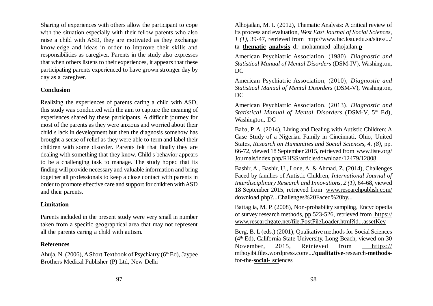Sharing of experiences with others allow the participant to cope with the situation especially with their fellow parents who also raise a child with ASD, they are motivated as they exchange knowledge and ideas in order to improve their skills and responsibilities as caregiver. Parents in the study also expresses that when others listens to their experiences, it appears that these participating parents experienced to have grown stronger day by day as a caregiver.

### **Conclusion**

Realizing the experiences of parents caring a child with ASD, this study was conducted with the aim to capture the meaning of experiences shared by these participants. A difficult journey for most of the parents as they were anxious and worried about their child s lack in development but then the diagnosis somehow has brought a sense of relief as they were able to term and label their children with some disorder. Parents felt that finally they are dealing with something that they know. Child s behavior appears to be a challenging task to manage. The study hoped that its finding will provide necessary and valuable information and bring together all professionals to keep a close contact with parents in order to promote effective care and support for children with ASD and their parents.

## **Limitation**

Parents included in the present study were very small in number taken from a specific geographical area that may not represent all the parents caring a child with autism.

## **References**

Ahuja, N. (2006), A Short Textbook of Psychiatry ( $6<sup>th</sup> Ed$ ), Jaypee Brothers Medical Publisher (P) Ltd, New Delhi

Alhojailan, M. I. (2012), Thematic Analysis: A critical review of its process and evaluation, *West East Journal of Social Sciences*, *1 (1),* 39-47, retrieved from http://www.fac.ksu.edu.sa/sites/.../ ta\_**thematic**\_**analysis**\_dr\_mohammed\_alhojailan.**p**

American Psychiatric Association, (1980), *Diagnostic and Statistical Manual of Mental Disorders* (DSM-IV), Washington, DC

American Psychiatric Association, (2010), *Diagnostic and Statistical Manual of Mental Disorders* (DSM-V), Washington, DC

American Psychiatric Association, (2013), *Diagnostic and Statistical Manual of Mental Disorders* (DSM-V, 5th Ed), Washington, DC

Baba, P. A. (2014), Living and Dealing with Autistic Children: A Case Study of a Nigerian Family in Cincinnati, Ohio, United States, *Research on Humanities and Social Sciences, 4, (8)*, pp. 66-72, viewed 18 September 2015, retrieved from www.iiste.org/ Journals/index.php/RHSS/article/download/12479/12808

Bashir, A., Bashir, U., Lone, A. & Ahmad, Z. (2014), Challenges Faced by families of Autistic Children, *International Journal of Interdisciplinary Research and Innovations*, *2 (1),* 64-68, viewed 18 September 2015, retrieved from www.researchpublish.com/ download.php?...Challenges%20Faced%20by...

Battaglia, M. P. (2008), Non-probability sampling, Encyclopedia of survey research methods, pp.523-526, retrieved from https:// www.researchgate.net/file.PostFileLoader.html?id...assetKey

Berg, B. L (eds.) (2001), Qualitative methods for Social Sciences (4th Ed), California State University, Long Beach, viewed on 30 November, 2015, Retrieved from https:// mthoyibi.files.wordpress.com/.../**qualitative**-research-**methods**for-the-**social- sci**ences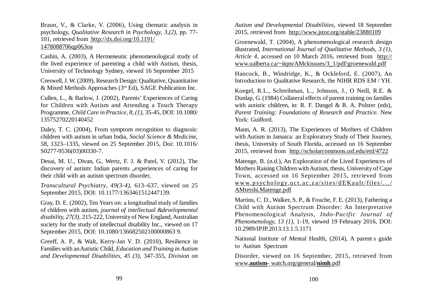Braun, V., & Clarke, V. (2006), Using thematic analysis in psychology, *Qualitative Research in Psychology, 3,(2),* pp. 77- 101, retrieved from http://dx.doi.org/10.1191/ 1478088706qp063oa

Cashin, A. (2003), A Hermeneutic phenomenological study of the lived experience of parenting a child with Autism, thesis, University of Technology Sydney, viewed 16 September 2015

Creswell, J. W. (2009), Research Design: Qualitative, Quantitative & Mixed Methods Approaches (3rd Ed), SAGE Publication Inc.

Cullen, L., & Barlow, J. (2002), Parents' Experiences of Caring for Children with Autism and Attending a Touch Therapy Programme, *Child Care in Practice, 8, (1),* 35-45, DOI: 10.1080/ 13575270220140452

Daley, T. C. (2004), From symptom recognition to diagnosis: children with autism in urban India, *Social Science & Medicine, 58,* 1323–1335, viewed on 25 September 2015, Doi: 10.1016/ S0277-9536(03)00330-7.

Desai, M. U., Divan, G., Wertz, F. J. & Patel, V. (2012), The discovery of autism: Indian parents "experiences of caring for their child with an autism spectrum disorder,

*Transcultural Psychiatry*, *49(3-4),* 613–637, viewed on 25 September 2015, DOI: 10.1177/1363461512447139.

Gray, D. E. (2002), Ten Years on: a longitudinal study of families of children with autism, *journal of intellectual &developmental disability, 27(3),* 215-222, University of New England, Australian society for the study of intellectual disability Inc., viewed on 17 September 2015, DOI: 10.1080/136682502100000863 9.

Greeff, A. P., & Walt, Kerry-Jan V. D. (2010), Resilience in Families with an Autistic Child, *Education and Training in Autism and Developmental Disabilities, 45 (3),* 347-355, *Division on* *Autism and Developmental Disabilities*, viewed 18 September 2015, retrieved from http://www.jstor.org/stable/23880109

Groenewald, T. (2004), A phenomenological research design illustrated, *International Journal of Qualitative Methods, 3 (1), Article 4,* accessed on 10 March 2016, retrieved from http:// www.ualberta.ca/~iiqm/AMckissues/3\_1/pdf/groenewald.pdf

Hancock, B., Windridge, K., & Ockleford, E. (2007), An Introduction to Qualitative Research, the NIHR RDS EM / YH.

Koegel, R.L., Schreibman, L., Johnson, J., O Neill, R.E. & Dunlap, G. (1984) Collateral effects of parent training on families with autistic children, in: R. F. Dangel & R. A. Polster (eds), *Parent Training: Foundations of Research and Practice.* New York: Guilford.

Mann, A. R. (2013), The Experiences of Mothers of Children with Autism in Jamaica: an Exploratory Study of Their Journey, thesis, University of South Florida, accessed on 16 September 2015, retrieved from http://scholarcommons.usf.edu/etd/4722

Matenge, B. (n.d.), An Exploration of the Lived Experiences of Mothers Raising Children with Autism, thesis, University of Cape Town, accessed on 16 September 2015, retrieved from www.psychology.uct.ac.za/sites/dEKault/files/.../ AMtetshi.Matenge.pdf

Martins, C. D., Walker, S. P., & Fouche, F. E. (2013), Fathering a Child with Autism Spectrum Disorder: An Interpretative Phenomenological Analysis, *Indo-Pacific Journal of Phenomenology, 13 (1),* 1-19, viewed 19 February 2016, DOI: 10.2989/IPJP.2013.13.1.5.1171

National Institute of Mental Health, (2014), A parent s guide to Autism Spectrum

Disorder, viewed on 16 September, 2015, retrieved from www.**autism**- watch.org/general/**nimh**.pdf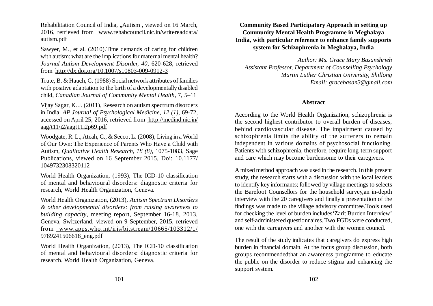Rehabilitation Council of India, "Autism, viewed on 16 March, 2016, retrieved from www.rehabcouncil.nic.in/writereaddata/ autism.pdf

Sawyer, M., et al. (2010).Time demands of caring for children with autism: what are the implications for maternal mental health? *Journal Autism Development Disorder, 40*, 620-628, retrieved from http://dx.doi.org/10.1007/s10803-009-0912-3

Trute, B. & Hauch, C. (1988) Social network attributes of families with positive adaptation to the birth of a developmentally disabled child, *Canadian Journal of Community Mental Health,* 7, 5–11

Vijay Sagar, K. J. (2011), Research on autism spectrum disorders in India, *AP Journal of Psychological Medicine*, *12 (1),* 69-72, accessed on April 25, 2016, retrieved from http://medind.nic.in/ aag/t11/i2/aagt11i2p69.pdf

Woodgate, R. L., Ateah, C., & Secco, L. (2008), Living in a World of Our Own: The Experience of Parents Who Have a Child with Autism, *Qualitative Health Research, 18 (8),* 1075-1083, Sage Publications, viewed on 16 September 2015, Doi: 10.1177/ 1049732308320112

World Health Organization, (1993), The ICD-10 classification of mental and behavioural disorders: diagnostic criteria for research, World Health Organization, Geneva.

World Health Organization, (2013), *Autism Spectrum Disorders & other developmental disorders: from raising awareness to building capacity*, meeting report, September 16-18, 2013, Geneva, Switzerland, viewed on 9 September, 2015, retrieved from www.apps.who.int/iris/bitstream/10665/103312/1/ 9789241506618\_eng.pdf

World Health Organization, (2013), The ICD-10 classification of mental and behavioural disorders: diagnostic criteria for research. World Health Organization, Geneva.

**Community Based Participatory Approach in setting up Community Mental Health Programme in Meghalaya India, with particular reference to enhance family supports system for Schizophrenia in Meghalaya, India**

*Author: Ms. Grace Mary Basanshrieh Assistant Professor, Department of Counselling Psychology Martin Luther Christian University, Shillong Email: gracebasan3@gmail.com*

## **Abstract**

According to the World Health Organization, schizophrenia is the second highest contributor to overall burden of diseases, behind cardiovascular disease. The impairment caused by schizophrenia limits the ability of the sufferers to remain independent in various domains of psychosocial functioning. Patients with schizophrenia, therefore, require long-term support and care which may become burdensome to their caregivers.

A mixed method approach was used in the research. In this present study, the research starts with a discussion with the local leaders to identify key informants; followed by village meetings to selects the Barefoot Counsellors for the household survey,an in-depth interview with the 20 caregivers and finally a presentation of the findings was made to the village advisory committee.Tools used for checking the level of burden includes'Zarit Burden Interview' and self-administered questionnaires. Two FGDs were conducted, one with the caregivers and another with the women council.

The result of the study indicates that caregivers do express high burden in financial domain. At the focus group discussion, both groups recommendedthat an awareness programme to educate the public on the disorder to reduce stigma and enhancing the support system.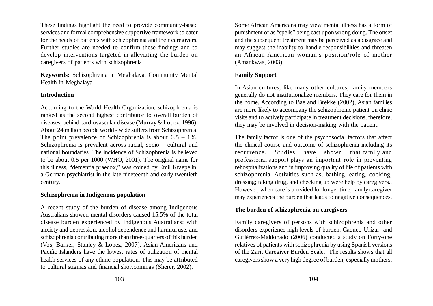These findings highlight the need to provide community-based services and formal comprehensive supportive framework to cater for the needs of patients with schizophrenia and their caregivers. Further studies are needed to confirm these findings and to develop interventions targeted in alleviating the burden on caregivers of patients with schizophrenia

**Keywords:** Schizophrenia in Meghalaya, Community Mental Health in Meghalaya

### **Introduction**

According to the World Health Organization, schizophrenia is ranked as the second highest contributor to overall burden of diseases, behind cardiovascular disease (Murray & Lopez, 1996). About 24 million people world - wide suffers from Schizophrenia. The point prevalence of Schizophrenia is about 0.5 – 1%. Schizophrenia is prevalent across racial, socio – cultural and national boundaries. The incidence of Schizophrenia is believed to be about 0.5 per 1000 (WHO, 2001). The original name for this illness, "dementia praecox," was coined by Emil Kraepelin, a German psychiatrist in the late nineteenth and early twentieth century.

### **Schizophrenia in Indigenous population**

A recent study of the burden of disease among Indigenous Australians showed mental disorders caused 15.5% of the total disease burden experienced by Indigenous Australians; with anxiety and depression, alcohol dependence and harmful use, and schizophrenia contributing more than three-quarters of this burden (Vos, Barker, Stanley & Lopez, 2007). Asian Americans and Pacific Islanders have the lowest rates of utilization of mental health services of any ethnic population. This may be attributed to cultural stigmas and financial shortcomings (Sherer, 2002).

Some African Americans may view mental illness has a form of punishment or as "spells" being cast upon wrong doing. The onset and the subsequent treatment may be perceived as a disgrace and may suggest the inability to handle responsibilities and threaten an African American woman's position/role of mother (Amankwaa, 2003).

# **Family Support**

In Asian cultures, like many other cultures, family members generally do not institutionalize members. They care for them in the home. According to Bae and Brekke (2002), Asian families are more likely to accompany the schizophrenic patient on clinic visits and to actively participate in treatment decisions, therefore, they may be involved in decision-making with the patient.

The family factor is one of the psychosocial factors that affect the clinical course and outcome of schizophrenia including its recurrence. Studies have shown that family and professional support plays an important role in preventing rehospitalizations and in improving quality of life of patients with schizophrenia. Activities such as, bathing, eating, cooking, dressing; taking drug, and checking up were help by caregivers.. However, when care is provided for longer time, family caregiver may experiences the burden that leads to negative consequences.

## **The burden of schizophrenia on caregivers**

Family caregivers of persons with schizophrenia and other disorders experience high levels of burden. Caqueo-Urízar and Gutiérrez-Maldonado (2006) conducted a study on Forty-one relatives of patients with schizophrenia by using Spanish versions of the Zarit Caregiver Burden Scale. The results shows that all caregivers show a very high degree of burden, especially mothers,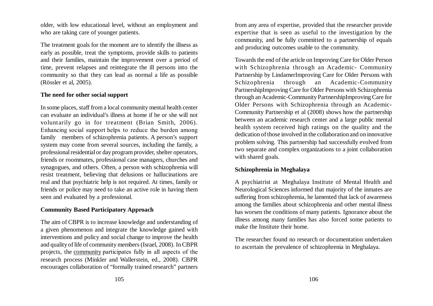older, with low educational level, without an employment and who are taking care of younger patients.

The treatment goals for the moment are to identify the illness as early as possible, treat the symptoms, provide skills to patients and their families, maintain the improvement over a period of time, prevent relapses and reintegrate the ill persons into the community so that they can lead as normal a life as possible (Rössler et al, 2005).

## **The need for other social support**

In some places, staff from a local community mental health center can evaluate an individual's illness at home if he or she will not voluntarily go in for treatment (Brian Smith, 2006). Enhancing social support helps to reduce the burden among family members of schizophrenia patients. A person's support system may come from several sources, including the family, a professional residential or day program provider, shelter operators, friends or roommates, professional case managers, churches and synagogues, and others. Often, a person with schizophrenia will resist treatment, believing that delusions or hallucinations are real and that psychiatric help is not required. At times, family or friends or police may need to take an active role in having them seen and evaluated by a professional.

## **Community Based Participatory Approach**

The aim of CBPR is to increase knowledge and understanding of a given phenomenon and integrate the knowledge gained with interventions and policy and social change to improve the health and quality of life of community members (Israel, 2008). In CBPR projects, the community participates fully in all aspects of the research process (Minkler and Wallerstein, ed., 2008). CBPR encourages collaboration of "formally trained research" partners

from any area of expertise, provided that the researcher provide expertise that is seen as useful to the investigation by the community, and be fully committed to a partnership of equals and producing outcomes usable to the community.

Towards the end of the article on Improving Care for Older Person with Schizophrenia through an Academic- Community Partnership by LindamerImproving Care for Older Persons with Schizophrenia through an Academic-Community PartnershipImproving Care for Older Persons with Schizophrenia through an Academic-Community PartnershipImproving Care for Older Persons with Schizophrenia through an Academic-Community Partnership et al (2008) shows how the partnership between an academic research center and a large public mental health system received high ratings on the quality and the dedication of those involved in the collaboration and on innovative problem solving. This partnership had successfully evolved from two separate and complex organizations to a joint collaboration with shared goals.

## **Schizophrenia in Meghalaya**

A psychiatrist at Meghalaya Institute of Mental Health and Neurological Sciences informed that majority of the inmates are suffering from schizophrenia, he lamented that lack of awareness among the families about schizophrenia and other mental illness has worsen the conditions of many patients. Ignorance about the illness among many families has also forced some patients to make the Institute their home.

The researcher found no research or documentation undertaken to ascertain the prevalence of schizophrenia in Meghalaya.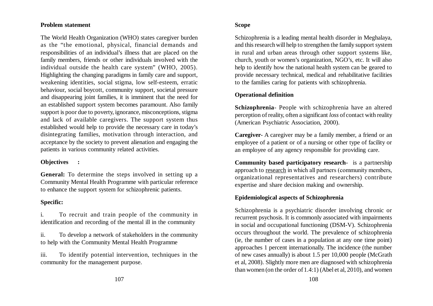#### **Problem statement**

The World Health Organization (WHO) states caregiver burden as the "the emotional, physical, financial demands and responsibilities of an individual's illness that are placed on the family members, friends or other individuals involved with the individual outside the health care system" (WHO, 2005). Highlighting the changing paradigms in family care and support, weakening identities, social stigma, low self-esteem, erratic behaviour, social boycott, community support, societal pressure and disappearing joint families, it is imminent that the need for an established support system becomes paramount. Also family support is poor due to poverty, ignorance, misconceptions, stigma and lack of available caregivers. The support system thus established would help to provide the necessary care in today's disintegrating families, motivation through interaction, and acceptance by the society to prevent alienation and engaging the patients in various community related activities.

## **Objectives :**

**General:** To determine the steps involved in setting up a Community Mental Health Programme with particular reference to enhance the support system for schizophrenic patients.

## **Specific:**

i. To recruit and train people of the community in identification and recording of the mental ill in the community

ii. To develop a network of stakeholders in the community to help with the Community Mental Health Programme

iii. To identify potential intervention, techniques in the community for the management purpose.

Schizophrenia is a leading mental health disorder in Meghalaya, and this research will help to strengthen the family support system in rural and urban areas through other support systems like, church, youth or women's organization, NGO's, etc. It will also help to identify how the national health system can be geared to provide necessary technical, medical and rehabilitative facilities to the families caring for patients with schizophrenia.

## **Operational definition**

**Schizophrenia**- People with schizophrenia have an altered perception of reality, often a significant *loss* of contact with reality (American Psychiatric Association, 2000).

**Caregiver**- A caregiver may be a family member, a friend or an employee of a patient or of a nursing or other type of facility or an employee of any agency responsible for providing care.

**Community based participatory research**- is a partnership approach to research in which all partners (community members, organizational representatives and researchers) contribute expertise and share decision making and ownership.

## **Epidemiological aspects of Schizophrenia**

Schizophrenia is a psychiatric disorder involving chronic or recurrent psychosis. It is commonly associated with impairments in social and occupational functioning (DSM-V). Schizophrenia occurs throughout the world. The prevalence of schizophrenia (ie, the number of cases in a population at any one time point) approaches 1 percent internationally. The incidence (the number of new cases annually) is about 1.5 per 10,000 people (McGrath et al, 2008). Slightly more men are diagnosed with schizophrenia than women (on the order of 1.4:1) (Abel et al, 2010), and women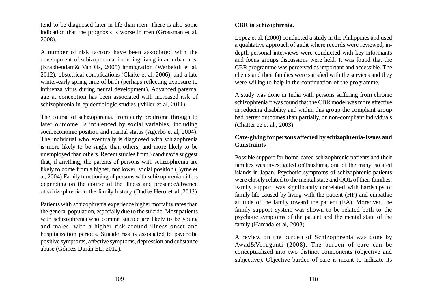tend to be diagnosed later in life than men. There is also some indication that the prognosis is worse in men (Grossman et al, 2008).

A number of risk factors have been associated with the development of schizophrenia, including living in an urban area (Krabbendam& Van Os, 2005) immigration (Werbeloff et al, 2012), obstetrical complications (Clarke et al, 2006), and a late winter-early spring time of birth (perhaps reflecting exposure to influenza virus during neural development). Advanced paternal age at conception has been associated with increased risk of schizophrenia in epidemiologic studies (Miller et al, 2011).

The course of schizophrenia, from early prodrome through to later outcome, is influenced by social variables, including socioeconomic position and marital status (Agerbo et al, 2004). The individual who eventually is diagnosed with schizophrenia is more likely to be single than others, and more likely to be unemployed than others. Recent studies from Scandinavia suggest that, if anything, the parents of persons with schizophrenia are likely to come from a higher, not lower, social position (Byrne et al, 2004).Family functioning of persons with schizophrenia differs depending on the course of the illness and presence/absence of schizophrenia in the family history (Dadiæ-Hero et al ,2013)

Patients with schizophrenia experience higher mortality rates than the general population, especially due to the suicide. Most patients with schizophrenia who commit suicide are likely to be young and males, with a higher risk around illness onset and hospitalization periods. Suicide risk is associated to psychotic positive symptoms, affective symptoms, depression and substance abuse (Gómez-Durán EL, 2012).

# **CBR in schizophrenia.**

Lopez et al. (2000) conducted a study in the Philippines and used a qualitative approach of audit where records were reviewed, indepth personal interviews were conducted with key informants and focus groups discussions were held. It was found that the CBR programme was perceived as important and accessible. The clients and their families were satisfied with the services and they were willing to help in the continuation of the programme.

A study was done in India with persons suffering from chronic schizophrenia it was found that the CBR model was more effective in reducing disability and within this group the compliant group had better outcomes than partially, or non-compliant individuals (Chatterjee et al., 2003).

# **Care-giving for persons affected by schizophrenia-Issues and Constraints**

Possible support for home-cared schizophrenic patients and their families was investigated onTsushima, one of the many isolated islands in Japan. Psychotic symptoms of schizophrenic patients were closely related to the mental state and QOL of their families. Family support was significantly correlated with hardships of family life caused by living with the patient (HF) and empathic attitude of the family toward the patient (EA). Moreover, the family support system was shown to be related both to the psychotic symptoms of the patient and the mental state of the family (Hamada et al, 2003)

A review on the burden of Schizophrenia was done by Awad&Voruganti (2008). The burden of care can be conceptualized into two distinct components (objective and subjective). Objective burden of care is meant to indicate its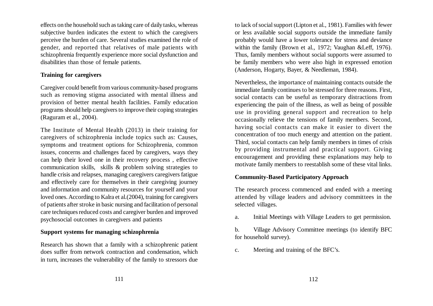effects on the household such as taking care of daily tasks, whereas subjective burden indicates the extent to which the caregivers perceive the burden of care. Several studies examined the role of gender, and reported that relatives of male patients with schizophrenia frequently experience more social dysfunction and disabilities than those of female patients.

## **Training for caregivers**

Caregiver could benefit from various community-based programs such as removing stigma associated with mental illness and provision of better mental health facilities. Family education programs should help caregivers to improve their coping strategies (Raguram et al., 2004).

The Institute of Mental Health (2013) in their training for caregivers of schizophrenia include topics such as: Causes, symptoms and treatment options for Schizophrenia, common issues, concerns and challenges faced by caregivers, ways they can help their loved one in their recovery process , effective communication skills, skills & problem solving strategies to handle crisis and relapses, managing caregivers caregivers fatigue and effectively care for themselves in their caregiving journey and information and community resources for yourself and your loved ones. According to Kalra et al.(2004), training for caregivers of patients after stroke in basic nursing and facilitation of personal care techniques reduced costs and caregiver burden and improved psychosocial outcomes in caregivers and patients

## **Support systems for managing schizophrenia**

Research has shown that a family with a schizophrenic patient does suffer from network contraction and condensation, which in turn, increases the vulnerability of the family to stressors due to lack of social support (Lipton et al., 1981). Families with fewer or less available social supports outside the immediate family probably would have a lower tolerance for stress and deviance within the family (Brown et al., 1972; Vaughan &Leff, 1976). Thus, family members without social supports were assumed to be family members who were also high in expressed emotion (Anderson, Hogarty, Bayer, & Needleman, 1984).

Nevertheless, the importance of maintaining contacts outside the immediate family continues to be stressed for three reasons. First, social contacts can be useful as temporary distractions from experiencing the pain of the illness, as well as being of possible use in providing general support and recreation to help occasionally relieve the tensions of family members. Second, having social contacts can make it easier to divert the concentration of too much energy and attention on the patient. Third, social contacts can help family members in times of crisis by providing instrumental and practical support. Giving encouragement and providing these explanations may help to motivate family members to reestablish some of these vital links.

## **Community-Based Participatory Approach**

The research process commenced and ended with a meeting attended by village leaders and advisory committees in the selected villages.

a. Initial Meetings with Village Leaders to get permission.

b. Village Advisory Committee meetings (to identify BFC for household survey).

c. Meeting and training of the BFC's.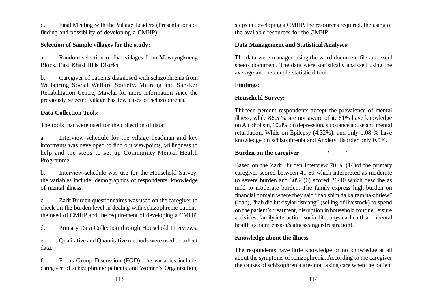d. Final Meeting with the Village Leaders (Presentations of finding and possibility of developing a CMHP)

## **Selection of Sample villages for the study:**

a. Random selection of five villages from Mawryngkneng Block, East Khasi Hills District

b. Caregiver of patients diagnosed with schizophrenia from Wellspring Social Welfare Society, Mairang and San-ker Rehabilitation Centre, Mawlai for more information since the previously selected village has few cases of schizophrenia.

# **Data Collection Tools:**

The tools that were used for the collection of data:

a. Interview schedule for the village headman and key informants was developed to find out viewpoints, willingness to help and the steps to set up Community Mental Health Programme.

b. Interview schedule was use for the Household Survey: the variables include; demographics of respondents, knowledge of mental illness.

c. Zarit Burden questionnaires was used on the caregiver to check on the burden level in dealing with schizophrenic patient, the need of CMHP and the requirement of developing a CMHP.

d. Primary Data Collection through Household Interviews.

e. Qualitative and Quantitative methods were used to collect data.

f. Focus Group Discussion (FGD): the variables include; caregiver of schizophrenic patients and Women's Organization,

steps in developing a CMHP, the resources required, the using of the available resources for the CMHP.

# **Data Management and Statistical Analyses:**

The data were managed using the word document file and excel sheets document. The data were statistically analysed using the average and percentile statistical tool.

# **Findings:**

# **Household Survey:**

Thirteen percent respondents accept the prevalence of mental illness, while 86.5 % are not aware of it. 61% have knowledge on Alcoholism, 10.8% on depression, substance abuse and mental retardation. While on Epilepsy (4.32%), and only 1.08 % have knowledge on schizophrenia and Anxiety disorder only 0.5%.

# **Burden on the caregiver ' '**

Based on the Zarit Burden Interview 70 % (14)of the primary caregiver scored between 41-60 which interpreted as moderate to severe burden and 30% (6) scored 21-40 which describe as mild to moderate burden. The family express high burden on financial domain where they said "hab shim da ka ram nakibriew" (loan), "hab die lutkisyiarkisniang" (selling of livestock) to spend on the patient's treatment, disruption in household routine, leisure activities, family interaction social life, physical health and mental health (strain/tension/sadness/anger/frustration).

# **Knowledge about the illness**

The respondents have little knowledge or no knowledge at all about the symptoms of schizophrenia. According to the caregiver the causes of schizophrenia are- not taking care when the patient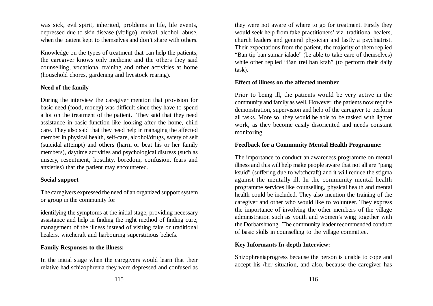was sick, evil spirit, inherited, problems in life, life events, depressed due to skin disease (vitiligo), revival, alcohol abuse, when the patient kept to themselves and don't share with others.

Knowledge on the types of treatment that can help the patients, the caregiver knows only medicine and the others they said counselling, vocational training and other activities at home (household chores, gardening and livestock rearing).

## **Need of the family**

During the interview the caregiver mention that provision for basic need (food, money) was difficult since they have to spend a lot on the treatment of the patient. They said that they need assistance in basic function like looking after the home, child care. They also said that they need help in managing the affected member in physical health, self-care, alcohol/drugs, safety of self (suicidal attempt) and others (harm or beat his or her family members), daytime activities and psychological distress (such as misery, resentment, hostility, boredom, confusion, fears and anxieties) that the patient may encountered.

# **Social support**

The caregivers expressed the need of an organized support system or group in the community for

identifying the symptoms at the initial stage, providing necessary assistance and help in finding the right method of finding cure, management of the illness instead of visiting fake or traditional healers, witchcraft and harbouring superstitious beliefs.

# **Family Responses to the illness:**

In the initial stage when the caregivers would learn that their relative had schizophrenia they were depressed and confused as

they were not aware of where to go for treatment. Firstly they would seek help from fake practitioners' viz. traditional healers, church leaders and general physician and lastly a psychiatrist. Their expectations from the patient, the majority of them replied "Ban tip ban sumar ialade" (be able to take care of themselves) while other replied "Ban trei ban ktah" (to perform their daily task).

## **Effect of illness on the affected member**

Prior to being ill, the patients would be very active in the community and family as well. However, the patients now require demonstration, supervision and help of the caregiver to perform all tasks. More so, they would be able to be tasked with lighter work, as they become easily disoriented and needs constant monitoring.

## **Feedback for a Community Mental Health Programme:**

The importance to conduct an awareness programme on mental illness and this will help make people aware that not all are "pang ksuid" (suffering due to witchcraft) and it will reduce the stigma against the mentally ill. In the community mental health programme services like counselling, physical health and mental health could be included. They also mention the training of the caregiver and other who would like to volunteer. They express the importance of involving the other members of the village administration such as youth and women's wing together with the Dorbarshnong. The community leader recommended conduct of basic skills in counselling to the village committee.

## **Key Informants In-depth Interview:**

Shizophreniaprogress because the person is unable to cope and accept his /her situation, and also, because the caregiver has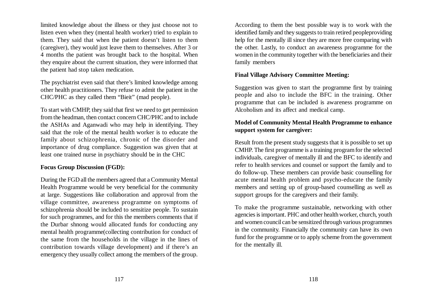limited knowledge about the illness or they just choose not to listen even when they (mental health worker) tried to explain to them. They said that when the patient doesn't listen to them (caregiver), they would just leave them to themselves. After 3 or 4 months the patient was brought back to the hospital. When they enquire about the current situation, they were informed that the patient had stop taken medication.

The psychiatrist even said that there's limited knowledge among other health practitioners. They refuse to admit the patient in the CHC/PHC as they called them "Bieit" (mad people).

To start with CMHP, they said that first we need to get permission from the headman, then contact concern CHC/PHC and to include the ASHAs and Aganwadi who may help in identifying. They said that the role of the mental health worker is to educate the family about schizophrenia, chronic of the disorder and importance of drug compliance. Suggestion was given that at least one trained nurse in psychiatry should be in the CHC

# **Focus Group Discussion (FGD):**

During the FGD all the members agreed that a Community Mental Health Programme would be very beneficial for the community at large. Suggestions like collaboration and approval from the village committee, awareness programme on symptoms of schizophrenia should be included to sensitize people. To sustain for such programmes, and for this the members comments that if the Durbar shnong would allocated funds for conducting any mental health programme(collecting contribution for conduct of the same from the households in the village in the lines of contribution towards village development) and if there's an emergency they usually collect among the members of the group.

According to them the best possible way is to work with the identified family and they suggests to train retired peopleproviding help for the mentally ill since they are more free comparing with the other. Lastly, to conduct an awareness programme for the women in the community together with the beneficiaries and their family members

## **Final Village Advisory Committee Meeting:**

Suggestion was given to start the programme first by training people and also to include the BFC in the training. Other programme that can be included is awareness programme on Alcoholism and its affect and medical camp.

# **Model of Community Mental Health Programme to enhance support system for caregiver:**

Result from the present study suggests that it is possible to set up CMHP. The first programme is a training program for the selected individuals, caregiver of mentally ill and the BFC to identify and refer to health services and counsel or support the family and to do follow-up. These members can provide basic counselling for acute mental health problem and psycho-educate the family members and setting up of group-based counselling as well as support groups for the caregivers and their family.

To make the programme sustainable, networking with other agencies is important. PHC and other health worker, church, youth and women council can be sensitized through various programmes in the community. Financially the community can have its own fund for the programme or to apply scheme from the government for the mentally ill.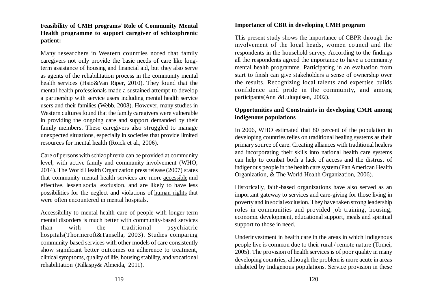**Feasibility of CMH programs/ Role of Community Mental Health programme to support caregiver of schizophrenic patient:**

Many researchers in Western countries noted that family caregivers not only provide the basic needs of care like longterm assistance of housing and financial aid, but they also serve as agents of the rehabilitation process in the community mental health services (Hsio&Van Riper, 2010). They found that the mental health professionals made a sustained attempt to develop a partnership with service users including mental health service users and their families (Webb, 2008). However, many studies in Western cultures found that the family caregivers were vulnerable in providing the ongoing care and support demanded by their family members. These caregivers also struggled to manage unexpected situations, especially in societies that provide limited resources for mental health (Roick et al., 2006).

Care of persons with schizophrenia can be provided at community level, with active family and community involvement (WHO, 2014). The World Health Organization press release (2007) states that community mental health services are more accessible and effective, lessen social exclusion, and are likely to have less possibilities for the neglect and violations of human rights that were often encountered in mental hospitals.

Accessibility to mental health care of people with longer-term mental disorders is much better with community-based services than with the traditional psychiatric hospitals(Thornicroft&Tansella, 2003). Studies comparing community-based services with other models of care consistently show significant better outcomes on adherence to treatment, clinical symptoms, quality of life, housing stability, and vocational rehabilitation (Killaspy& Almeida, 2011).

## **Importance of CBR in developing CMH program**

This present study shows the importance of CBPR through the involvement of the local heads, women council and the respondents in the household survey. According to the findings all the respondents agreed the importance to have a community mental health programme. Participating in an evaluation from start to finish can give stakeholders a sense of ownership over the results. Recognizing local talents and expertise builds confidence and pride in the community, and among participants(Ann &Luluquisen, 2002).

# **Opportunities and Constraints in developing CMH among indigenous populations**

In 2006, WHO estimated that 80 percent of the population in developing countries relies on traditional healing systems as their primary source of care. Creating alliances with traditional healers and incorporating their skills into national health care systems can help to combat both a lack of access and the distrust of indigenous people in the health care system (Pan American Health Organization, & The World Health Organization, 2006).

Historically, faith-based organizations have also served as an important gateway to services and care-giving for those living in poverty and in social exclusion. They have taken strong leadership roles in communities and provided job training, housing, economic development, educational support, meals and spiritual support to those in need.

Underinvestment in health care in the areas in which Indigenous people live is common due to their rural / remote nature (Tomei, 2005). The provision of health services is of poor quality in many developing countries, although the problem is more acute in areas inhabited by Indigenous populations. Service provision in these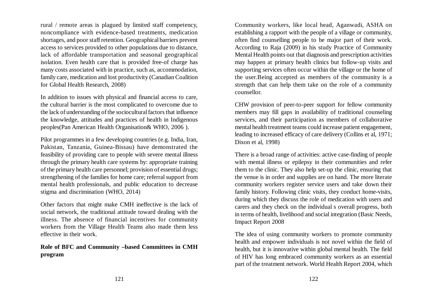rural / remote areas is plagued by limited staff competency, noncompliance with evidence-based treatments, medication shortages, and poor staff retention. Geographical barriers prevent access to services provided to other populations due to distance, lack of affordable transportation and seasonal geographical isolation. Even health care that is provided free-of charge has many costs associated with in practice, such as, accommodation, family care, medication and lost productivity (Canadian Coalition for Global Health Research, 2008)

In addition to issues with physical and financial access to care, the cultural barrier is the most complicated to overcome due to the lack of understanding of the sociocultural factors that influence the knowledge, attitudes and practices of health in Indigenous peoples(Pan American Health Organisation& WHO, 2006 ).

Pilot programmes in a few developing countries (e.g. India, Iran, Pakistan, Tanzania, Guinea-Bissau) have demonstrated the feasibility of providing care to people with severe mental illness through the primary health care systems by: appropriate training of the primary health care personnel; provision of essential drugs; strengthening of the families for home care; referral support from mental health professionals, and public education to decrease stigma and discrimination (WHO, 2014)

Other factors that might make CMH ineffective is the lack of social network, the traditional attitude toward dealing with the illness. The absence of financial incentives for community workers from the Village Health Teams also made them less effective in their work.

# **Role of BFC and Community –based Committees in CMH program**

Community workers, like local head, Aganwadi, ASHA on establishing a rapport with the people of a village or community, often find counselling people to be major part of their work. According to Raja (2009) in his study Practice of Community Mental Health points out that diagnosis and prescription activities may happen at primary health clinics but follow-up visits and supporting services often occur within the village or the home of the user.Being accepted as members of the community is a strength that can help them take on the role of a community counsellor.

CHW provision of peer-to-peer support for fellow community members may fill gaps in availability of traditional counseling services, and their participation as members of collaborative mental health treatment teams could increase patient engagement, leading to increased efficacy of care delivery (Collins et al, 1971; Dixon et al, 1998)

There is a broad range of activities: active case-finding of people with mental illness or epilepsy in their communities and refer them to the clinic. They also help set-up the clinic, ensuring that the venue is in order and supplies are on hand. The more literate community workers register service users and take down their family history. Following clinic visits, they conduct home-visits, during which they discuss the role of medication with users and carers and they check on the individual s overall progress, both in terms of health, livelihood and social integration (Basic Needs, Impact Report 2008

The idea of using community workers to promote community health and empower individuals is not novel within the field of health, but it is innovative within global mental health. The field of HIV has long embraced community workers as an essential part of the treatment network. World Health Report 2004, which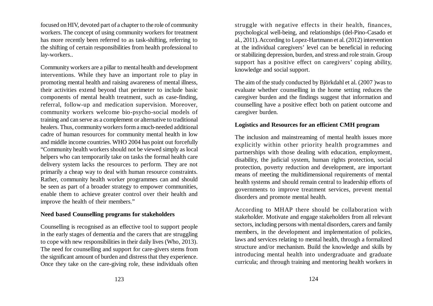focused on HIV, devoted part of a chapter to the role of community workers. The concept of using community workers for treatment has more recently been referred to as task-shifting, referring to the shifting of certain responsibilities from health professional to lay-workers..

Community workers are a pillar to mental health and development interventions. While they have an important role to play in promoting mental health and raising awareness of mental illness, their activities extend beyond that perimeter to include basic components of mental health treatment, such as case-finding, referral, follow-up and medication supervision. Moreover, community workers welcome bio-psycho-social models of training and can serve as a complement or alternative to traditional healers. Thus, community workers form a much-needed additional cadre of human resources for community mental health in low and middle income countries. WHO 2004 has point out forcefully "Community health workers should not be viewed simply as local helpers who can temporarily take on tasks the formal health care delivery system lacks the resources to perform. They are not primarily a cheap way to deal with human resource constraints. Rather, community health worker programmes can and should be seen as part of a broader strategy to empower communities, enable them to achieve greater control over their health and improve the health of their members."

### **Need based Counselling programs for stakeholders**

Counselling is recognised as an effective tool to support people in the early stages of dementia and the carers that are struggling to cope with new responsibilities in their daily lives (Who, 2013). The need for counselling and support for care-givers stems from the significant amount of burden and distress that they experience. Once they take on the care-giving role, these individuals often struggle with negative effects in their health, finances, psychological well-being, and relationships (del-Pino-Casado et al., 2011). According to Lopez-Hartmann et al. (2012) intervention at the individual caregivers' level can be beneficial in reducing or stabilizing depression, burden, and stress and role strain. Group support has a positive effect on caregivers' coping ability, knowledge and social support.

The aim of the study conducted by Björkdahl et al. (2007 )was to evaluate whether counselling in the home setting reduces the caregiver burden and the findings suggest that information and counselling have a positive effect both on patient outcome and caregiver burden.

#### **Logistics and Resources for an efficient CMH program**

The inclusion and mainstreaming of mental health issues more explicitly within other priority health programmes and partnerships with those dealing with education, employment, disability, the judicial system, human rights protection, social protection, poverty reduction and development, are important means of meeting the multidimensional requirements of mental health systems and should remain central to leadership efforts of governments to improve treatment services, prevent mental disorders and promote mental health.

According to MHAP there should be collaboration with stakeholder. Motivate and engage stakeholders from all relevant sectors, including persons with mental disorders, carers and family members, in the development and implementation of policies, laws and services relating to mental health, through a formalized structure and/or mechanism. Build the knowledge and skills by introducing mental health into undergraduate and graduate curricula; and through training and mentoring health workers in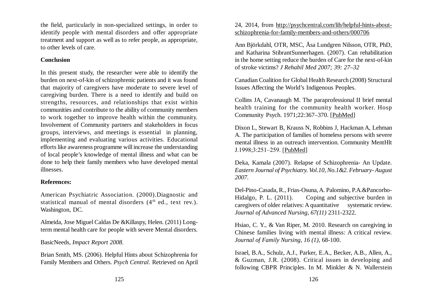the field, particularly in non-specialized settings, in order to identify people with mental disorders and offer appropriate treatment and support as well as to refer people, as appropriate, to other levels of care.

### **Conclusion**

In this present study, the researcher were able to identify the burden on next-of-kin of schizophrenic patients and it was found that majority of caregivers have moderate to severe level of caregiving burden. There is a need to identify and build on strengths, resources, and relationships that exist within communities and contribute to the ability of community members to work together to improve health within the community. Involvement of Community partners and stakeholders in focus groups, interviews, and meetings is essential in planning, implementing and evaluating various activities. Educational efforts like awareness programme will increase the understanding of local people's knowledge of mental illness and what can be done to help their family members who have developed mental illnesses.

## **References:**

American Psychiatric Association. (2000).Diagnostic and statistical manual of mental disorders  $(4<sup>th</sup>$  ed., text rev.). Washington, DC.

Almeida, Jose Miguel Caldas De &Killaspy, Helen. (2011) Longterm mental health care for people with severe Mental disorders.

BasicNeeds, *Impact Report 2008.*

Brian Smith, MS. (2006). Helpful Hints about Schizophrenia for Family Members and Others. *Psych Central*. Retrieved on April

## 24, 2014, from http://psychcentral.com/lib/helpful-hints-aboutschizophrenia-for-family-members-and-others/000706

Ann Björkdahl, OTR, MSC, Åsa Lundgren Nilsson, OTR, PhD, and Katharina StibrantSunnerhagen. (2007). Can rehabilitation in the home setting reduce the burden of Care for the next-of-kin of stroke victims? *J Rehabil Med 2007; 39: 27–32*

Canadian Coalition for Global Health Research (2008) Structural Issues Affecting the World's Indigenous Peoples.

Collins JA, Cavanaugh M. The paraprofessional II brief mental health training for the community health worker. Hosp Community Psych. 1971;22:367–370. [PubMed]

Dixon L, Stewart B, Krauss N, Robbins J, Hackman A, Lehman A. The participation of families of homeless persons with severe mental illness in an outreach intervention. Community MentHlt J.1998;3:251–259. [PubMed]

Deka, Kamala (2007). Relapse of Schizophrenia- An Update. *Eastern Journal of Psychiatry. Vol.10, No.1&2. February- August 2007.*

Del-Pino-Casada, R., Frias-Osuna, A. Palomino, P.A.&Pancorbo-Hidalgo, P. L. (2011). Coping and subjective burden in caregivers of older relatives: A quantitative systematic review. *Journal of Advanced Nursing, 67(11)* 2311-2322*.*

Hsiao, C. Y., & Van Riper, M. 2010. Research on caregiving in Chinese families living with mental illness: A critical review. *Journal of Family Nursing, 16 (1),* 68-100.

Israel, B.A., Schulz, A.J., Parker, E.A., Becker, A.B., Allen, A., & Guzman, J.R. (2008). Critical issues in developing and following CBPR Principles. In M. Minkler & N. Wallerstein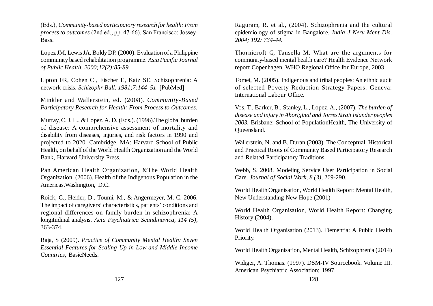(Eds.), *Community-based participatory research for health: From process to outcomes* (2nd ed., pp. 47-66). San Francisco: Jossey-Bass.

Lopez JM, Lewis JA, Boldy DP. (2000). Evaluation of a Philippine community based rehabilitation programme. *Asia Pacific Journal of Public Health. 2000;12(2):85-89.*

Lipton FR, Cohen CI, Fischer E, Katz SE. Schizophrenia: A network crisis. *Schizophr Bull. 1981;7:144–51*. [PubMed]

Minkler and Wallerstein, ed. (2008). *Community-Based Participatory Research for Health: From Process to Outcomes.*

Murray, C. J. L., & Lopez, A. D. (Eds.). (1996).The global burden of disease: A comprehensive assessment of mortality and disability from diseases, injuries, and risk factors in 1990 and projected to 2020. Cambridge, MA: Harvard School of Public Health, on behalf of the World Health Organization and the World Bank, Harvard University Press.

Pan American Health Organization, &The World Health Organization. (2006). Health of the Indigenous Population in the Americas.Washington, D.C.

Roick, C., Heider, D., Toumi, M., & Angermeyer, M. C. 2006. The impact of caregivers' characteristics, patients' conditions and regional differences on family burden in schizophrenia: A longitudinal analysis. *Acta Psychiatrica Scandinavica, 114 (5)*, 363-374.

Raja, S (2009). *Practice of Community Mental Health: Seven Essential Features for Scaling Up in Low and Middle Income Countries*, BasicNeeds.

Raguram, R. et al., (2004). Schizophrenia and the cultural epidemiology of stigma in Bangalore. *India J Nerv Ment Dis. 2004; 192: 734-44.*

Thornicroft G, Tansella M. What are the arguments for community-based mental health care? Health Evidence Network report Copenhagen, WHO Regional Office for Europe, 2003

Tomei, M. (2005). Indigenous and tribal peoples: An ethnic audit of selected Poverty Reduction Strategy Papers. Geneva: International Labour Office.

Vos, T., Barker, B., Stanley, L., Lopez, A., (2007). *The burden of disease and injury in Aboriginal and Torres Strait Islander peoples 2003.* Brisbane: School of PopulationHealth, The University of Queensland.

Wallerstein, N. and B. Duran (2003). The Conceptual, Historical and Practical Roots of Community Based Participatory Research and Related Participatory Traditions

Webb, S. 2008. Modeling Service User Participation in Social Care. *Journal of Social Work, 8 (3)*, 269-290.

World Health Organisation, World Health Report: Mental Health, New Understanding New Hope (2001)

World Health Organisation, World Health Report: Changing History (2004).

World Health Organisation (2013). Dementia: A Public Health Priority.

World Health Organisation, Mental Health, Schizophrenia (2014)

Widiger, A. Thomas. (1997). DSM-IV Sourcebook. Volume III. American Psychiatric Association; 1997.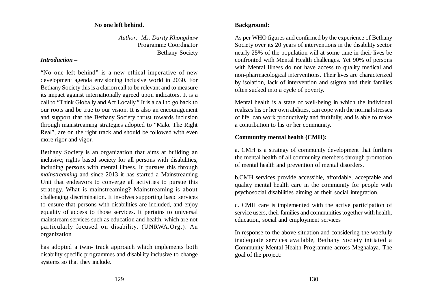### **No one left behind.**

*Author: Ms. Darity Khongthaw* Programme Coordinator Bethany Society

#### *Introduction –*

"No one left behind" is a new ethical imperative of new development agenda envisioning inclusive world in 2030. For Bethany Society this is a clarion call to be relevant and to measure its impact against internationally agreed upon indicators. It is a call to "Think Globally and Act Locally." It is a call to go back to our roots and be true to our vision. It is also an encouragement and support that the Bethany Society thrust towards inclusion through mainstreaming strategies adopted to "Make The Right Real", are on the right track and should be followed with even more rigor and vigor.

Bethany Society is an organization that aims at building an inclusive; rights based society for all persons with disabilities, including persons with mental illness. It pursues this through *mainstreaming* and since 2013 it has started a Mainstreaming Unit that endeavors to converge all activities to pursue this strategy. What is mainstreaming? Mainstreaming is about challenging discrimination. It involves supporting basic services to ensure that persons with disabilities are included, and enjoy equality of access to those services. It pertains to universal mainstream services such as education and health, which are not particularly focused on disability. (UNRWA.Org.). An organization

has adopted a twin- track approach which implements both disability specific programmes and disability inclusive to change systems so that they include.

### **Background:**

As per WHO figures and confirmed by the experience of Bethany Society over its 20 years of interventions in the disability sector nearly 25% of the population will at some time in their lives be confronted with Mental Health challenges. Yet 90% of persons with Mental Illness do not have access to quality medical and non-pharmacological interventions. Their lives are characterized by isolation, lack of intervention and stigma and their families often sucked into a cycle of poverty.

Mental health is a state of well-being in which the individual realizes his or her own abilities, can cope with the normal stresses of life, can work productively and fruitfully, and is able to make a contribution to his or her community.

## **Community mental health (CMH):**

a. CMH is a strategy of community development that furthers the mental health of all community members through promotion of mental health and prevention of mental disorders.

b.CMH services provide accessible, affordable, acceptable and quality mental health care in the community for people with psychosocial disabilities aiming at their social integration.

c. CMH care is implemented with the active participation of service users, their families and communities together with health, education, social and employment services

In response to the above situation and considering the woefully inadequate services available, Bethany Society initiated a Community Mental Health Programme across Meghalaya. The goal of the project: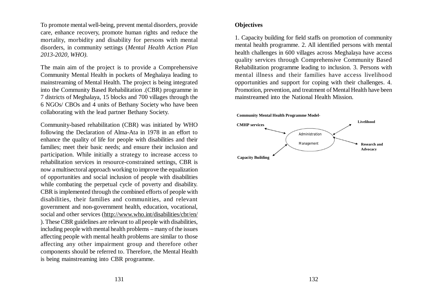To promote mental well-being, prevent mental disorders, provide care, enhance recovery, promote human rights and reduce the mortality, morbidity and disability for persons with mental disorders, in community settings (*Mental Health Action Plan 2013-2020, WHO).*

The main aim of the project is to provide a Comprehensive Community Mental Health in pockets of Meghalaya leading to mainstreaming of Mental Health. The project is being integrated into the Community Based Rehabilitation .(CBR) programme in 7 districts of Meghalaya, 15 blocks and 700 villages through the 6 NGOs/ CBOs and 4 units of Bethany Society who have been collaborating with the lead partner Bethany Society.

Community-based rehabilitation (CBR) was initiated by WHO following the Declaration of Alma-Ata in 1978 in an effort to enhance the quality of life for people with disabilities and their families; meet their basic needs; and ensure their inclusion and participation. While initially a strategy to increase access to rehabilitation services in resource-constrained settings, CBR is now a multisectoral approach working to improve the equalization of opportunities and social inclusion of people with disabilities while combating the perpetual cycle of poverty and disability. CBR is implemented through the combined efforts of people with disabilities, their families and communities, and relevant government and non-government health, education, vocational, social and other services (http://www.who.int/disabilities/cbr/en/ ). These CBR guidelines are relevant to all people with disabilities, including people with mental health problems – many of the issues affecting people with mental health problems are similar to those affecting any other impairment group and therefore other components should be referred to. Therefore, the Mental Health is being mainstreaming into CBR programme.

### **Objectives**

1. Capacity building for field staffs on promotion of community mental health programme. 2. All identified persons with mental health challenges in 600 villages across Meghalaya have access quality services through Comprehensive Community Based Rehabilitation programme leading to inclusion. 3. Persons with mental illness and their families have access livelihood opportunities and support for coping with their challenges. 4. Promotion, prevention, and treatment of Mental Health have been mainstreamed into the National Health Mission.



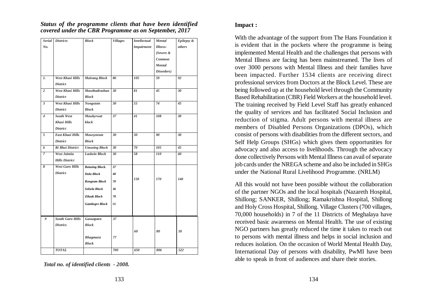| Status of the programme clients that have been identified |  |  |  |
|-----------------------------------------------------------|--|--|--|
| covered under the CBR Programme as on September, 2017     |  |  |  |

| <b>Serial</b>    | <b>Districts</b>        | <b>Block</b>           | <b>Villages</b> | <b>Intellectual</b> | <b>Mental</b> | Epilepsy & |
|------------------|-------------------------|------------------------|-----------------|---------------------|---------------|------------|
| No.              |                         |                        |                 | <b>Impairment</b>   | Illness-      | others     |
|                  |                         |                        |                 |                     | (Severe &     |            |
|                  |                         |                        |                 |                     | Common        |            |
|                  |                         |                        |                 |                     | <b>Mental</b> |            |
|                  |                         |                        |                 |                     | Disorders)    |            |
| 1.               | <b>West Khasi Hills</b> | <b>Mairang Block</b>   | 86              | 105                 | 59            | 92         |
|                  | <b>District</b>         |                        |                 |                     |               |            |
| $\overline{2}$   | <b>West Khasi Hills</b> | <b>Mawthadrashan</b>   | 30              | 81                  | 45            | 30         |
|                  | <b>District</b>         | <b>Block</b>           |                 |                     |               |            |
| 3                | <b>West Khasi Hills</b> | Nongstoin              | 30              | 55                  | 74            | 45         |
|                  | <b>District</b>         | <b>Block</b>           |                 |                     |               |            |
| $\overline{4}$   | <b>South West</b>       | Mawkyrwat              | 37              | 41                  | 108           | 30         |
|                  | <b>Khasi Hills</b>      | block                  |                 |                     |               |            |
|                  | <b>District</b>         |                        |                 |                     |               |            |
| 5                | <b>East Khasi Hills</b> | Mawsynram              | 30              | 30                  | 90            | 30         |
|                  | <b>District</b>         | <b>Block</b>           |                 |                     |               |            |
| 6                | Ri Bhoi District        | <b>Umsning Block</b>   | 30              | 70                  | 105           | 45         |
| $\overline{7}$   | West Jaintia            | Laskein Block          | 30              | 58                  | 110           | 60         |
|                  | <b>Hills District</b>   |                        |                 |                     |               |            |
| 8                | <b>West Garo Hills</b>  | <b>Betasing Block.</b> | 37              |                     |               |            |
|                  | <b>District</b>         | <b>Dalu Block</b>      | 40              |                     |               |            |
|                  |                         | <b>Rongram Block</b>   | 70              | 150                 | 170           | 140        |
|                  |                         | Selsela Block          | 36              |                     |               |            |
|                  |                         | Zikzak Block           | 70              |                     |               |            |
|                  |                         | <b>Gambegre Block</b>  | 60              |                     |               |            |
|                  |                         |                        |                 |                     |               |            |
| $\boldsymbol{9}$ | <b>South Garo Hills</b> | Gasuapara              | 37              |                     |               |            |
|                  | District.               | <b>Block</b>           |                 |                     |               |            |
|                  |                         |                        |                 | 60                  | 80            | 50         |
|                  |                         | <b>Bhagmara</b>        | 77              |                     |               |            |
|                  |                         | <b>Block</b>           |                 |                     |               |            |
|                  | <b>TOTAL</b>            |                        | 700             | 650                 | 806           | 522        |
|                  |                         |                        |                 |                     |               |            |

*Total no. of identified clients - 2008.*

### **Impact :**

With the advantage of the support from The Hans Foundation it is evident that in the pockets where the programme is being implemented Mental Health and the challenges that persons with Mental Illness are facing has been mainstreamed. The lives of over 3000 persons with Mental Illness and their families have been impacted. Further 1534 clients are receiving direct professional services from Doctors at the Block Level. These are being followed up at the household level through the Community Based Rehabilitation (CBR) Field Workers at the household level. The training received by Field Level Staff has greatly enhanced the quality of services and has facilitated Social Inclusion and reduction of stigma. Adult persons with mental illness are members of Disabled Persons Organizations (DPOs), which consist of persons with disabilities from the different sectors, and Self Help Groups (SHGs) which gives them opportunities for advocacy and also access to livelihoods. Through the advocacy done collectively Persons with Mental Illness can avail of separate job cards under the NREGA scheme and also be included in SHGs under the National Rural Livelihood Programme. (NRLM)

All this would not have been possible without the collaboration of the partner NGOs and the local hospitals (Nazareth Hospital, Shillong; SANKER, Shillong; Ramakrishna Hospital, Shillong and Holy Cross Hospital, Shillong. Village Clusters (700 villages, 70,000 households) in 7 of the 11 Districts of Meghalaya have received basic awareness on Mental Health. The use of existing NGO partners has greatly reduced the time it takes to reach out to persons with mental illness and helps in social inclusion and reduces isolation. On the occasion of World Mental Health Day, International Day of persons with disability, PwMI have been able to speak in front of audiences and share their stories.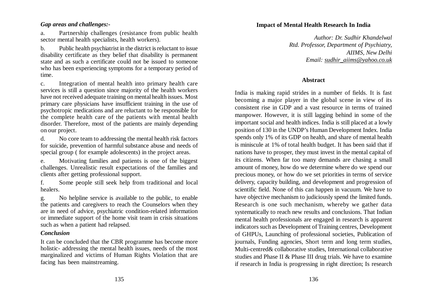## *Gap areas and challenges:-*

a. Partnership challenges (resistance from public health sector mental health specialists, health workers).

b. Public health psychiatrist in the district is reluctant to issue disability certificate as they belief that disability is permanent state and as such a certificate could not be issued to someone who has been experiencing symptoms for a temporary period of time.

c. Integration of mental health into primary health care services is still a question since majority of the health workers have not received adequate training on mental health issues. Most primary care physicians have insufficient training in the use of psychotropic medications and are reluctant to be responsible for the complete health care of the patients with mental health disorder. Therefore, most of the patients are mainly depending on our project.

d. No core team to addressing the mental health risk factors for suicide, prevention of harmful substance abuse and needs of special group ( for example adolescents) in the project areas.

e. Motivating families and patients is one of the biggest challenges. Unrealistic result expectations of the families and clients after getting professional support.

f. Some people still seek help from traditional and local healers.

g. No helpline service is available to the public, to enable the patients and caregivers to reach the Counselors when they are in need of advice, psychiatric condition-related information or immediate support of the home visit team in crisis situations such as when a patient had relapsed.

## *Conclusion*

It can be concluded that the CBR programme has become more holistic- addressing the mental health issues, needs of the most marginalized and victims of Human Rights Violation that are facing has been mainstreaming.

## **Impact of Mental Health Research In India**

*Author: Dr. Sudhir Khandelwal Rtd. Professor, Department of Psychiatry, AIIMS, New Delhi Email: sudhir\_aiims@yahoo.co.uk*

## **Abstract**

India is making rapid strides in a number of fields. It is fast becoming a major player in the global scene in view of its consistent rise in GDP and a vast resource in terms of trained manpower. However, it is still lagging behind in some of the important social and health indices. India is still placed at a lowly position of 130 in the UNDP's Human Development Index. India spends only 1% of its GDP on health, and share of mental health is miniscule at 1% of total health budget. It has been said that if nations have to prosper, they must invest in the mental capital of its citizens. When far too many demands are chasing a small amount of money, how do we determine where do we spend our precious money, or how do we set priorities in terms of service delivery, capacity building, and development and progression of scientific field. None of this can happen in vacuum. We have to have objective mechanism to judiciously spend the limited funds. Research is one such mechanism, whereby we gather data systematically to reach new results and conclusions. That Indian mental health professionals are engaged in research is apparent indicators such as Development of Training centres, Development of GHPUs, Launching of professional societies, Publication of journals, Funding agencies, Short term and long term studies, Multi-centred& collaborative studies, International collaborative studies and Phase II & Phase III drug trials. We have to examine if research in India is progressing in right direction; Is research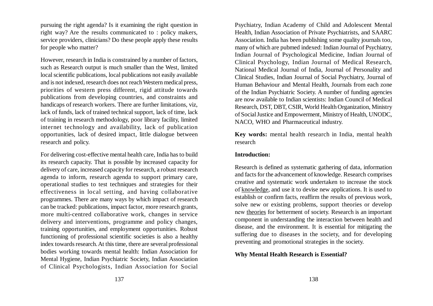pursuing the right agenda? Is it examining the right question in right way? Are the results communicated to : policy makers, service providers, clinicians? Do these people apply these results for people who matter?

However, research in India is constrained by a number of factors, such as Research output is much smaller than the West, limited local scientific publications, local publications not easily available and is not indexed, research does not reach Western medical press, priorities of western press different, rigid attitude towards publications from developing countries, and constraints and handicaps of research workers. There are further limitations, viz, lack of funds, lack of trained technical support, lack of time, lack of training in research methodology, poor library facility, limited internet technology and availability, lack of publication opportunities, lack of desired impact, little dialogue between research and policy.

For delivering cost-effective mental health care, India has to build its research capacity. That is possible by increased capacity for delivery of care, increased capacity for research, a robust research agenda to inform, research agenda to support primary care, operational studies to test techniques and strategies for their effectiveness in local setting, and having collaborative programmes. There are many ways by which impact of research can be tracked: publications, impact factor, more research grants, more multi-centred collaborative work, changes in service delivery and interventions, programme and policy changes, training opportunities, and employment opportunities. Robust functioning of professional scientific societies is also a healthy index towards research. At this time, there are several professional bodies working towards mental health: Indian Association for Mental Hygiene, Indian Psychiatric Society, Indian Association of Clinical Psychologists, Indian Association for Social

Psychiatry, Indian Academy of Child and Adolescent Mental Health, Indian Association of Private Psychiatrists, and SAARC Association. India has been publishing some quality journals too, many of which are pubmed indexed: Indian Journal of Psychiatry, Indian Journal of Psychological Medicine, Indian Journal of Clinical Psychology, Indian Journal of Medical Research, National Medical Journal of India, Journal of Personality and Clinical Studies, Indian Journal of Social Psychiatry, Journal of Human Behaviour and Mental Health, Journals from each zone of the Indian Psychiatric Society. A number of funding agencies are now available to Indian scientists: Indian Council of Medical Research, DST, DBT, CSIR, World Health Organization, Ministry of Social Justice and Empowerment, Ministry of Health, UNODC, NACO, WHO and Pharmaceutical industry.

**Key words:** mental health research in India, mental health research

### **Introduction:**

Research is defined as systematic gathering of data, information and facts for the advancement of knowledge. Research comprises creative and systematic work undertaken to increase the stock of knowledge, and use it to devise new applications. It is used to establish or confirm facts, reaffirm the results of previous work, solve new or existing problems, support theories or develop new theories for betterment of society. Research is an important component in understanding the interaction between health and disease, and the environment. It is essential for mitigating the suffering due to diseases in the society, and for developing preventing and promotional strategies in the society.

## **Why Mental Health Research is Essential?**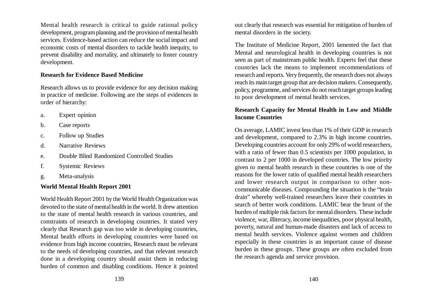Mental health research is critical to guide rational policy development, program planning and the provision of mental health services. Evidence-based action can reduce the social impact and economic costs of mental disorders to tackle health inequity, to prevent disability and mortality, and ultimately to foster country development.

## **Research for Evidence Based Medicine**

Research allows us to provide evidence for any decision making in practice of medicine. Following are the steps of evidences in order of hierarchy:

- a. Expert opinion
- b. Case reports
- c. Follow up Studies
- d. Narrative Reviews
- e. Double Blind Randomized Controlled Studies
- f. Systemic Reviews
- g. Meta-analysis

# **World Mental Health Report 2001**

World Health Report 2001 by the World Health Organization was devoted to the state of mental health in the world. It drew attention to the state of mental health research in various countries, and constraints of research in developing countries. It stated very clearly that Research gap was too wide in developing countries, Mental health efforts in developing countries were based on evidence from high income countries, Research must be relevant to the needs of developing countries, and that relevant research done in a developing country should assist them in reducing burden of common and disabling conditions. Hence it pointed

out clearly that research was essential for mitigation of burden of mental disorders in the society.

The Institute of Medicine Report, 2001 lamented the fact that Mental and neurological health in developing countries is not seen as part of mainstream public health. Experts feel that these countries lack the means to implement recommendations of research and reports. Very frequently, the research does not always reach its main target group that are decision makers. Consequently, policy, programme, and services do not reach target groups leading to poor development of mental health services.

# **Research Capacity for Mental Health in Low and Middle Income Countries**

On average, LAMIC invest less than 1% of their GDP in research and development, compared to 2.3% in high income countries. Developing countries account for only 29% of world researchers, with a ratio of fewer than 0.5 scientists per 1000 population, in contrast to 2 per 1000 in developed countries. The low priority given to mental health research in these countries is one of the reasons for the lower ratio of qualified mental health researchers and lower research output in comparison to other noncommunicable diseases. Compounding the situation is the "brain drain" whereby well-trained researchers leave their countries in search of better work conditions. LAMIC bear the brunt of the burden of multiple risk factors for mental disorders. These include violence, war, illiteracy, income inequalities, poor physical health, poverty, natural and human-made disasters and lack of access to mental health services. Violence against women and children especially in these countries is an important cause of disease burden in these groups. These groups are often excluded from the research agenda and service provision.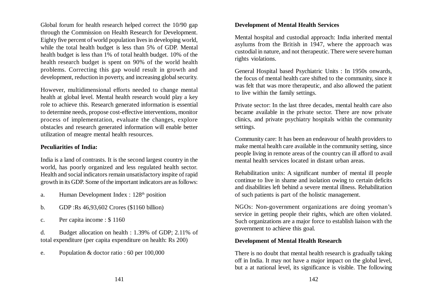Global forum for health research helped correct the 10/90 gap through the Commission on Health Research for Development. Eighty five percent of world population lives in developing world, while the total health budget is less than 5% of GDP. Mental health budget is less than 1% of total health budget. 10% of the health research budget is spent on 90% of the world health problems. Correcting this gap would result in growth and development, reduction in poverty, and increasing global security.

However, multidimensional efforts needed to change mental health at global level. Mental health research would play a key role to achieve this. Research generated information is essential to determine needs, propose cost-effective interventions, monitor process of implementation, evaluate the changes, explore obstacles and research generated information will enable better utilization of meagre mental health resources.

### **Peculiarities of India:**

India is a land of contrasts. It is the second largest country in the world, has poorly organized and less regulated health sector. Health and social indicators remain unsatisfactory inspite of rapid growth in its GDP. Some of the important indicators are as follows:

- a. Human Development Index :  $128<sup>th</sup>$  position
- b. GDP :Rs 46,93,602 Crores (\$1160 billion)
- c. Per capita income : \$ 1160

d. Budget allocation on health : 1.39% of GDP; 2.11% of total expenditure (per capita expenditure on health: Rs 200)

e. Population & doctor ratio : 60 per 100,000

## **Development of Mental Health Services**

Mental hospital and custodial approach: India inherited mental asylums from the British in 1947, where the approach was custodial in nature, and not therapeutic. There were severe human rights violations.

General Hospital based Psychiatric Units : In 1950s onwards, the focus of mental health care shifted to the community, since it was felt that was more therapeutic, and also allowed the patient to live within the family settings.

Private sector: In the last three decades, mental health care also became available in the private sector. There are now private clinics, and private psychiatry hospitals within the community settings.

Community care: It has been an endeavour of health providers to make mental health care available in the community setting, since people living in remote areas of the country can ill afford to avail mental health services located in distant urban areas.

Rehabilitation units: A significant number of mental ill people continue to live in shame and isolation owing to certain deficits and disabilities left behind a severe mental illness. Rehabilitation of such patients is part of the holistic management.

NGOs: Non-government organizations are doing yeoman's service in getting people their rights, which are often violated. Such organizations are a major force to establish liaison with the government to achieve this goal.

# **Development of Mental Health Research**

There is no doubt that mental health research is gradually taking off in India. It may not have a major impact on the global level, but a at national level, its significance is visible. The following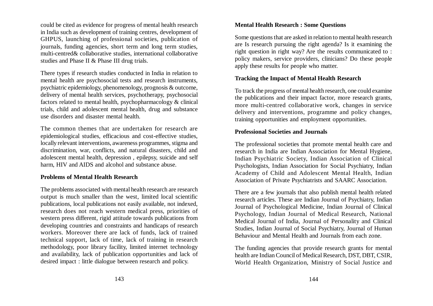could be cited as evidence for progress of mental health research in India such as development of training centres, development of GHPUS, launching of professional societies, publication of journals, funding agencies, short term and long term studies, multi-centred& collaborative studies, international collaborative studies and Phase II & Phase III drug trials.

There types if research studies conducted in India in relation to mental health are psychosocial tests and research instruments, psychiatric epidemiology, phenomenology, prognosis & outcome, delivery of mental health services, psychotherapy, psychosocial factors related to mental health, psychopharmacology & clinical trials, child and adolescent mental health, drug and substance use disorders and disaster mental health.

The common themes that are undertaken for research are epidemiological studies, efficacious and cost-effective studies, locally relevant interventions, awareness programmes, stigma and discrimination, war, conflicts, and natural disasters, child and adolescent mental health, depression , epilepsy, suicide and self harm, HIV and AIDS and alcohol and substance abuse.

## **Problems of Mental Health Research**

The problems associated with mental health research are research output is much smaller than the west, limited local scientific publications, local publications not easily available, not indexed, research does not reach western medical press, priorities of western press different, rigid attitude towards publications from developing countries and constraints and handicaps of research workers. Moreover there are lack of funds, lack of trained technical support, lack of time, lack of training in research methodology, poor library facility, limited internet technology and availability, lack of publication opportunities and lack of desired impact : little dialogue between research and policy.

### **Mental Health Research : Some Questions**

Some questions that are asked in relation to mental health research are Is research pursuing the right agenda? Is it examining the right question in right way? Are the results communicated to : policy makers, service providers, clinicians? Do these people apply these results for people who matter.

# **Tracking the Impact of Mental Health Research**

To track the progress of mental health research, one could examine the publications and their impact factor, more research grants, more multi-centred collaborative work, changes in service delivery and interventions, programme and policy changes, training opportunities and employment opportunities.

# **Professional Societies and Journals**

The professional societies that promote mental health care and research in India are Indian Association for Mental Hygiene, Indian Psychiatric Society, Indian Association of Clinical Psychologists, Indian Association for Social Psychiatry, Indian Academy of Child and Adolescent Mental Health, Indian Association of Private Psychiatrists and SAARC Association.

There are a few journals that also publish mental health related research articles. These are Indian Journal of Psychiatry, Indian Journal of Psychological Medicine, Indian Journal of Clinical Psychology, Indian Journal of Medical Research, National Medical Journal of India, Journal of Personality and Clinical Studies, Indian Journal of Social Psychiatry, Journal of Human Behaviour and Mental Health and Journals from each zone.

The funding agencies that provide research grants for mental health are Indian Council of Medical Research, DST, DBT, CSIR, World Health Organization, Ministry of Social Justice and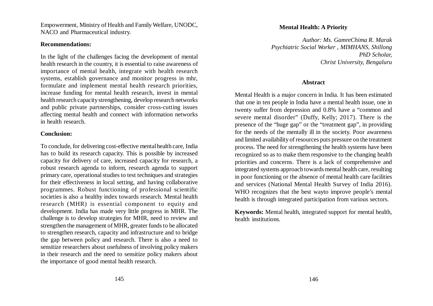Empowerment, Ministry of Health and Family Welfare, UNODC, NACO and Pharmaceutical industry.

#### **Recommendations:**

In the light of the challenges facing the development of mental health research in the country, it is essential to raise awareness of importance of mental health, integrate with health research systems, establish governance and monitor progress in mhr, formulate and implement mental health research priorities, increase funding for mental health research, invest in mental health research capacity strengthening, develop research networks and public private partnerships, consider cross-cutting issues affecting mental health and connect with information networks in health research.

### **Conclusion:**

To conclude, for delivering cost-effective mental health care, India has to build its research capacity. This is possible by increased capacity for delivery of care, increased capacity for research, a robust research agenda to inform, research agenda to support primary care, operational studies to test techniques and strategies for their effectiveness in local setting, and having collaborative programmes. Robust functioning of professional scientific societies is also a healthy index towards research. Mental health research (MHR) is essential component to equity and development. India has made very little progress in MHR. The challenge is to develop strategies for MHR, need to review and strengthen the management of MHR, greater funds to be allocated to strengthen research, capacity and infrastructure and to bridge the gap between policy and research. There is also a need to sensitize researchers about usefulness of involving policy makers in their research and the need to sensitize policy makers about the importance of good mental health research.

### **Mental Health: A Priority**

*Author: Ms. GamreChima R. Marak Psychiatric Social Worker , MIMHANS, Shillong PhD Scholar, Christ University, Bengaluru*

### **Abstract**

Mental Health is a major concern in India. It has been estimated that one in ten people in India have a mental health issue, one in twenty suffer from depression and 0.8% have a "common and severe mental disorder" (Duffy, Kelly; 2017). There is the presence of the "huge gap" or the "treatment gap", in providing for the needs of the mentally ill in the society. Poor awareness and limited availability of resources puts pressure on the treatment process. The need for strengthening the health systems have been recognized so as to make them responsive to the changing health priorities and concerns. There is a lack of comprehensive and integrated systems approach towards mental health care, resulting in poor functioning or the absence of mental health care facilities and services (National Mental Health Survey of India 2016). WHO recognizes that the best wayto improve people's mental health is through integrated participation from various sectors.

**Keywords:** Mental health, integrated support for mental health, health institutions.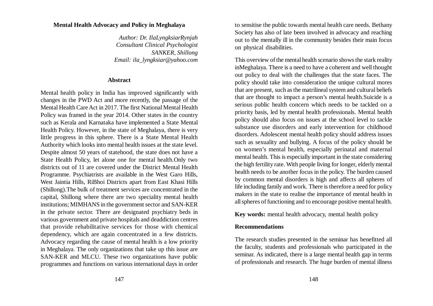#### **Mental Health Advocacy and Policy in Meghalaya**

*Author: Dr. IlaLyngksiarRynjah Consultant Clinical Psychologist SANKER, Shillong Email: ila\_lyngksiar@yahoo.com*

#### **Abstract**

Mental health policy in India has improved significantly with changes in the PWD Act and more recently, the passage of the Mental Health Care Act in 2017. The first National Mental Health Policy was framed in the year 2014. Other states in the country such as Kerala and Karnataka have implemented a State Mental Health Policy. However, in the state of Meghalaya, there is very little progress in this sphere. There is a State Mental Health Authority which looks into mental health issues at the state level. Despite almost 50 years of statehood, the state does not have a State Health Policy, let alone one for mental health.Only two districts out of 11 are covered under the District Mental Health Programme. Psychiatrists are available in the West Garo Hills, West Jaintia Hills, RiBhoi Districts apart from East Khasi Hills (Shillong).The bulk of treatment services are concentrated in the capital, Shillong where there are two speciality mental health institutions; MIMHANS in the government sector and SAN-KER in the private sector. There are designated psychiatry beds in various government and private hospitals and deaddiction centres that provide rehabilitative services for those with chemical dependency, which are again concentrated in a few districts. Advocacy regarding the cause of mental health is a low priority in Meghalaya. The only organizations that take up this issue are SAN-KER and MLCU. These two organizations have public programmes and functions on various international days in order

to sensitise the public towards mental health care needs. Bethany Society has also of late been involved in advocacy and reaching out to the mentally ill in the community besides their main focus on physical disabilities.

This overview of the mental health scenario shows the stark reality inMeghalaya. There is a need to have a coherent and well thought out policy to deal with the challenges that the state faces. The policy should take into consideration the unique cultural mores that are present, such as the matrilineal system and cultural beliefs that are thought to impact a person's mental health.Suicide is a serious public health concern which needs to be tackled on a priority basis, led by mental health professionals. Mental health policy should also focus on issues at the school level to tackle substance use disorders and early intervention for childhood disorders. Adolescent mental health policy should address issues such as sexuality and bullying. A focus of the policy should be on women's mental health, especially perinatal and maternal mental health. This is especially important in the state considering the high fertility rate. With people living for longer, elderly mental health needs to be another focus in the policy. The burden caused by common mental disorders is high and affects all spheres of life including family and work. There is therefore a need for policy makers in the state to realise the importance of mental health in all spheres of functioning and to encourage positive mental health.

**Key words:** mental health advocacy, mental health policy

#### **Recommendations**

The research studies presented in the seminar has benefitted all the faculty, students and professionals who participated in the seminar. As indicated, there is a large mental health gap in terms of professionals and research. The huge burden of mental illness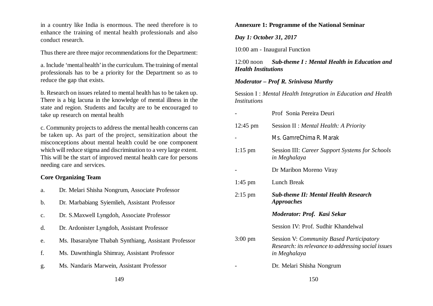in a country like India is enormous. The need therefore is to enhance the training of mental health professionals and also conduct research.

Thus there are three major recommendations for the Department:

a. Include 'mental health' in the curriculum. The training of mental professionals has to be a priority for the Department so as to reduce the gap that exists.

b. Research on issues related to mental health has to be taken up. There is a big lacuna in the knowledge of mental illness in the state and region. Students and faculty are to be encouraged to take up research on mental health

c. Community projects to address the mental health concerns can be taken up. As part of the project, sensitization about the misconceptions about mental health could be one component which will reduce stigma and discrimination to a very large extent. This will be the start of improved mental health care for persons needing care and services.

# **Core Organizing Team**

- a. Dr. Melari Shisha Nongrum, Associate Professor
- b. Dr. Marbabiang Syiemlieh, Assistant Professor
- c. Dr. S.Maxwell Lyngdoh, Associate Professor
- d. Dr. Ardonister Lyngdoh, Assistant Professor
- e. Ms. Ibasaralyne Thabah Synthiang, Assistant Professor
- f. Ms. Dawnthingla Shimray, Assistant Professor
- g. Ms. Nandaris Marwein, Assistant Professor

### **Annexure 1: Programme of the National Seminar**

# *Day 1: October 31, 2017*

10:00 am - Inaugural Function

12:00 noon *Sub-theme I : Mental Health in Education and Health Institutions*

### *Moderator – Prof R. Srinivasa Murthy*

Session I : *Mental Health Integration in Education and Health Institutions*

|                    | Prof Sonia Pereira Deuri                                                                                               |  |  |
|--------------------|------------------------------------------------------------------------------------------------------------------------|--|--|
| $12:45 \text{ pm}$ | Session II : Mental Health: A Priority                                                                                 |  |  |
|                    | Ms. GamreChima R. Marak                                                                                                |  |  |
| $1:15$ pm          | <b>Session III: Career Support Systems for Schools</b><br>in Meghalaya                                                 |  |  |
|                    | Dr Maribon Moreno Viray                                                                                                |  |  |
| $1:45$ pm          | Lunch Break                                                                                                            |  |  |
| $2:15 \text{ pm}$  | <b>Sub-theme II: Mental Health Research</b><br><i><b>Approaches</b></i>                                                |  |  |
|                    | Moderator: Prof. Kasi Sekar                                                                                            |  |  |
|                    | Session IV: Prof. Sudhir Khandelwal                                                                                    |  |  |
| 3:00 pm            | <b>Session V: Community Based Participatory</b><br>Research: its relevance to addressing social issues<br>in Meghalaya |  |  |
|                    | Dr. Melari Shisha Nongrum                                                                                              |  |  |